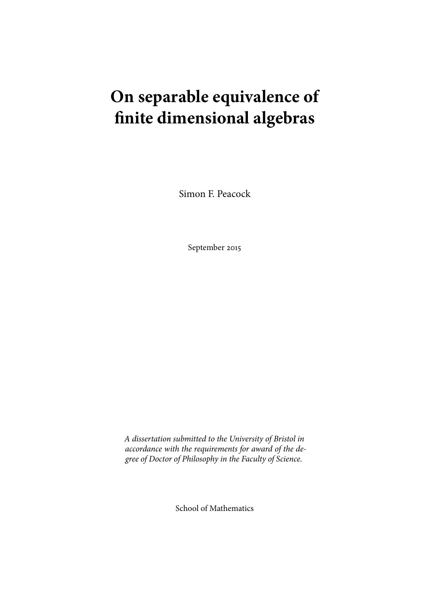# **On separable equivalence of finite dimensional algebras**

Simon F. Peacock

September 2015

*A dissertation submitted to the University of Bristol in accordance with the requirements for award of the degree of Doctor of Philosophy in the Faculty of Science.*

School of Mathematics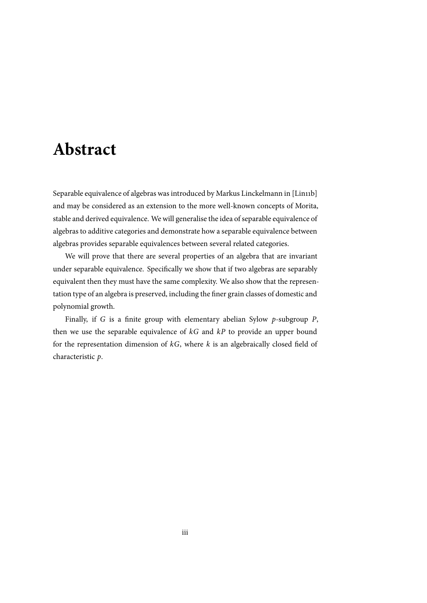## <span id="page-2-0"></span>**Abstract**

Separable equivalence of algebras was introduced by Markus Linckelmann in [Lin11b] and may be considered as an extension to the more well-known concepts of Morita, stable and derived equivalence. We will generalise the idea of separable equivalence of algebras to additive categories and demonstrate how a separable equivalence between algebras provides separable equivalences between several related categories.

We will prove that there are several properties of an algebra that are invariant under separable equivalence. Specifically we show that if two algebras are separably equivalent then they must have the same complexity. We also show that the representation type of an algebra is preserved, including the finer grain classes of domestic and polynomial growth.

Finally, if *G* is a finite group with elementary abelian Sylow *p*-subgroup *P*, then we use the separable equivalence of *kG* and *kP* to provide an upper bound for the representation dimension of *kG*, where *k* is an algebraically closed field of characteristic *p*.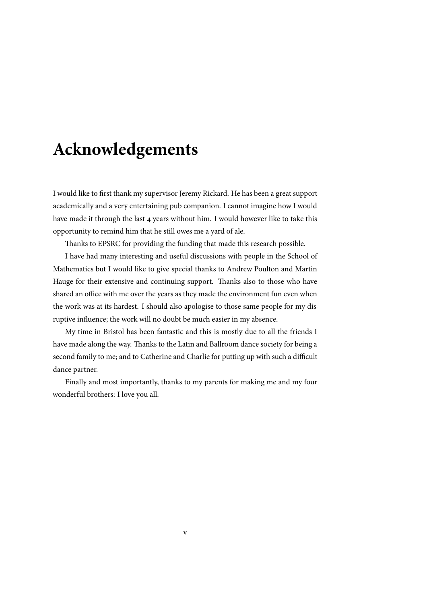## <span id="page-4-0"></span>**Acknowledgements**

I would like to first thank my supervisor Jeremy Rickard. He has been a great support academically and a very entertaining pub companion. I cannot imagine how I would have made it through the last 4 years without him. I would however like to take this opportunity to remind him that he still owes me a yard of ale.

Thanks to EPSRC for providing the funding that made this research possible.

I have had many interesting and useful discussions with people in the School of Mathematics but I would like to give special thanks to Andrew Poulton and Martin Hauge for their extensive and continuing support. Thanks also to those who have shared an office with me over the years as they made the environment fun even when the work was at its hardest. I should also apologise to those same people for my disruptive influence; the work will no doubt be much easier in my absence.

My time in Bristol has been fantastic and this is mostly due to all the friends I have made along the way. Thanks to the Latin and Ballroom dance society for being a second family to me; and to Catherine and Charlie for putting up with such a difficult dance partner.

Finally and most importantly, thanks to my parents for making me and my four wonderful brothers: I love you all.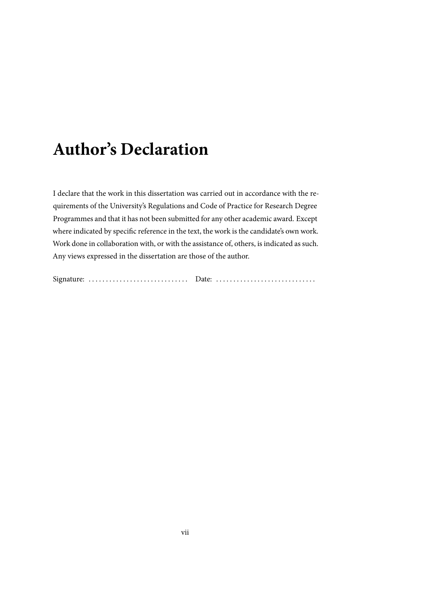# <span id="page-6-0"></span>**Author's Declaration**

I declare that the work in this dissertation was carried out in accordance with the requirements of the University's Regulations and Code of Practice for Research Degree Programmes and that it has not been submitted for any other academic award. Except where indicated by specific reference in the text, the work is the candidate's own work. Work done in collaboration with, or with the assistance of, others, is indicated as such. Any views expressed in the dissertation are those of the author.

Signature: . . . . . . . . . . . . . . . . . . . . . . . . . . . . . Date: . . . . . . . . . . . . . . . . . . . . . . . . . . . . .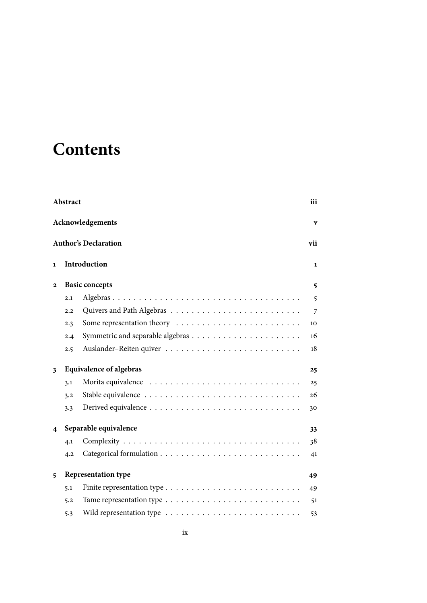# **Contents**

|              | Abstract<br>iii<br>Acknowledgements<br>V |                             |     |  |  |  |
|--------------|------------------------------------------|-----------------------------|-----|--|--|--|
|              |                                          |                             |     |  |  |  |
|              |                                          | <b>Author's Declaration</b> | vii |  |  |  |
| $\mathbf{1}$ | Introduction                             |                             |     |  |  |  |
| $\mathbf{2}$ | <b>Basic concepts</b>                    |                             |     |  |  |  |
|              | 2.1                                      |                             | 5   |  |  |  |
|              | 2.2                                      |                             | 7   |  |  |  |
|              | 2.3                                      |                             | 10  |  |  |  |
|              | 2.4                                      |                             | 16  |  |  |  |
|              | 2.5                                      |                             | 18  |  |  |  |
| 3            | <b>Equivalence of algebras</b>           |                             |     |  |  |  |
|              | 3.1                                      |                             | 25  |  |  |  |
|              | 3.2                                      |                             | 26  |  |  |  |
|              | 3.3                                      |                             | 30  |  |  |  |
| 4            | Separable equivalence                    |                             |     |  |  |  |
|              | 4.1                                      |                             | 38  |  |  |  |
|              | 4.2                                      |                             | 41  |  |  |  |
| 5            | <b>Representation type</b>               |                             |     |  |  |  |
|              | 5.1                                      |                             | 49  |  |  |  |
|              | 5.2                                      |                             | 51  |  |  |  |
|              | 5.3                                      |                             | 53  |  |  |  |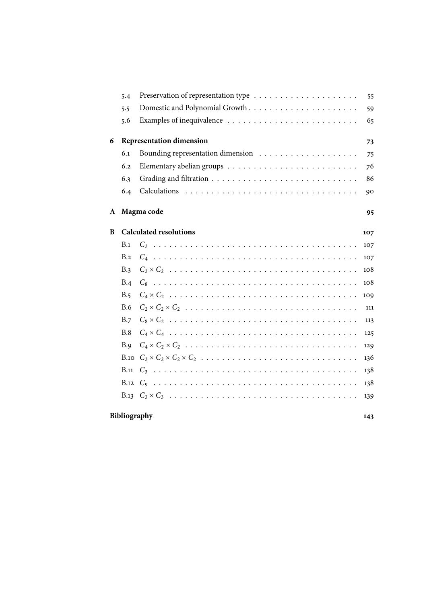|              | 5.4          |                                        | 55  |
|--------------|--------------|----------------------------------------|-----|
|              | 5.5          |                                        | 59  |
|              | 5.6          |                                        | 65  |
| 6            |              | <b>Representation dimension</b>        | 73  |
|              | 6.1          |                                        | 75  |
|              | 6.2          |                                        | 76  |
|              | 6.3          |                                        | 86  |
|              | 6.4          |                                        | 90  |
| $\mathbf{A}$ |              | Magma code                             | 95  |
| B            |              | <b>Calculated resolutions</b>          | 107 |
|              | B.1          |                                        | 107 |
|              | B.2          |                                        | 107 |
|              | B.3          |                                        | 108 |
|              | B.4          |                                        | 108 |
|              | B.5          |                                        | 109 |
|              | <b>B.6</b>   |                                        | 111 |
|              | B.7          |                                        | 113 |
|              | B.8          |                                        | 125 |
|              | B.9          |                                        | 129 |
|              | <b>B.10</b>  | $C_2 \times C_2 \times C_2 \times C_2$ | 136 |
|              | B.11         |                                        | 138 |
|              |              |                                        | 138 |
|              |              |                                        | 139 |
|              | Bibliography |                                        | 143 |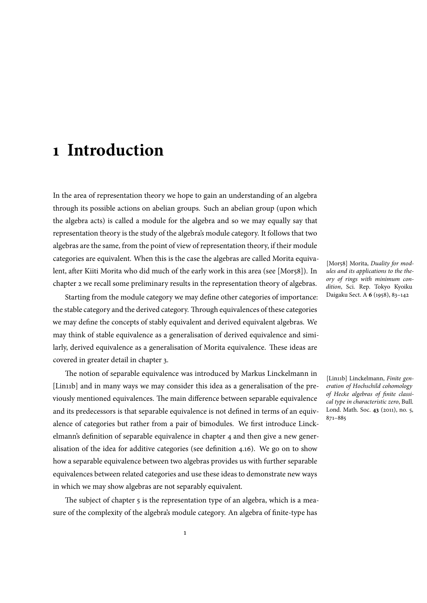## <span id="page-10-0"></span>**1 Introduction**

In the area of representation theory we hope to gain an understanding of an algebra through its possible actions on abelian groups. Such an abelian group (upon which the algebra acts) is called a module for the algebra and so we may equally say that representation theory is the study of the algebra's module category. It follows that two algebras are the same, from the point of view of representation theory, if their module categories are equivalent. When this is the case the algebras are called Morita equivalent, after Kiiti Morita who did much of the early work in this area (see [Mor58]). In chapter 2 we recall some preliminary results in the representation theory of algebras.

Starting from the module category we may define other categories of importance: the stable category and the derived category. Through equivalences of these categories we may [d](#page-14-0)efine the concepts of stably equivalent and derived equivalent algebras. We may think of stable equivalence as a generalisation of derived equivalence and similarly, derived equivalence as a generalisation of Morita equivalence. These ideas are covered in greater detail in chapter 3.

The notion of separable equivalence was introduced by Markus Linckelmann in [Lin11b] and in many ways we may consider this idea as a generalisation of the previously mentioned equivalences. [The](#page-34-0) main difference between separable equivalence and its predecessors is that separable equivalence is not defined in terms of an equivalence of categories but rather from a pair of bimodules. We first introduce Linckelmann's definition of separable equivalence in chapter 4 and then give a new generalisation of the idea for additive categories (see definition 4.16). We go on to show how a separable equivalence between two algebras provides us with further separable equivalences between related categories and use these id[ea](#page-42-0)s to demonstrate new ways in which we may show algebras are not separably equivalen[t.](#page-52-0)

The subject of chapter 5 is the representation type of an algebra, which is a measure of the complexity of the algebra's module category. An algebra of finite-type has

[Mor58] Morita, *Duality for modules and its applications to the theory of rings with minimum condition*, Sci. Rep. Tokyo Kyoiku Daigaku Sect. A **6** (1958), 83–142

[Lin11b] Linckelmann, *Finite generation of Hochschild cohomology of Hecke algebras of finite classical type in characteristic zero*, Bull. Lond. Math. Soc. **43** (2011), no. 5, 871–885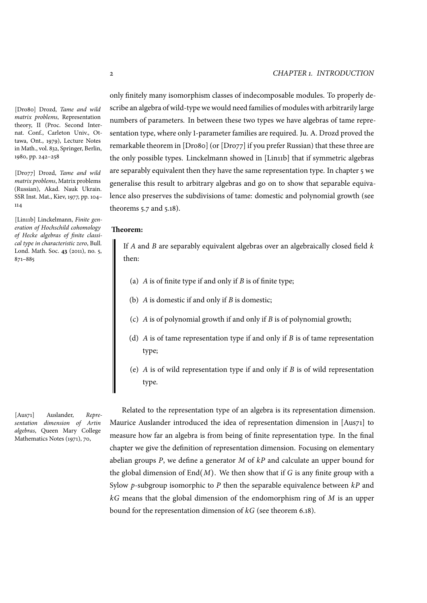only finitely many isomorphism classes of indecomposable modules. To properly describe an algebra of wild-type we would need families of modules with arbitrarily large numbers of parameters. In between these two types we have algebras of tame representation type, where only 1-parameter families are required. Ju. A. Drozd proved the remarkable theorem in [Dro80] (or [Dro77] if you prefer Russian) that these three are the only possible types. Linckelmann showed in [Lin11b] that if symmetric algebras are separably equivalent then they have the same representation type. In chapter 5 we generalise this result to arbitrary algebras and go on to show that separable equivalence also preserves the subdivisions of tame: domestic and polynomial growth (see theorems 5.7 and 5.18).

#### **Theorem:**

If *A* [and](#page-68-1) *B* a[re se](#page-73-0)parably equivalent algebras over an algebraically closed field *k* then:

- (a) *A* is of finite type if and only if *B* is of finite type;
- (b) *A* is domestic if and only if *B* is domestic;
- (c) *A* is of polynomial growth if and only if *B* is of polynomial growth;
- (d) *A* is of tame representation type if and only if *B* is of tame representation type;
- (e) *A* is of wild representation type if and only if *B* is of wild representation type.

Related to the representation type of an algebra is its representation dimension. Maurice Auslander introduced the idea of representation dimension in [Aus71] to measure how far an algebra is from being of finite representation type. In the final chapter we give the definition of representation dimension. Focusing on elementary abelian groups *P*, we define a generator *M* of *kP* and calculate an upper bound for the global dimension of End(*M*). We then show that if *G* is any finite group w[ith a](#page-82-0) [Sylow](#page-82-0) *p*-subgroup isomorphic to *P* then the separable equivalence between *kP* and *kG* means that the global dimension of the endomorphism ring of *M* is an upper bound for the representation dimension of *kG* (see theorem 6.18).

[Dro80] Drozd, *Tame and wild matrix problems*, Representation theory, II (Proc. Second Internat. Conf., Carleton Univ., Ottawa, Ont., 1979), Lecture Notes in Math., vol. 832, Springer, Berlin, 1980, pp. 242–258

[Dro77] Drozd, *Tame and wild matrix problems*, Matrix problems (Russian), Akad. Nauk Ukrain. SSR Inst. Mat., Kiev, 1977, pp. 104– 114

[Lin11b] Linckelmann, *Finite generation of Hochschild cohomology of Hecke algebras of finite classical type in characteristic zero*, Bull. Lond. Math. Soc. **43** (2011), no. 5, 871–885

[Aus71] Auslander, *Representation dimension of Artin algebras*, Queen Mary College Mathematics Notes (1971), 70,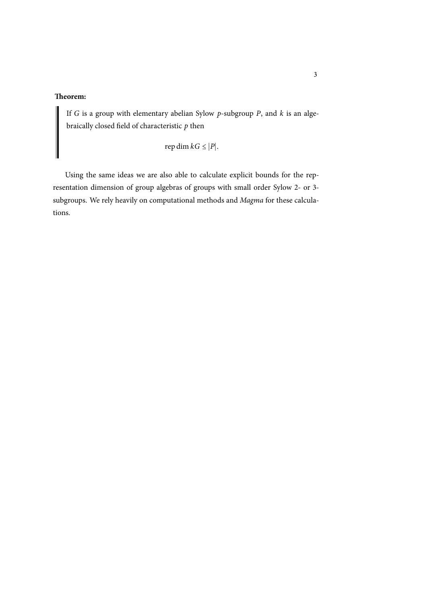### **Theorem:**

If *G* is a group with elementary abelian Sylow *p*-subgroup *P*, and *k* is an algebraically closed field of characteristic *p* then

rep dim  $kG \leq |P|$ .

Using the same ideas we are also able to calculate explicit bounds for the representation dimension of group algebras of groups with small order Sylow 2- or 3 subgroups. We rely heavily on computational methods and *Magma* for these calculations.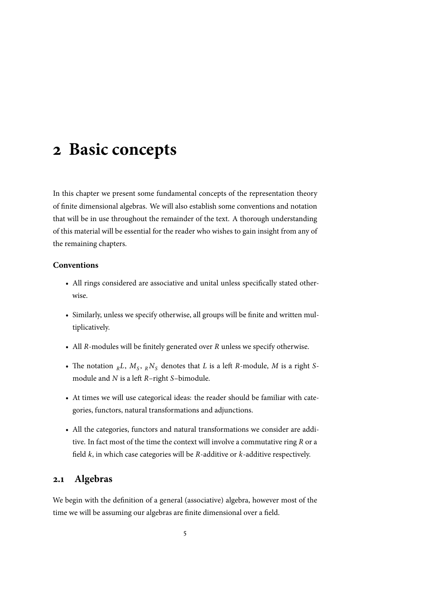## <span id="page-14-0"></span>**2 Basic concepts**

In this chapter we present some fundamental concepts of the representation theory of finite dimensional algebras. We will also establish some conventions and notation that will be in use throughout the remainder of the text. A thorough understanding of this material will be essential for the reader who wishes to gain insight from any of the remaining chapters.

#### **Conventions**

- All rings considered are associative and unital unless specifically stated otherwise.
- Similarly, unless we specify otherwise, all groups will be finite and written multiplicatively.
- All *R*-modules will be finitely generated over *R* unless we specify otherwise.
- The notation  $_{R}L$ ,  $M_{S}$ ,  $_{R}N_{S}$  denotes that *L* is a left *R*-module, *M* is a right *S*module and *N* is a left *R*–right *S*–bimodule.
- At times we will use categorical ideas: the reader should be familiar with categories, functors, natural transformations and adjunctions.
- All the categories, functors and natural transformations we consider are additive. In fact most of the time the context will involve a commutative ring *R* or a field *k*, in which case categories will be *R*-additive or *k*-additive respectively.

## <span id="page-14-1"></span>**2.1 Algebras**

We begin with the definition of a general (associative) algebra, however most of the time we will be assuming our algebras are finite dimensional over a field.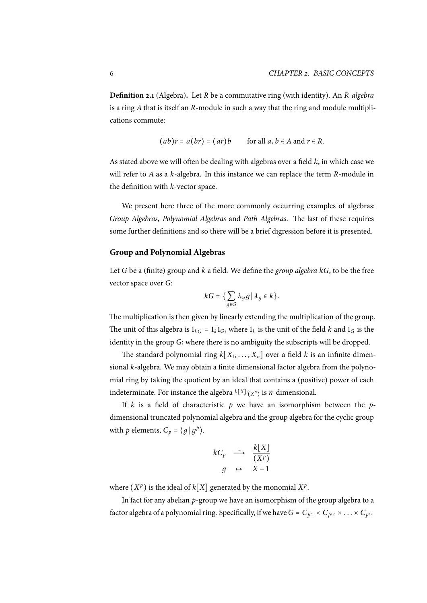**Definition 2.1** (Algebra)**.** Let *R* be a commutative ring (with identity). An *R-algebra* is a ring *A* that is itself an *R*-module in such a way that the ring and module multiplications commute:

$$
(ab)r = a(br) = (ar)b \qquad \text{for all } a, b \in A \text{ and } r \in R.
$$

As stated above we will often be dealing with algebras over a field *k*, in which case we will refer to *A* as a *k*-algebra. In this instance we can replace the term *R*-module in the definition with *k*-vector space.

We present here three of the more commonly occurring examples of algebras: *Group Algebras*, *Polynomial Algebras* and *Path Algebras*. The last of these requires some further definitions and so there will be a brief digression before it is presented.

#### **Group and Polynomial Algebras**

Let *G* be a (finite) group and *k* a field. We define the *group algebra kG*, to be the free vector space over *G*:

$$
kG = \{ \sum_{g \in G} \lambda_g g \, | \, \lambda_g \in k \}.
$$

The multiplication is then given by linearly extending the multiplication of the group. The unit of this algebra is  $1_{k} = 1_{k} 1_{G}$ , where  $1_{k}$  is the unit of the field *k* and  $1_{G}$  is the identity in the group *G*; where there is no ambiguity the subscripts will be dropped.

The standard polynomial ring  $k[X_1, \ldots, X_n]$  over a field  $k$  is an infinite dimensional *k*-algebra. We may obtain a finite dimensional factor algebra from the polynomial ring by taking the quotient by an ideal that contains a (positive) power of each indeterminate. For instance the algebra  $k[X]/(X^n)$  is *n*-dimensional.

If *k* is a field of characteristic *p* we have an isomorphism between the *p*dimensional truncated polynomial algebra and the group algebra for the cyclic group with *p* elements,  $C_p = \langle g | g^p \rangle$ .

$$
kC_p \xrightarrow{\sim} \frac{k[X]}{(X^p)}
$$
  

$$
g \mapsto X-1
$$

where  $(X^p)$  is the ideal of  $k[X]$  generated by the monomial  $X^p$ .

In fact for any abelian *p*-group we have an isomorphism of the group algebra to a factor algebra of a polynomial ring. Specifically, if we have  $G = C_{p^{r_1}} \times C_{p^{r_2}} \times \ldots \times C_{p^{r_n}}$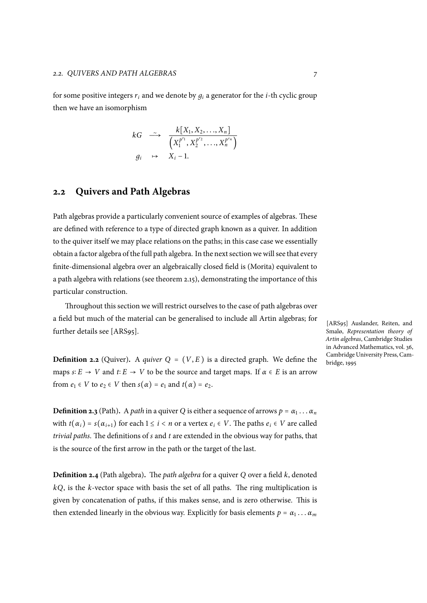for some positive integers  $r_i$  and we denote by  $q_i$  a generator for the *i*-th cyclic group then we have an isomorphism

$$
kG \longrightarrow \frac{k[X_1, X_2, \dots, X_n]}{\left(X_1^{p^{r_1}}, X_2^{p^{r_2}}, \dots, X_n^{p^{r_n}}\right)}
$$
  

$$
g_i \rightarrow X_i - 1.
$$

## **2.2 Quivers and Path Algebras**

<span id="page-16-0"></span>Path algebras provide a particularly convenient source of examples of algebras. These are defined with reference to a type of directed graph known as a quiver. In addition to the quiver itself we may place relations on the paths; in this case case we essentially obtain a factor algebra of the full path algebra. In the next section we will see that every finite-dimensional algebra over an algebraically closed field is (Morita) equivalent to a path algebra with relations (see theorem 2.15), demonstrating the importance of this particular construction.

Throughout this section we will restrict ourselves to the case of path algebras over a field but much of the material can be g[ener](#page-24-0)alised to include all Artin algebras; for further details see [ARS95].

**Definition 2.2** (Quiver). A *quiver*  $Q = (V, E)$  is a directed graph. We define the maps  $s: E \to V$  and  $t: E \to V$  to be the source and target maps. If  $\alpha \in E$  is an arrow from  $e_1 \in V$  to  $e_2 \in V$  then  $s(\alpha) = e_1$  and  $t(\alpha) = e_2$ .

**Definition 2.3** (Path). A *path* in a quiver *Q* is either a sequence of arrows  $p = \alpha_1 \dots \alpha_n$ with  $t(\alpha_i) = s(\alpha_{i+1})$  for each  $1 \leq i < n$  or a vertex  $e_i \in V$ . The paths  $e_i \in V$  are called *trivial paths*. The definitions of *s* and *t* are extended in the obvious way for paths, that is the source of the first arrow in the path or the target of the last.

**Definition 2.4** (Path algebra)**.** The *path algebra* for a quiver *Q* over a field *k*, denoted *kQ*, is the *k*-vector space with basis the set of all paths. The ring multiplication is given by concatenation of paths, if this makes sense, and is zero otherwise. This is then extended linearly in the obvious way. Explicitly for basis elements  $p = \alpha_1 \dots \alpha_m$ 

[ARS95] Auslander, Reiten, and Smalø, *Representation theory of Artin algebras*, Cambridge Studies in Advanced Mathematics, vol. 36, Cambridge University Press, Cambridge, 1995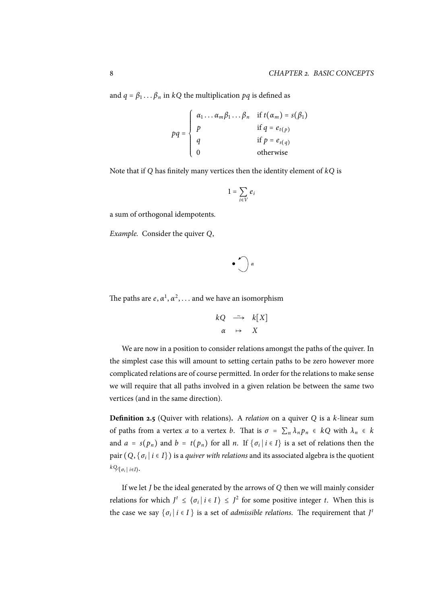and  $q = \beta_1 \dots \beta_n$  in  $kQ$  the multiplication  $pq$  is defined as

$$
pq = \begin{cases} \alpha_1 \dots \alpha_m \beta_1 \dots \beta_n & \text{if } t(\alpha_m) = s(\beta_1) \\ p & \text{if } q = e_{t(p)} \\ q & \text{if } p = e_{s(q)} \\ 0 & \text{otherwise} \end{cases}
$$

Note that if *Q* has finitely many vertices then the identity element of *kQ* is

$$
1=\sum_{i\in V}e_i
$$

a sum of orthogonal idempotents.

*Example.* Consider the quiver *Q*,

$$
\bullet \bigcirc \alpha
$$

The paths are  $e, \alpha^1, \alpha^2, \ldots$  and we have an isomorphism

$$
kQ \xrightarrow{\sim} k[X]
$$
  

$$
\alpha \mapsto X
$$

We are now in a position to consider relations amongst the paths of the quiver. In the simplest case this will amount to setting certain paths to be zero however more complicated relations are of course permitted. In order for the relations to make sense we will require that all paths involved in a given relation be between the same two vertices (and in the same direction).

**Definition 2.5** (Quiver with relations)**.** A *relation* on a quiver *Q* is a *k*-linear sum of paths from a vertex *a* to a vertex *b*. That is  $\sigma = \sum_{n} \lambda_n p_n \in kQ$  with  $\lambda_n \in k$ and  $a = s(p_n)$  and  $b = t(p_n)$  for all *n*. If  $\{\sigma_i | i \in I\}$  is a set of relations then the pair (*Q*, {*σ<sup>i</sup>* <sup>∣</sup> *<sup>i</sup>* <sup>∈</sup> *<sup>I</sup>*}) is a *quiver with relations* and its associated algebra is the quotient *kQ*⧸⟨*σ<sup>i</sup>* <sup>∣</sup> *<sup>i</sup>*∈*I*⟩.

If we let *J* be the ideal generated by the arrows of *Q* then we will mainly consider relations for which  $J^t \leq {\langle \sigma_i | i \in I \rangle} \leq J^2$  for some positive integer *t*. When this is the case we say  $\{\sigma_i \mid i \in I\}$  is a set of *admissible relations*. The requirement that  $J^t$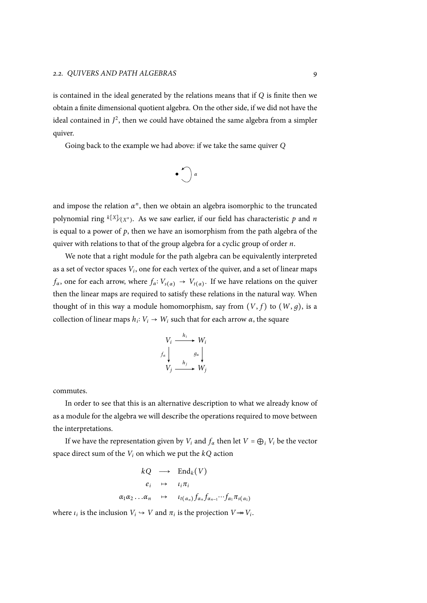is contained in the ideal generated by the relations means that if *Q* is finite then we obtain a finite dimensional quotient algebra. On the other side, if we did not have the ideal contained in  $J^2$ , then we could have obtained the same algebra from a simpler quiver.

Going back to the example we had above: if we take the same quiver *Q*

$$
\bullet \bigcirc \alpha
$$

and impose the relation  $\alpha^n$ , then we obtain an algebra isomorphic to the truncated polynomial ring *<sup>k</sup>*[*X*]⧸(*<sup>X</sup> n* ). As we saw earlier, if our field has characteristic *p* and *n* is equal to a power of  $p$ , then we have an isomorphism from the path algebra of the quiver with relations to that of the group algebra for a cyclic group of order *n*.

We note that a right module for the path algebra can be equivalently interpreted as a set of vector spaces *V<sup>i</sup>* , one for each vertex of the quiver, and a set of linear maps *f*<sub>*α*</sub>, one for each arrow, where  $f_a: V_{s(a)} \to V_{t(a)}$ . If we have relations on the quiver then the linear maps are required to satisfy these relations in the natural way. When thought of in this way a module homomorphism, say from  $(V, f)$  to  $(W, g)$ , is a collection of linear maps  $h_i: V_i \to W_i$  such that for each arrow  $\alpha$ , the square

$$
V_i \xrightarrow{h_i} W_i
$$
  

$$
f_\alpha \downarrow \qquad g_\alpha \downarrow
$$
  

$$
V_j \xrightarrow{h_j} W_j
$$

commutes.

In order to see that this is an alternative description to what we already know of as a module for the algebra we will describe the operations required to move between the interpretations.

If we have the representation given by  $V_i$  and  $f_\alpha$  then let  $V = \bigoplus_i V_i$  be the vector space direct sum of the *V<sup>i</sup>* on which we put the *kQ* action

$$
kQ \longrightarrow \text{End}_{k}(V)
$$
  
\n $e_{i} \longrightarrow \iota_{i}\pi_{i}$   
\n $\alpha_{1}\alpha_{2}...\alpha_{n} \longrightarrow \iota_{t(\alpha_{n})}f_{\alpha_{n}}f_{\alpha_{n-1}}\cdots f_{\alpha_{1}}\pi_{s(\alpha_{1})}$ 

where  $\iota_i$  is the inclusion  $V_i \hookrightarrow V$  and  $\pi_i$  is the projection  $V \rightarrow V_i$ .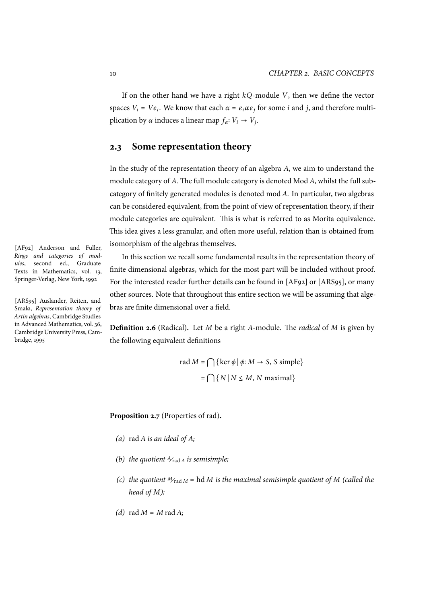If on the other hand we have a right *kQ*-module *V*, then we define the vector spaces  $V_i = Ve_i$ . We know that each  $\alpha = e_i \alpha e_j$  for some *i* and *j*, and therefore multiplication by *α* induces a linear map  $f_{\alpha}: V_i \rightarrow V_j$ .

### **2.3 Some representation theory**

In the study of the representation theory of an algebra *A*, we aim to understand the module category of *A*. The full module category is denoted Mod *A*, whilst the full subcategory of finitely generated modules is denoted mod *A*. In particular, two algebras can be considered equivalent, from the point of view of representation theory, if their module categories are equivalent. This is what is referred to as Morita equivalence. This idea gives a less granular, and often more useful, relation than is obtained from isomorphism of the algebras themselves.

In this section we recall some fundamental results in the representation theory of finite dimensional algebras, which for the most part will be included without proof. For the interested reader further details can be found in [AF92] or [ARS95], or many other sources. Note that throughout this entire section we will be assuming that algebras are finite dimensional over a field.

**Definition 2.6** (Radical)**.** Let *M* be a right *A*-module. The *radical* of *M* is given by the following equivalent definitions

rad 
$$
M = \bigcap \{ \ker \phi \mid \phi: M \to S, S \text{ simple} \}
$$
  
=  $\bigcap \{ N \mid N \le M, N \text{ maximal} \}$ 

**Proposition 2.7** (Properties of rad)**.**

- *(a)* rad *A is an ideal of A;*
- *(b) the quotient*  $A$ <sub>*rad A</sub> <i>is semisimple*;</sub>
- *(c)* the quotient  $M_{\text{rad }M}$  = hd *M* is the maximal semisimple quotient of *M (called the head of M);*
- $(d)$  rad  $M = M$  rad  $A$ ;

[AF92] Anderson and Fuller, *Rings and categories of modules*, second ed., Graduate Texts in Mathematics, vol. 13, Springer-Verlag, New York, 1992

[ARS95] Auslander, Reiten, and Smalø, *Representation theory of Artin algebras*, Cambridge Studies in Advanced Mathematics, vol. 36, Cambridge University Press, Cambridge, 1995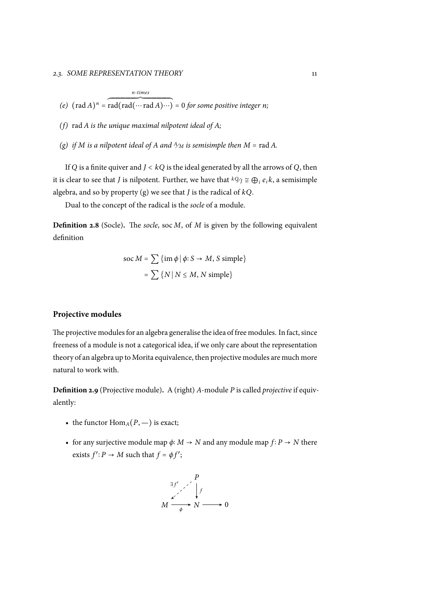- *(f)* rad *A is the unique maximal nilpotent ideal of A;*
- *(g) if M is a nilpotent ideal of A and*  $\frac{A}{M}$  *is semisimple then*  $M = \text{rad } A$ .

<span id="page-20-0"></span>If *<sup>Q</sup>* is a finite quiver and *<sup>J</sup>* <sup>&</sup>lt; *kQ* is the ideal generated by all the arrows of *<sup>Q</sup>*, then it is clear to see that *J* is nilpotent. Further, we have that  ${}^k\mathcal{Y}_j \cong \bigoplus_i e_i k$ , a semisimple algebra, and so by property (g) we see that *J* is the radical of *kQ*.

Dual to the concept of the radical is the *socle* of a module.

**Definition 2.8** (Socle)**.** The *[so](#page-20-0)cle*, soc *M*, of *M* is given by the following equivalent definition

$$
\text{soc } M = \sum {\{\text{im } \phi \mid \phi \colon S \to M, S \text{ simple}\}}
$$

$$
= \sum {\{N \mid N \le M, N \text{ simple}\}}
$$

#### **Projective modules**

The projective modules for an algebra generalise the idea of free modules. In fact, since freeness of a module is not a categorical idea, if we only care about the representation theory of an algebra up to Morita equivalence, then projective modules are much more natural to work with.

**Definition 2.9** (Projective module)**.** A (right) *A*-module *P* is called *projective* if equivalently:

- the functor  $\text{Hom}_{A}(P, -)$  is exact;
- for any surjective module map  $\phi$ : *M*  $\rightarrow$  *N* and any module map  $f$ : *P*  $\rightarrow$  *N* there exists  $f'$ :  $P \rightarrow M$  such that  $f = \phi f'$ ;

$$
M \xrightarrow{\exists f' \quad f \quad} M \xrightarrow{\mu} N \longrightarrow 0
$$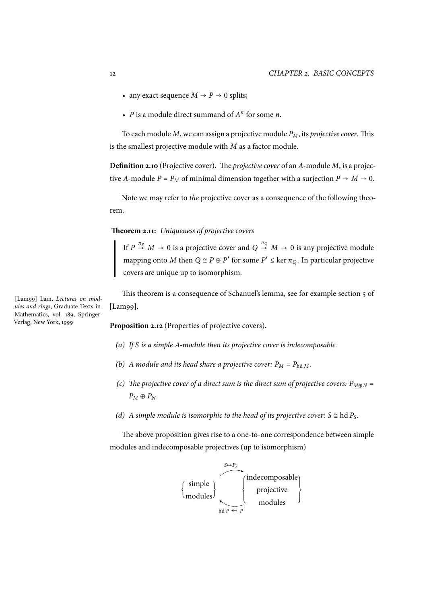- any exact sequence  $M \rightarrow P \rightarrow 0$  splits;
- *P* is a module direct summand of  $A^n$  for some *n*.

To each module *M*, we can assign a projective module *PM*, its *projective cover*. This is the smallest projective module with *M* as a factor module.

**Definition 2.10** (Projective cover)**.** The *projective cover* of an *A*-module *M*, is a projective *A*-module  $P = P_M$  of minimal dimension together with a surjection  $P \rightarrow M \rightarrow 0$ .

Note we may refer to *the* projective cover as a consequence of the following theorem.

<span id="page-21-0"></span>**Theorem 2.11:** *Uniqueness of projective covers*

If  $P \stackrel{\pi_P}{\rightarrow} M \rightarrow 0$  is a projective cover and  $Q \stackrel{\pi_Q}{\rightarrow} M \rightarrow 0$  is any projective module mapping onto *M* then  $Q \cong P \oplus P'$  for some  $P' \leq \ker \pi_Q$ . In particular projective covers are unique up to isomorphism.

This theorem is a consequence of Schanuel's lemma, see for example section 5 of [Lam99].

**Proposition 2.12** (Properties of projective covers)**.**

- *(a) If S is a simple A-module then its projective cover is indecomposable.*
- *(b) A module and its head share a projective cover:*  $P_M = P_{hdM}$ *.*
- *(c) The projective cover of a direct sum is the direct sum of projective covers:*  $P_{M \oplus N}$  =  $P_M \oplus P_N$ .
- *(d) A simple module is isomorphic to the head of its projective cover:*  $S \cong$  hd  $P_S$ *.*

The above proposition gives rise to a one-to-one correspondence between simple modules and indecomposable projectives (up to isomorphism)



[Lam99] Lam, *Lectures on modules and rings*, Graduate Texts in

Mathematics, vol. 189, Springer-

Verlag, New York, 1999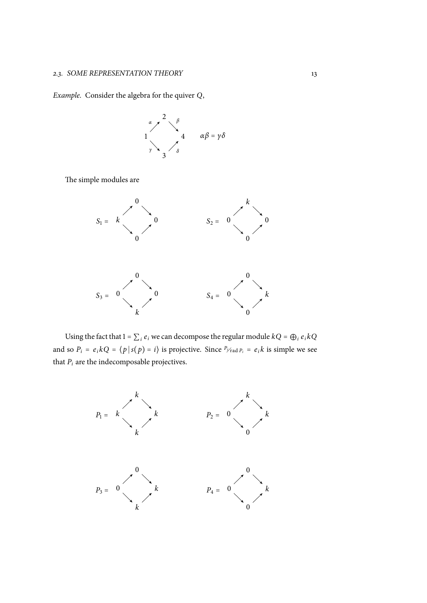*Example.* Consider the algebra for the quiver *Q*,

$$
\begin{array}{ccc}\n & \alpha & \lambda & \beta \\
 & & \lambda & \beta \\
 & & 4 & \alpha\beta = \gamma\delta\n\end{array}
$$

The simple modules are



Using the fact that  $1 = \sum_i e_i$  we can decompose the regular module  $kQ = \bigoplus_i e_i kQ$ and so  $P_i = e_i kQ = \langle p | s(p) = i \rangle$  is projective. Since  $P_{i \text{rad } P_i} = e_i k$  is simple we see that  $P_i$  are the indecomposable projectives.

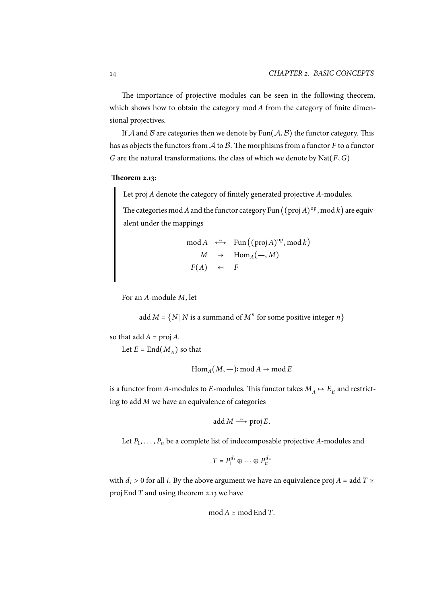The importance of projective modules can be seen in the following theorem, which shows how to obtain the category mod *A* from the category of finite dimensional projectives.

If  $A$  and  $B$  are categories then we denote by Fun( $A$ ,  $B$ ) the functor category. This has as objects the functors from *A* to *B*. The morphisms from a functor *F* to a functor *G* are the natural transformations, the class of which we denote by Nat(*F*,*G*)

#### **Theorem 2.13:**

Let proj *A* denote the category of finitely generated projective *A*-modules.

The categories mod  $A$  and the functor category Fun  $((\operatorname{proj} A)^{\operatorname{op}}, \operatorname{mod} k)$  are equivalent under the mappings

mod *A* 
$$
\leftarrow
$$
 Fun ((proj *A*)<sup>op</sup>, mod *k*)  
\n*M* → Hom<sub>*A*</sub>(−, *M*)  
\n*F*(*A*) ← *F*

For an *A*-module *M*, let

add  $M = \{N | N$  is a summand of  $M^n$  for some positive integer  $n\}$ 

so that  $add A = proj A$ .

Let  $E = \text{End}(M_A)$  so that

$$
Hom_A(M, -): mod A \to mod E
$$

is a functor from *A*-modules to *E*-modules. This functor takes  $M_A \mapsto E_E$  and restricting to add *M* we have an equivalence of categories

$$
add M \longrightarrow \text{proj } E.
$$

Let *P*<sup>1</sup> , . . . , *P<sup>n</sup>* be a complete list of indecomposable projective *A*-modules and

$$
T = P_1^{d_1} \oplus \cdots \oplus P_n^{d_n}
$$

with  $d_i > 0$  for all *i*. By the above argument we have an equivalence proj  $A =$  add  $T \approx$ proj End *T* and using theorem 2.13 we have

$$
\operatorname{mod} A \simeq \operatorname{mod} \operatorname{End} T.
$$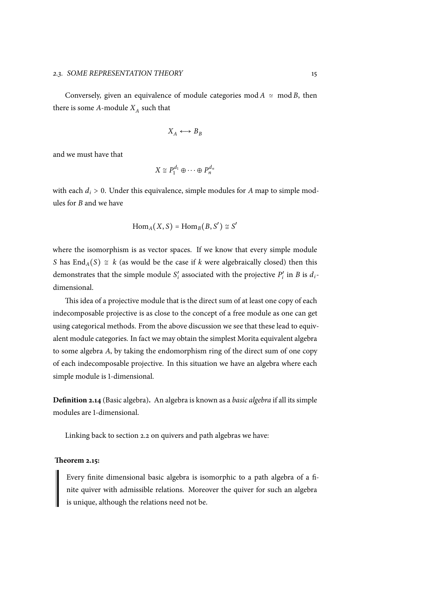Conversely, given an equivalence of module categories mod  $A \simeq \text{mod } B$ , then there is some  $A$ -module  $X_A$  such that

$$
X_A \longleftrightarrow B_B
$$

and we must have that

$$
X \cong P_1^{d_1} \oplus \cdots \oplus P_n^{d_n}
$$

with each  $d_i > 0$ . Under this equivalence, simple modules for *A* map to simple modules for *B* and we have

$$
\operatorname{Hom}_A(X, S) = \operatorname{Hom}_B(B, S') \cong S'
$$

where the isomorphism is as vector spaces. If we know that every simple module *S* has  $\text{End}_A(S) \cong k$  (as would be the case if *k* were algebraically closed) then this demonstrates that the simple module *S* ′  $\mathbf{F}_i$  associated with the projective  $P'_i$  $\int_i$  in *B* is *d*<sub>*i*</sub>dimensional.

This idea of a projective module that is the direct sum of at least one copy of each indecomposable projective is as close to the concept of a free module as one can get using categorical methods. From the above discussion we see that these lead to equivalent module categories. In fact we may obtain the simplest Morita equivalent algebra to some algebra *A*, by taking the endomorphism ring of the direct sum of one copy of each indecomposable projective. In this situation we have an algebra where each simple module is 1-dimensional.

**Definition 2.14** (Basic algebra)**.** An algebra is known as a *basic algebra* if all its simple modules are 1-dimensional.

Linking back to section 2.2 on quivers and path algebras we have:

#### **Theorem 2.15:**

<span id="page-24-0"></span>Every finite dimension[al b](#page-16-0)asic algebra is isomorphic to a path algebra of a finite quiver with admissible relations. Moreover the quiver for such an algebra is unique, although the relations need not be.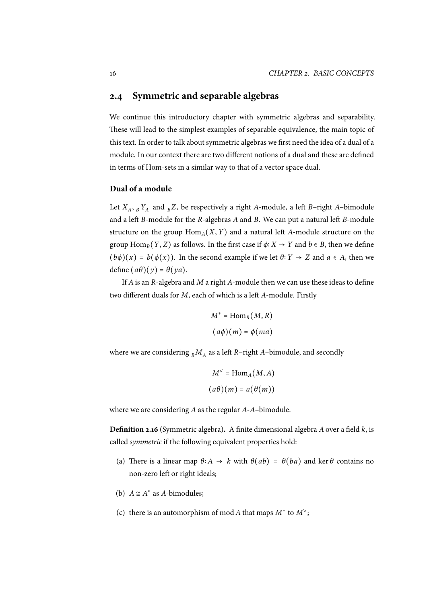### <span id="page-25-0"></span>**2.4 Symmetric and separable algebras**

We continue this introductory chapter with symmetric algebras and separability. These will lead to the simplest examples of separable equivalence, the main topic of this text. In order to talk about symmetric algebras we first need the idea of a dual of a module. In our context there are two different notions of a dual and these are defined in terms of Hom-sets in a similar way to that of a vector space dual.

#### **Dual of a module**

Let  $X_A$ ,  $_B Y_A$  and  $_B Z$ , be respectively a right *A*-module, a left *B*-right *A*-bimodule and a left *B*-module for the *R*-algebras *A* and *B*. We can put a natural left *B*-module structure on the group  $\text{Hom}_{A}(X, Y)$  and a natural left *A*-module structure on the group  $\text{Hom}_B(Y, Z)$  as follows. In the first case if  $\phi: X \to Y$  and  $b \in B$ , then we define  $(b\phi)(x) = b(\phi(x))$ . In the second example if we let  $\theta: Y \to Z$  and  $a \in A$ , then we define  $(a\theta)(y) = \theta(ya)$ .

If *A* is an *R*-algebra and *M* a right *A*-module then we can use these ideas to define two different duals for *M*, each of which is a left *A*-module. Firstly

$$
M^* = \text{Hom}_R(M, R)
$$

$$
(a\phi)(m) = \phi(ma)
$$

where we are considering  $_R M_A$  as a left *R*–right *A*–bimodule, and secondly

$$
M^{\vee} = \text{Hom}_{A}(M, A)
$$

$$
(a\theta)(m) = a(\theta(m))
$$

where we are considering *A* as the regular *A*-*A*–bimodule.

**Definition 2.16** (Symmetric algebra)**.** A finite dimensional algebra *A* over a field *k*, is called *symmetric* if the following equivalent properties hold:

- <span id="page-25-1"></span>(a) There is a linear map  $\theta$ : *A*  $\rightarrow k$  with  $\theta(ab) = \theta(ba)$  and ker  $\theta$  contains no non-zero left or right ideals;
- <span id="page-25-2"></span>(b)  $A \cong A^*$  as *A*-bimodules;
- <span id="page-25-3"></span>(c) there is an automorphism of mod *A* that maps  $M^*$  to  $M^{\vee}$ ;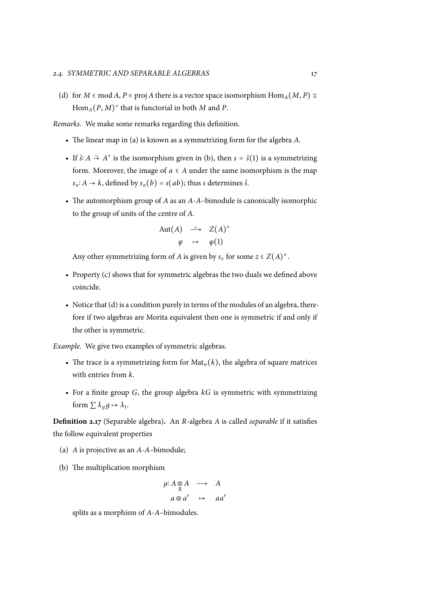(d) for *M*  $\in$  mod *A*, *P*  $\in$  proj *A* there is a vector space isomorphism Hom<sub>*A*</sub>(*M*, *P*) ≅ Hom*A*(*P*, *M*) *∗* that is functorial in both *M* and *P*.

<span id="page-26-0"></span>*Remarks.* We make some remarks regarding this definition.

- The linear map in (a) is known as a symmetrizing form for the algebra *A*.
- If  $\hat{s}: A \stackrel{\sim}{\rightarrow} A^*$  is the isomorphism given in (b), then  $s = \hat{s}(1)$  is a symmetrizing form. Moreover, t[he](#page-25-1) image of  $a \in A$  under the same isomorphism is the map  $s_a$ : *A* → *k*, defined by  $s_a(b) = s(ab)$ ; thus *s* determines *s*̂.
- The automorphism group of *A* as an *A*-*A*[–bim](#page-25-2)odule is canonically isomorphic to the group of units of the centre of *A*.

$$
\begin{array}{rcl}\n\text{Aut}(A) & \xrightarrow{\sim} & Z(A)^{\times} \\
\varphi & \mapsto & \varphi(1)\n\end{array}
$$

Any other symmetrizing form of *A* is given by  $s_z$  for some  $z \in Z(A)^{\times}$ .

- Property (c) shows that for symmetric algebras the two duals we defined above coincide.
- $\bullet~$  Notice that (d) is a condition purely in terms of the modules of an algebra, therefore if two algebras are Morita equivalent then one is symmetric if and only if the other is symmetric.

*Example.* We giv[e tw](#page-26-0)o examples of symmetric algebras.

- The trace is a symmetrizing form for  $\text{Mat}_n(k)$ , the algebra of square matrices with entries from *k*.
- For a finite group *G*, the group algebra *kG* is symmetric with symmetrizing form  $\sum \lambda_g g \mapsto \lambda_1$ .

**Definition 2.17** (Separable algebra)**.** An *R*-algebra *A* is called *separable* if it satisfies the follow equivalent properties

- (a) *A* is projective as an *A*-*A*–bimodule;
- (b) The multiplication morphism

$$
\begin{array}{ccc}\n\mu: A \underset{R}{\otimes} A & \longrightarrow & A \\
a \underset{R}{\otimes} a' & \mapsto & aa'\n\end{array}
$$

splits as a morphism of *A*-*A*–bimodules.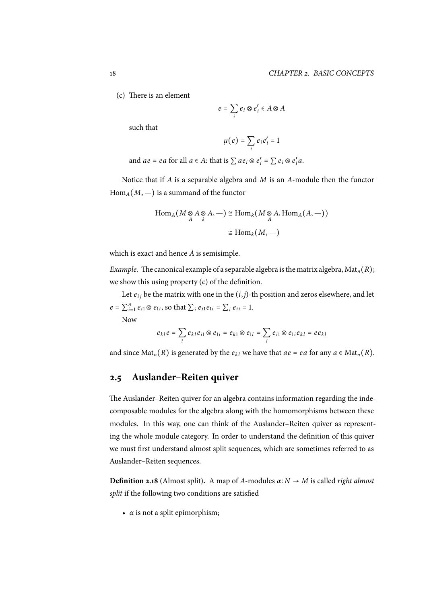(c) There is an element

$$
e=\sum_i e_i\otimes e_i'\in A\otimes A
$$

such that

$$
\mu(e)=\sum_i e_ie_i'=1
$$

and  $ae = ea$  for all  $a \in A$ : that is  $\sum ae_i \otimes e'_i = \sum e_i \otimes e'_i$ *i a*.

Notice that if *A* is a separable algebra and *M* is an *A*-module then the functor  $Hom_A(M, -)$  is a summand of the functor

$$
\operatorname{Hom}_A(M \underset{A}{\otimes} A \underset{k}{\otimes} A, -) \cong \operatorname{Hom}_k(M \underset{A}{\otimes} A, \operatorname{Hom}_A(A, -))
$$

$$
\cong \operatorname{Hom}_k(M, -)
$$

which is exact and hence *A* is semisimple.

*Example.* The canonical example of a separable algebra is the matrix algebra,  $Mat_n(R)$ ; we show this using property (c) of the definition.

Let  $e_{ij}$  be the matrix with one in the  $(i, j)$ -th position and zeros elsewhere, and let  $e = \sum_{i=1}^{n} e_{i1} \otimes e_{1i}$ , so that  $\sum_{i} e_{i1} e_{1i} = \sum_{i} e_{ii} = 1$ . Now

$$
e_{kl}e = \sum_i e_{kl}e_{i1} \otimes e_{1i} = e_{k1} \otimes e_{1l} = \sum_i e_{i1} \otimes e_{1i}e_{kl} = ee_{kl}
$$

and since  $\text{Mat}_n(R)$  is generated by the  $e_{kl}$  we have that  $ae = ea$  for any  $a \in \text{Mat}_n(R)$ .

## **2.5 Auslander–Reiten quiver**

<span id="page-27-0"></span>The Auslander–Reiten quiver for an algebra contains information regarding the indecomposable modules for the algebra along with the homomorphisms between these modules. In this way, one can think of the Auslander–Reiten quiver as representing the whole module category. In order to understand the definition of this quiver we must first understand almost split sequences, which are sometimes referred to as Auslander–Reiten sequences.

**Definition 2.18** (Almost split)**.** A map of *A*-modules *α*∶ *N* → *M* is called *right almost split* if the following two conditions are satisfied

 $\cdot$  *α* is not a split epimorphism;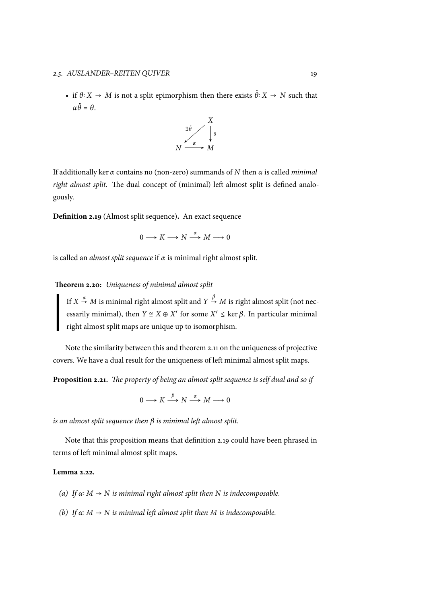• if  $\theta$ **:**  $X \to M$  is not a split epimorphism then there exists  $\tilde{\theta}$ **:**  $X \to N$  such that *α* ˜*<sup>θ</sup>* <sup>=</sup> *<sup>θ</sup>*.



If additionally ker *α* contains no (non-zero) summands of *N* then *α* is called *minimal right almost split*. The dual concept of (minimal) left almost split is defined analogously.

**Definition 2.19** (Almost split sequence)**.** An exact sequence

 $0 \longrightarrow K \longrightarrow N \stackrel{\alpha}{\longrightarrow} M \longrightarrow 0$ 

is called an *almost split sequence* if *α* is minimal right almost split.

#### **Theorem 2.20:** *Uniqueness of minimal almost split*

If  $X \stackrel{\alpha}{\rightarrow} M$  is minimal right almost split and  $Y \stackrel{\beta}{\rightarrow} M$  is right almost split (not necessarily minimal), then  $Y \cong X \oplus X'$  for some  $X' \leq \ker \beta$ . In particular minimal right almost split maps are unique up to isomorphism.

Note the similarity between this and theorem 2.11 on the uniqueness of projective covers. We have a dual result for the uniqueness of left minimal almost split maps.

**Proposition 2.21.** *The property of being an almos[t spl](#page-21-0)it sequence is self dual and so if*

$$
0 \longrightarrow K \xrightarrow{\beta} N \xrightarrow{\alpha} M \longrightarrow 0
$$

*is an almost split sequence then β is minimal left almost split.*

Note that this proposition means that definition 2.19 could have been phrased in terms of left minimal almost split maps.

#### **Lemma 2.22.**

- *(a) If*  $\alpha$ :  $M \rightarrow N$  *is minimal right almost split then*  $N$  *is indecomposable.*
- *(b) If α*∶ *M* → *N is minimal left almost split then M is indecomposable.*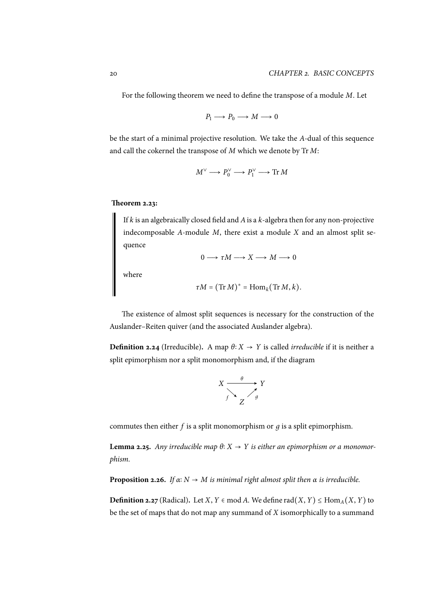For the following theorem we need to define the transpose of a module *M*. Let

$$
P_1 \longrightarrow P_0 \longrightarrow M \longrightarrow 0
$$

be the start of a minimal projective resolution. We take the *A*-dual of this sequence and call the cokernel the transpose of *M* which we denote by Tr *M*:

$$
M^{\vee} \longrightarrow P_0^{\vee} \longrightarrow P_1^{\vee} \longrightarrow \text{Tr } M
$$

#### **Theorem 2.23:**

If *k* is an algebraically closed field and *A*is a *k*-algebra then for any non-projective indecomposable *A*-module *M*, there exist a module *X* and an almost split sequence

 $0 \longrightarrow \tau M \longrightarrow X \longrightarrow M \longrightarrow 0$ 

where

$$
\tau M = (\mathrm{Tr}\,M)^* = \mathrm{Hom}_k(\mathrm{Tr}\,M, k).
$$

The existence of almost split sequences is necessary for the construction of the Auslander–Reiten quiver (and the associated Auslander algebra).

**Definition 2.24** (Irreducible). A map  $\theta$ :  $X \rightarrow Y$  is called *irreducible* if it is neither a split epimorphism nor a split monomorphism and, if the diagram

$$
X \xrightarrow{f} Y
$$
  
\n $f \xrightarrow{f} Z$ 

commutes then either *f* is a split monomorphism or *д* is a split epimorphism.

**Lemma 2.25.** *Any irreducible map*  $θ: X → Y$  *is either an epimorphism or a monomorphism.*

**Proposition 2.26.** *If*  $\alpha$ :  $N \rightarrow M$  *is minimal right almost split then*  $\alpha$  *is irreducible.* 

**Definition 2.27** (Radical). Let *X*, *Y* ∈ mod *A*. We define rad(*X*, *Y*) ≤ Hom<sub>*A*</sub>(*X*, *Y*) to be the set of maps that do not map any summand of *X* isomorphically to a summand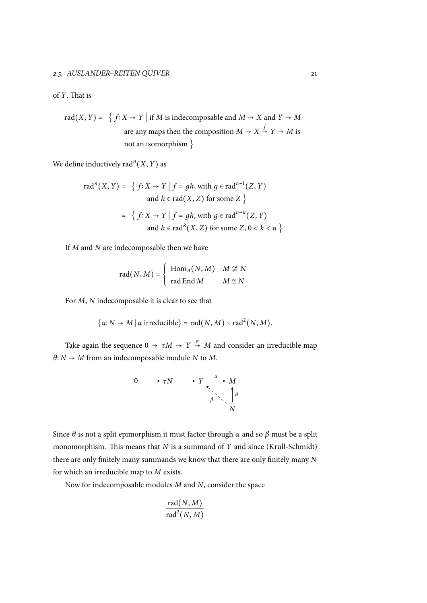#### of *Y*. That is

rad(X, Y) = { 
$$
f: X \rightarrow Y
$$
 | if *M* is indecomposable and *M* → *X* and *Y* → *M*  
are any maps then the composition *M* → *X*  $\xrightarrow{f} Y \rightarrow M$  is  
not an isomorphism }

We define inductively rad<sup>*n*</sup>(*X*, *Y*) as

rad<sup>*n*</sup>(X, Y) = { 
$$
f: X \rightarrow Y | f = gh
$$
, with  $g \in rad^{n-1}(Z, Y)$   
and  $h \in rad(X, Z)$  for some Z }  
= {  $f: X \rightarrow Y | f = gh$ , with  $g \in rad^{n-k}(Z, Y)$   
and  $h \in rad^k(X, Z)$  for some Z, 0 < k < n }

If *M* and *N* are indecomposable then we have

$$
rad(N, M) = \begin{cases} Hom_A(N, M) & M \ncong N \\ rad \operatorname{End} M & M \cong N \end{cases}
$$

For *M*, *N* indecomposable it is clear to see that

$$
\{\alpha: N \to M \mid \alpha \text{ irreducible}\} = \text{rad}(N, M) \setminus \text{rad}^2(N, M).
$$

Take again the sequence  $0 \to \tau M \to Y \stackrel{\alpha}{\to} M$  and consider an irreducible map  $\theta$ <sup>*: N* → *M* from an indecomposable module *N* to *M*.</sup>

$$
0 \longrightarrow \tau N \longrightarrow Y \xrightarrow[\beta]{\alpha} M
$$

Since *θ* is not a split epimorphism it must factor through *α* and so *β* must be a split monomorphism. This means that *N* is a summand of *Y* and since (Krull-Schmidt) there are only finitely many summands we know that there are only finitely many *N* for which an irreducible map to *M* exists.

Now for indecomposable modules *M* and *N*, consider the space

$$
\frac{\mathrm{rad}(N,M)}{\mathrm{rad}^2(N,M)}
$$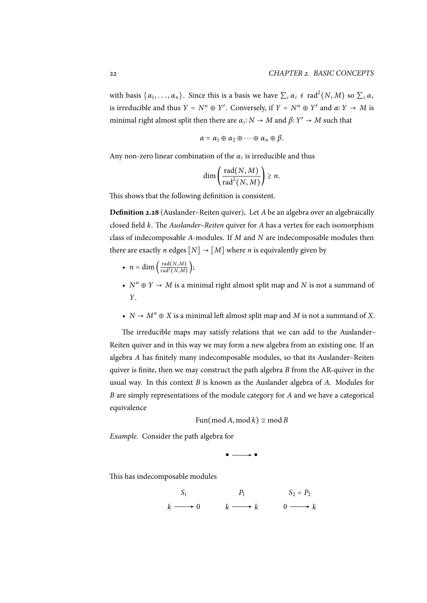with basis  $\{\alpha_1, \ldots, \alpha_n\}$ . Since this is a basis we have  $\sum_i \alpha_i \notin \text{rad}^2(N, M)$  so  $\sum_i \alpha_i$ is irreducible and thus  $Y = N^n \oplus Y'$ . Conversely, if  $Y = N^n \oplus Y'$  and  $\alpha: Y \to M$  is minimal right almost split then there are  $\alpha_i: N \to M$  and  $\beta: Y' \to M$  such that

$$
\alpha = \alpha_1 \oplus \alpha_2 \oplus \cdots \oplus \alpha_n \oplus \beta.
$$

Any non-zero linear combination of the  $\alpha_i$  is irreducible and thus

$$
\dim\left(\frac{\text{rad}(N,M)}{\text{rad}^2(N,M)}\right) \geq n.
$$

This shows that the following definition is consistent.

**Definition 2.28** (Auslander–Reiten quiver)**.** Let *A* be an algebra over an algebraically closed field *k*. The *Auslander–Reiten* quiver for *A* has a vertex for each isomorphism class of indecomposable *A*-modules. If *M* and *N* are indecomposable modules then there are exactly *n* edges  $[N] \rightarrow [M]$  where *n* is equivalently given by

- $n = \dim \left( \frac{\text{rad}(N,M)}{\text{rad}^2(N,M)} \right);$
- $N^n \oplus Y \to M$  is a minimal right almost split map and *N* is not a summand of *Y*.
- $N \rightarrow M^n \oplus X$  is a minimal left almost split map and *M* is not a summand of *X*.

The irreducible maps may satisfy relations that we can add to the Auslander– Reiten quiver and in this way we may form a new algebra from an existing one. If an algebra *A* has finitely many indecomposable modules, so that its Auslander–Reiten quiver is finite, then we may construct the path algebra *B* from the AR-quiver in the usual way. In this context *B* is known as the Auslander algebra of *A*. Modules for *B* are simply representations of the module category for *A* and we have a categorical equivalence

 $Fun(\text{mod }A, \text{mod }k) \cong \text{mod }B$ 

*Example.* Consider the path algebra for

$$
\bullet \longrightarrow \bullet
$$

This has indecomposable modules

$$
S_1 \qquad P_1 \qquad S_2 = P_2
$$
\n
$$
k \longrightarrow 0 \qquad k \longrightarrow k \qquad 0 \longrightarrow k
$$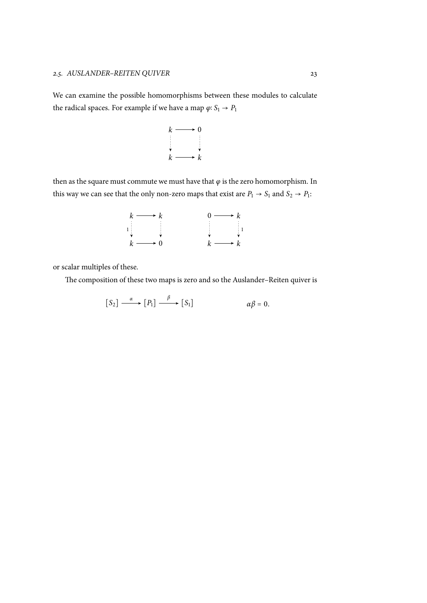We can examine the possible homomorphisms between these modules to calculate the radical spaces. For example if we have a map  $\varphi\colon S_1\to P_1$ 

$$
\begin{array}{ccc}\nk & \longrightarrow & 0 \\
\downarrow & & \downarrow \\
k & \longrightarrow & k\n\end{array}
$$

then as the square must commute we must have that  $\varphi$  is the zero homomorphism. In this way we can see that the only non-zero maps that exist are  $P_1 \rightarrow S_1$  and  $S_2 \rightarrow P_1$ :



or scalar multiples of these.

The composition of these two maps is zero and so the Auslander–Reiten quiver is

$$
[S_2] \xrightarrow{\alpha} [P_1] \xrightarrow{\beta} [S_1] \qquad \alpha\beta = 0.
$$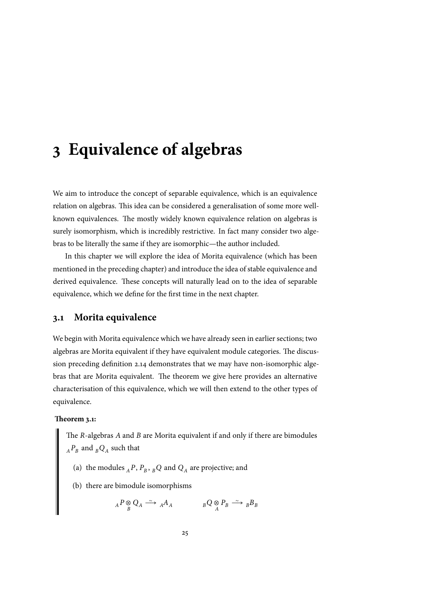# <span id="page-34-0"></span>**3 Equivalence of algebras**

We aim to introduce the concept of separable equivalence, which is an equivalence relation on algebras. This idea can be considered a generalisation of some more wellknown equivalences. The mostly widely known equivalence relation on algebras is surely isomorphism, which is incredibly restrictive. In fact many consider two algebras to be literally the same if they are isomorphic—the author included.

In this chapter we will explore the idea of Morita equivalence (which has been mentioned in the preceding chapter) and introduce the idea of stable equivalence and derived equivalence. These concepts will naturally lead on to the idea of separable equivalence, which we define for the first time in the next chapter.

### **3.1 Morita equivalence**

We begin with Morita equivalence which we have already seen in earlier sections; two algebras are Morita equivalent if they have equivalent module categories. The discussion preceding definition 2.14 demonstrates that we may have non-isomorphic algebras that are Morita equivalent. The theorem we give here provides an alternative characterisation of this equivalence, which we will then extend to the other types of equivalence.

#### **Theorem 3.1:**

The *R*-algebras *A* and *B* are Morita equivalent if and only if there are bimodules  $_{A}P_{B}$  and  $_{B}Q_{A}$  such that

- (a) the modules  $_A P$ ,  $P_B$ ,  $_B Q$  and  $Q_A$  are projective; and
- (b) there are bimodule isomorphisms

$$
{}_{A}P \underset{B}{\otimes} Q_{A} \xrightarrow{\sim} {}_{A}A_{A} \qquad \qquad {}_{B}Q \underset{A}{\otimes} P_{B} \xrightarrow{\sim} {}_{B}B_{B}
$$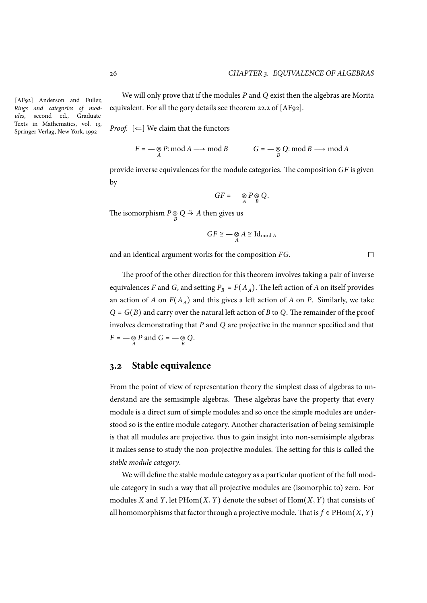$\Box$ 

[AF92] Anderson and Fuller, *Rings and categories of modules*, second ed., Graduate Texts in Mathematics, vol. 13, Springer-Verlag, New York, 1992

We will only prove that if the modules *P* and *Q* exist then the algebras are Morita equivalent. For all the gory details see theorem 22.2 of [AF92].

*Proof.*  $[\Leftarrow]$  We claim that the functors

$$
F = -\underset{A}{\otimes} P: \operatorname{mod} A \longrightarrow \operatorname{mod} B \qquad G = -\underset{B}{\otimes} Q: \operatorname{mod} B \longrightarrow \operatorname{mod} A
$$

provide inverse equivalences for the module categories. The composition *GF* is given by

$$
GF=-\mathop{\otimes}_A P\mathop{\otimes}_B Q.
$$

The isomorphism  $P \underset{B}{\otimes} Q \overset{\sim}{\rightarrow} A$  then gives us

$$
GF \cong -\underset{A}{\otimes} A \cong \mathrm{Id}_{\mathrm{mod}\,A}
$$

and an identical argument works for the composition *FG*.

The proof of the other direction for this theorem involves taking a pair of inverse equivalences *F* and *G*, and setting  $P_B = F(A_A)$ . The left action of *A* on itself provides an action of *A* on  $F(A_A)$  and this gives a left action of *A* on *P*. Similarly, we take *<sup>Q</sup>* <sup>=</sup> *<sup>G</sup>*(*B*) and carry over the natural left action of *<sup>B</sup>* to *<sup>Q</sup>*. The remainder of the proof involves demonstrating that *P* and *Q* are projective in the manner specified and that  $F = -\underset{A}{\otimes} P$  and  $G = -\underset{B}{\otimes} Q$ .

## <span id="page-35-0"></span>**3.2 Stable equivalence**

From the point of view of representation theory the simplest class of algebras to understand are the semisimple algebras. These algebras have the property that every module is a direct sum of simple modules and so once the simple modules are understood so is the entire module category. Another characterisation of being semisimple is that all modules are projective, thus to gain insight into non-semisimple algebras it makes sense to study the non-projective modules. The setting for this is called the *stable module category*.

We will define the stable module category as a particular quotient of the full module category in such a way that all projective modules are (isomorphic to) zero. For modules *X* and *Y*, let PHom(*X*, *Y*) denote the subset of Hom(*X*, *Y*) that consists of all homomorphisms that factor through a projective module. That is  $f \in PHom(X, Y)$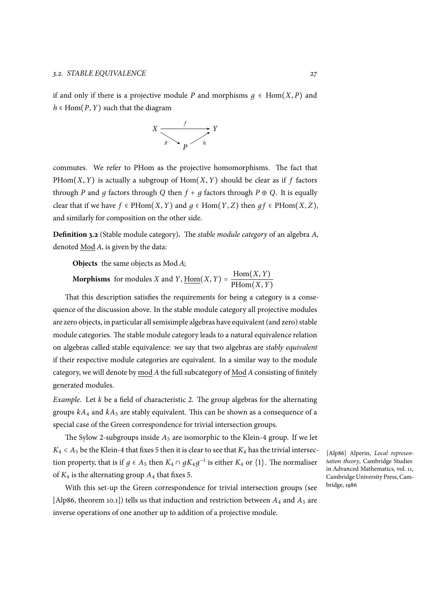if and only if there is a projective module *P* and morphisms  $q \in Hom(X, P)$  and  $h \in Hom(P, Y)$  such that the diagram



commutes. We refer to PHom as the projective homomorphisms. The fact that PHom $(X, Y)$  is actually a subgroup of Hom $(X, Y)$  should be clear as if f factors through *P* and *q* factors through *Q* then  $f + q$  factors through  $P \oplus Q$ . It is equally clear that if we have  $f \in PHom(X, Y)$  and  $q \in Hom(Y, Z)$  then  $q f \in PHom(X, Z)$ , and similarly for composition on the other side.

**Definition 3.2** (Stable module category)**.** The *stable module category* of an algebra *A*, denoted Mod *A*, is given by the data:

**Objects** the same objects as Mod *A*;

**Morphisms** for modules *X* and *Y*,  $\underline{\text{Hom}}(X, Y) = \frac{\text{Hom}(X, Y)}{\text{PHom}(X, Y)}$ PHom(*X*, *Y*)

That this description satisfies the requirements for being a category is a consequence of the discussion above. In the stable module category all projective modules are zero objects, in particular all semisimple algebras have equivalent (and zero) stable module categories. The stable module category leads to a natural equivalence relation on algebras called stable equivalence: we say that two algebras are *stably equivalent* if their respective module categories are equivalent. In a similar way to the module category, we will denote by mod *A* the full subcategory of Mod *A* consisting of finitely generated modules.

*Example.* Let *k* be a field of characteristic 2. The group algebras for the alternating groups  $kA_4$  and  $kA_5$  are stably equivalent. This can be shown as a consequence of a special case of the Green correspondence for trivial intersection groups.

The Sylow 2-subgroups inside  $A_5$  are isomorphic to the Klein-4 group. If we let  $K_4 < A_5$  be the Klein-4 that fixes 5 then it is clear to see that  $K_4$  has the trivial intersection property, that is if  $g \in A_5$  then  $K_4 \cap gK_4g^{-1}$  is either  $K_4$  or  $\{1\}$ . The normaliser of  $K_4$  is the alternating group  $A_4$  that fixes 5.

With this set-up the Green correspondence for trivial intersection groups (see [Alp86, theorem 10.1]) tells us that induction and restriction between  $A_4$  and  $A_5$  are inverse operations of one another up to addition of a projective module.

[Alp86] Alperin, *Local representation theory*, Cambridge Studies in Advanced Mathematics, vol. 11, Cambridge University Press, Cambridge, 1986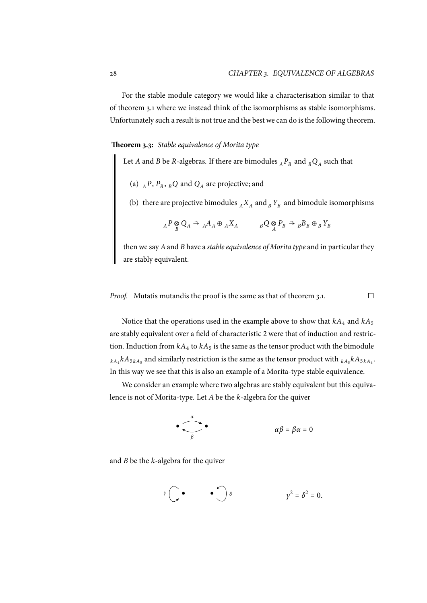For the stable module category we would like a characterisation similar to that of theorem 3.1 where we instead think of the isomorphisms as stable isomorphisms. Unfortunately such a result is not true and the best we can do is the following theorem.

### **Theorem 3[.3:](#page-34-0)** *Stable equivalence of Morita type*

<span id="page-37-0"></span>Let *A* and *B* be *R*-algebras. If there are bimodules  ${_{A}P_{B}}$  and  ${_{B}Q_{A}}$  such that

- (a)  $_{A}P$ ,  $P_{B}$ ,  $_{B}Q$  and  $Q_{A}$  are projective; and
- (b) there are projective bimodules  $_A X_A$  and  $_B Y_B$  and bimodule isomorphisms

$$
{}_{A}P \underset{B}{\otimes} Q_{A} \stackrel{\simeq}{\rightarrow} {}_{A}A_{A} \oplus {}_{A}X_{A} \qquad \qquad {}_{B}Q \underset{A}{\otimes} P_{B} \stackrel{\simeq}{\rightarrow} {}_{B}B_{B} \oplus {}_{B}Y_{B}
$$

then we say *A*and *B* have a *stable equivalence of Morita type* and in particular they are stably equivalent.

*Proof.* Mutatis mutandis the proof is the same as that of theorem 3.1.  $\Box$ 

Notice that the operations used in the example above to show that  $kA_4$  and  $kA_5$ are stably equivalent over a field of characteristic 2 were that of in[duc](#page-34-0)tion and restriction. Induction from  $kA_4$  to  $kA_5$  is the same as the tensor product with the bimodule  $_{kA_4}kA_{5\overline{k}A_5}$  and similarly restriction is the same as the tensor product with  $_{kA_5}kA_{5\overline{k}A_4}.$ In this way we see that this is also an example of a Morita-type stable equivalence.

We consider an example where two algebras are stably equivalent but this equivalence is not of Morita-type. Let *A* be the *k*-algebra for the quiver

$$
\bullet \qquad \qquad \bullet \qquad \alpha \beta = \beta \alpha = 0
$$

and *B* be the *k*-algebra for the quiver

$$
y\bigcirc\bullet\qquad\bullet\bigcirc\delta\qquad\qquad y^2=\delta^2=0.
$$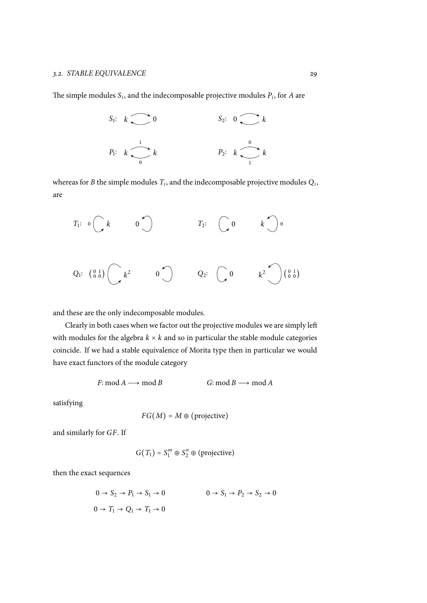The simple modules  $S_i$ , and the indecomposable projective modules  $P_i$ , for  $A$  are

$$
S_1: k \longrightarrow 0
$$
  
\n
$$
P_1: k \longrightarrow 0
$$
  
\n
$$
S_2: 0 \longrightarrow k
$$
  
\n
$$
P_2: k \longrightarrow 0
$$
  
\n
$$
I
$$

whereas for *B* the simple modules  $T_i$ , and the indecomposable projective modules  $Q_i$ , are

$$
T_1: \begin{array}{ccccc} 0 & k & 0 \end{array} \begin{array}{ccccc} & T_2: & \begin{array}{ccccc} 0 & k & 0 \end{array} \end{array}
$$

and these are the only indecomposable modules.

Clearly in both cases when we factor out the projective modules we are simply left with modules for the algebra  $k \times k$  and so in particular the stable module categories coincide. If we had a stable equivalence of Morita type then in particular we would have exact functors of the module category

 $F: \text{mod } A \longrightarrow \text{mod } B$   $G: \text{mod } B \longrightarrow \text{mod } A$ 

satisfying

$$
FG(M) = M \oplus (projective)
$$

and similarly for *GF*. If

$$
G(T_1) = S_1^m \oplus S_2^n \oplus \text{(projective)}
$$

then the exact sequences

$$
0 \to S_2 \to P_1 \to S_1 \to 0
$$
  

$$
0 \to T_1 \to Q_1 \to T_1 \to 0
$$
  

$$
0 \to T_1 \to Q_1 \to T_1 \to 0
$$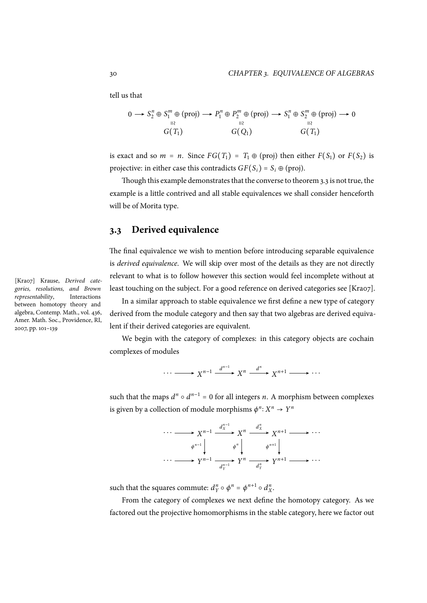tell us that

$$
0 \longrightarrow S_2^n \oplus S_1^m \oplus (proj) \longrightarrow P_1^n \oplus P_2^m \oplus (proj) \longrightarrow S_1^n \oplus S_2^m \oplus (proj) \longrightarrow 0
$$
  
\n
$$
G(T_1) \qquad G(Q_1) \qquad G(T_1)
$$

is exact and so  $m = n$ . Since  $FG(T_1) = T_1 \oplus (proj)$  then either  $F(S_1)$  or  $F(S_2)$  is projective: in either case this contradicts  $GF(S_i) = S_i \oplus (proj)$ .

Though this example demonstrates that the converse to theorem 3.3 is not true, the example is a little contrived and all stable equivalences we shall consider henceforth will be of Morita type.

## **3.3 Derived equivalence**

The final equivalence we wish to mention before introducing separable equivalence is *derived equivalence*. We will skip over most of the details as they are not directly relevant to what is to follow however this section would feel incomplete without at least touching on the subject. For a good reference on derived categories see [Kra07].

In a similar approach to stable equivalence we first define a new type of category derived from the module category and then say that two algebras are derived equivalent if their derived categories are equivalent.

We begin with the category of complexes: in this category objects are cochain complexes of modules

$$
\cdots \longrightarrow X^{n-1} \xrightarrow{d^{n-1}} X^n \xrightarrow{d^n} X^{n+1} \longrightarrow \cdots
$$

such that the maps  $d^n \circ d^{n-1} = 0$  for all integers *n*. A morphism between complexes is given by a collection of module morphisms  $\phi^n: X^n \to Y^n$ 



such that the squares commute:  $d_Y^n \circ \phi^n = \phi^{n+1} \circ d_X^n$ .

From the category of complexes we next define the homotopy category. As we factored out the projective homomorphisms in the stable category, here we factor out

[Kra07] Krause, *Derived categories, resolutions, and Brown representability*, Interactions between homotopy theory and algebra, Contemp. Math., vol. 436, Amer. Math. Soc., Providence, RI, 2007, pp. 101–139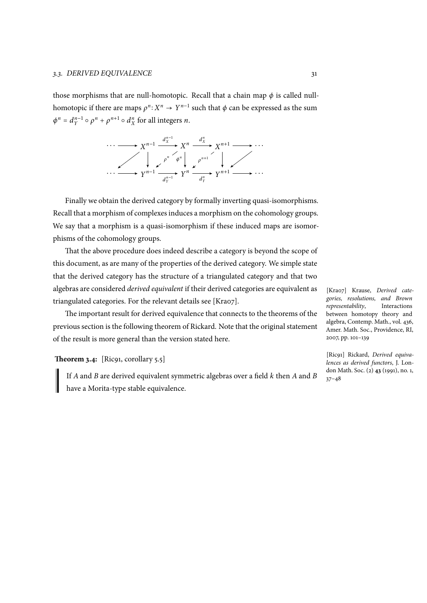those morphisms that are null-homotopic. Recall that a chain map  $\phi$  is called nullhomotopic if there are maps  $\rho^n: X^n \to Y^{n-1}$  such that  $\phi$  can be expressed as the sum  $\phi^n = d_Y^{n-1} \circ \rho^n + \rho^{n+1} \circ d_X^n$  for all integers *n*.



Finally we obtain the derived category by formally inverting quasi-isomorphisms. Recall that a morphism of complexes induces a morphism on the cohomology groups. We say that a morphism is a quasi-isomorphism if these induced maps are isomorphisms of the cohomology groups.

That the above procedure does indeed describe a category is beyond the scope of this document, as are many of the properties of the derived category. We simple state that the derived category has the structure of a triangulated category and that two algebras are considered *derived equivalent* if their derived categories are equivalent as triangulated categories. For the relevant details see [Kra07].

The important result for derived equivalence that connects to the theorems of the previous section is the following theorem of Rickard. Note that the original statement of the result is more general than the version stated here.

### <span id="page-40-0"></span>**Theorem 3.4:** [Ric91, corollary 5.5]

If *A* and *B* are derived equivalent symmetric algebras over a field *k* then *A* and *B* have a Morita-type stable equivalence.

[Kra07] Krause, *Derived categories, resolutions, and Brown representability*, Interactions between homotopy theory and algebra, Contemp. Math., vol. 436, Amer. Math. Soc., Providence, RI, 2007, pp. 101–139

[Ric91] Rickard, *Derived equivalences as derived functors*, J. London Math. Soc. (2) **43** (1991), no. 1, 37–48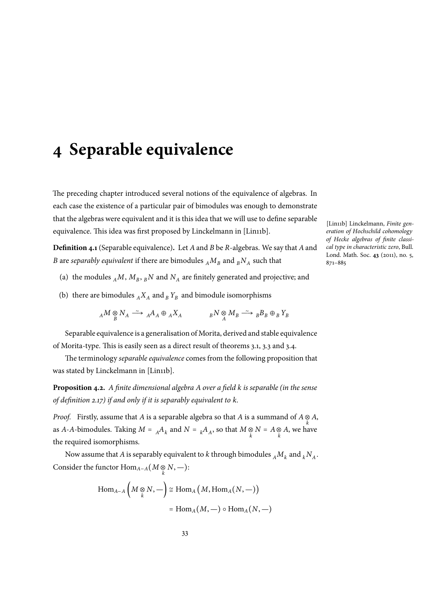# **4 Separable equivalence**

The preceding chapter introduced several notions of the equivalence of algebras. In each case the existence of a particular pair of bimodules was enough to demonstrate that the algebras were equivalent and it is this idea that we will use to define separable equivalence. This idea was first proposed by Linckelmann in [Lin11b].

**Definition 4.1**(Separable equivalence)**.** Let *A*and *B* be *R*-algebras. We say that *A*and *B* are *separably equivalent* if there are bimodules  $_A M_B$  and  $_B N_A$  such that

- (a) the modules  $_A M$ ,  $M_B$ ,  $_B N$  and  $N_A$  are finitely generated and projective; and
- (b) there are bimodules  $_A X_A$  and  $_B Y_B$  and bimodule isomorphisms

$$
{}_A M \underset{B}{\otimes} N_A \stackrel{\sim}{\longrightarrow} {}_A A_A \oplus {}_A X_A \qquad \qquad {}_B N \underset{A}{\otimes} M_B \stackrel{\sim}{\longrightarrow} {}_B B_B \oplus {}_B Y_B
$$

Separable equivalence is a generalisation of Morita, derived and stable equivalence of Morita-type. This is easily seen as a direct result of theorems 3.1, 3.3 and 3.4.

The terminology *separable equivalence* comes from the following proposition that was stated by Linckelmann in [Lin11b].

**Proposition 4.2.** *A finite dimensional algebra A over a field k is [sep](#page-34-0)[arab](#page-37-0)le (i[n th](#page-40-0)e sense of definition 2.17) if and only if it is separably equivalent to k.*

*Proof.* Firstly, assume that *A* is a separable algebra so that *A* is a summand of  $A \underset{k}{\otimes} A$ , as *A*-*A*-bimodules. Taking  $M = {}_A A_k$  and  $N = {}_k A_A$ , so that  $M \underset{k}{\otimes} N = A \underset{k}{\otimes} A$ , we have the required [isom](#page-26-0)orphisms.

Now assume that *A* is separably equivalent to *k* through bimodules  $_A M_k$  and  $_k N_A$ . Consider the functor  $\mathrm{Hom}_{A-A}(M \otimes N, -)$ :

$$
\text{Hom}_{A-A}\left(M \underset{k}{\otimes} N, -\right) \cong \text{Hom}_{A}\left(M, \text{Hom}_{A}(N, -)\right)
$$

$$
= \text{Hom}_{A}(M, -) \circ \text{Hom}_{A}(N, -)
$$

[Lin11b] Linckelmann, *Finite generation of Hochschild cohomology of Hecke algebras of finite classical type in characteristic zero*, Bull. Lond. Math. Soc. **43** (2011), no. 5, 871–885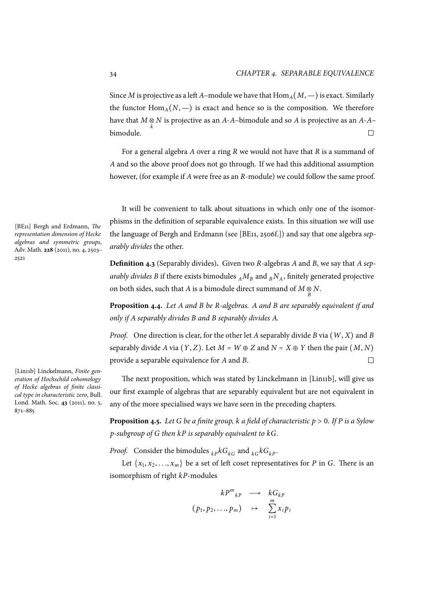Since *M* is projective as a left *A*–module we have that  $\text{Hom}_{A}(M, -)$  is exact. Similarly the functor  $\text{Hom}_{A}(N, -)$  is exact and hence so is the composition. We therefore have that  $M \underset{k}{\otimes} N$  is projective as an *A*-*A*–bimodule and so *A* is projective as an *A*-*A*– bimodule.  $\Box$ 

For a general algebra *A* over a ring *R* we would not have that *R* is a summand of *A* and so the above proof does not go through. If we had this additional assumption however, (for example if *A* were free as an *R*-module) we could follow the same proof.

It will be convenient to talk about situations in which only one of the isomorphisms in the definition of separable equivalence exists. In this situation we will use the language of Bergh and Erdmann (see [BE11, 2506f.]) and say that one algebra *separably divides* the other.

**Definition 4.3** (Separably divides)**.** Given two *R*-algebras *A* and *B*, we say that *A separably divides B* if there exists bimodules  $_A M_B$  and  $_B N_A$ , finitely generated projective on both sides, such that *A* is a bimodule direct summand of  $M \underset{B}{\otimes} N$ .

**Proposition 4.4.** *Let A and B be R-algebras. A and B are separably equivalent if and only if A separably divides B and B separably divides A.*

*Proof.* One direction is clear, for the other let *A* separably divide *B* via (*W*, *X*) and *B* separably divide *A* via  $(Y, Z)$ . Let  $M = W \oplus Z$  and  $N = X \oplus Y$  then the pair  $(M, N)$ <br>provide a separable equivalence for *A* and *B* provide a separable equivalence for *A* and *B*.

The next proposition, which was stated by Linckelmann in [Lin11b], will give us our first example of algebras that are separably equivalent but are not equivalent in any of the more specialised ways we have seen in the preceding chapters.

<span id="page-43-0"></span>**Proposition 4.5.** *Let <sup>G</sup> be a finite group, <sup>k</sup> a field of characteristic <sup>p</sup>* <sup>&</sup>gt; <sup>0</sup>*. If <sup>P</sup> is a Sylow p-subgroup of G then kP is separably equivalent to kG.*

*Proof.* Consider the bimodules  $k_{p}kG_{k}$  and  $k_{G}kG_{k}$ .

Let  $\{x_1, x_2, \ldots, x_m\}$  be a set of left coset representatives for *P* in *G*. There is an isomorphism of right *kP*-modules

$$
kP^{m}_{kP} \longrightarrow kG_{kP}
$$

$$
(p_1, p_2, ..., p_m) \longrightarrow \sum_{i=1}^{m} x_i p_i
$$

[BE11] Bergh and Erdmann, *The representation dimension of Hecke algebras and symmetric groups*, Adv. Math. **228** (2011), no. 4, 2503– 2521

[Lin11b] Linckelmann, *Finite generation of Hochschild cohomology of Hecke algebras of finite classical type in characteristic zero*, Bull. Lond. Math. Soc. **43** (2011), no. 5, 871–885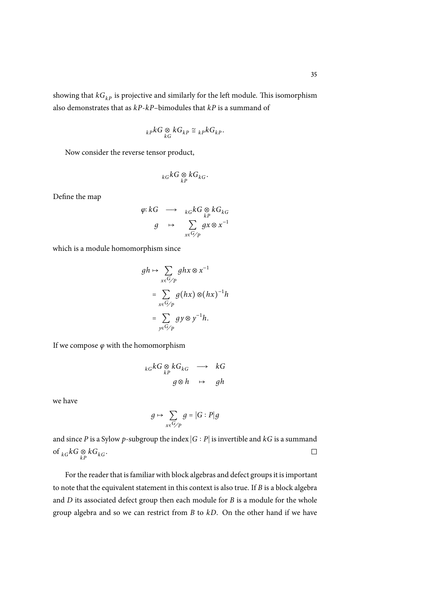$$
_{kP}kG\underset{kG}{\otimes }kG_{kp}\cong {_{kP}kG_{kp}}.
$$

Now consider the reverse tensor product,

$$
_{kG}kG\underset{kp}{\otimes }kG_{kG}.
$$

Define the map

$$
\varphi: kG \longrightarrow k_G kG \underset{k \in P}{\otimes} kG_{kG}
$$

$$
g \longrightarrow \sum_{x \in G/P} gx \otimes x^{-1}
$$

which is a module homomorphism since

$$
gh \mapsto \sum_{x \in G/p} ghx \otimes x^{-1}
$$
  
= 
$$
\sum_{x \in G/p} g(hx) \otimes (hx)^{-1}h
$$
  
= 
$$
\sum_{y \in G/p} gy \otimes y^{-1}h.
$$

If we compose *ϕ* with the homomorphism

$$
{}_{kG}kG \underset{kP}{\otimes} kG_{kG} \longrightarrow kG
$$
  

$$
g \otimes h \longrightarrow gh
$$

we have

$$
g \mapsto \sum_{x \in G/p} g = |G : P|g
$$

and since *P* is a Sylow *p*-subgroup the index ∣*G* ∶ *P*∣ is invertible and *kG* is a summand  $\Box$ of  $_{kG}kG \underset{kP}{\otimes} kG_{kG}$ .

For the reader that is familiar with block algebras and defect groups it is important to note that the equivalent statement in this context is also true. If *B* is a block algebra and *D* its associated defect group then each module for *B* is a module for the whole group algebra and so we can restrict from *B* to *kD*. On the other hand if we have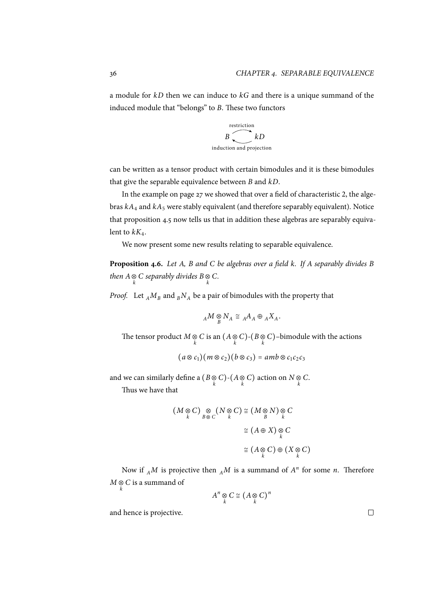a module for *kD* then we can induce to *kG* and there is a unique summand of the induced module that "belongs" to *B*. These two functors



can be written as a tensor product with certain bimodules and it is these bimodules that give the separable equivalence between *B* and *kD*.

In the example on page 27 we showed that over a field of characteristic 2, the algebras  $kA_4$  and  $kA_5$  were stably equivalent (and therefore separably equivalent). Notice that proposition 4.5 now tells us that in addition these algebras are separably equivalent to  $kK_4$ .

We now present some new results relating to separable equivalence.

**Proposition 4.6.** *Let A, B and C be algebras over a field k. If A separably divides B then*  $A \otimes C$  *separably divides*  $B \otimes C$ .

*Proof.* Let  $_A M_B$  and  $_B N_A$  be a pair of bimodules with the property that

$$
{}_A M \underset{B}{\otimes} N_A \cong {}_A A_A \oplus {}_A X_A.
$$

The tensor product  $M \underset{k}{\otimes} C$  is an  $(A \underset{k}{\otimes} C)$ - $(B \underset{k}{\otimes} C)$ –bimodule with the actions

$$
(a\otimes c_1)(m\otimes c_2)(b\otimes c_3)=amb\otimes c_1c_2c_3
$$

and we can similarly define a  $(B \otimes C)$ - $(A \otimes C)$  action on  $N \otimes C$ .

Thus we have that

$$
(M \underset{k}{\otimes} C) \underset{B \otimes C}{\otimes} (N \underset{k}{\otimes} C) \cong (M \underset{B}{\otimes} N) \underset{k}{\otimes} C
$$

$$
\cong (A \oplus X) \underset{k}{\otimes} C
$$

$$
\cong (A \underset{k}{\otimes} C) \oplus (X \underset{k}{\otimes} C)
$$

Now if  $_A M$  is projective then  $_A M$  is a summand of  $A^n$  for some *n*. Therefore  $M \underset{k}{\otimes} C$  is a summand of

$$
A^n\underset{k}{\otimes}C\cong \big(A\underset{k}{\otimes}C\big)^n
$$

and hence is projective.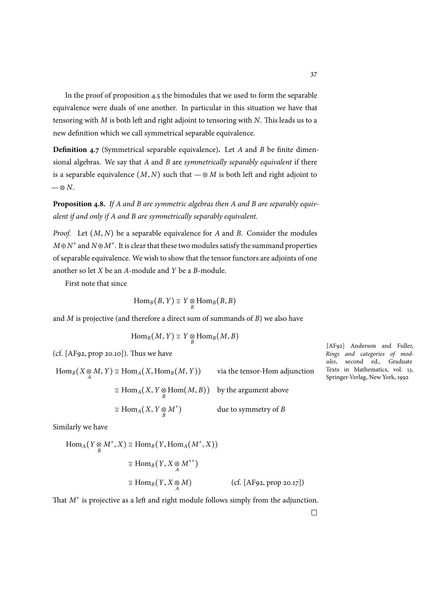In the proof of proposition 4.5 the bimodules that we used to form the separable equivalence were duals of one another. In particular in this situation we have that tensoring with *M* is both left and right adjoint to tensoring with *N*. This leads us to a new definition which we call sy[mm](#page-43-0)etrical separable equivalence.

**Definition 4.7** (Symmetrical separable equivalence)**.** Let *A* and *B* be finite dimensional algebras. We say that *A* and *B* are *symmetrically separably equivalent* if there is a separable equivalence  $(M, N)$  such that  $-\otimes M$  is both left and right adjoint to  $-\otimes N$ .

**Proposition 4.8.** *If A and B are symmetric algebras then A and B are separably equivalent if and only if A and B are symmetrically separably equivalent.*

*Proof.* Let (*M*, *N*) be a separable equivalence for *A* and *B*. Consider the modules *M*⊕*N ∗* and *N*⊕*M<sup>∗</sup>* . It is clear that these two modules satisfy the summand properties of separable equivalence. We wish to show that the tensor functors are adjoints of one another so let *X* be an *A*-module and *Y* be a *B*-module.

First note that since

$$
\mathrm{Hom}_B(B, Y) \cong Y \underset{B}{\otimes} \mathrm{Hom}_B(B, B)
$$

and *M* is projective (and therefore a direct sum of summands of *B*) we also have

$$
\mathrm{Hom}_B(M, Y) \cong Y \underset{B}{\otimes} \mathrm{Hom}_B(M, B)
$$

 $(cf. [AF92, prop 20.10]).$  Thus we have

 $\operatorname{Hom}_B(X \otimes M, Y) \cong \operatorname{Hom}_A(X, \operatorname{Hom}_B(M, Y))$  via the tensor-Hom adjunction  $\cong$  Hom<sub>*A*</sub>(*X*, *Y*  $\underset{B}{\otimes}$  Hom(*M*, *B*)) by the argument above <sup>≅</sup> Hom*A*(*X*, *<sup>Y</sup>* <sup>⊗</sup> *B M∗* ) due to symmetry of *B*

[AF92] Anderson and Fuller, *Rings and categories of modules*, second ed., Graduate Texts in Mathematics, vol. 13, Springer-Verlag, New York, 1992

Similarly we have

$$
\text{Hom}_{A}(Y \underset{B}{\otimes} M^{*}, X) \cong \text{Hom}_{B}(Y, \text{Hom}_{A}(M^{*}, X))
$$
\n
$$
\cong \text{Hom}_{B}(Y, X \underset{A}{\otimes} M^{**})
$$
\n
$$
\cong \text{Hom}_{B}(Y, X \underset{A}{\otimes} M) \qquad \text{(cf. [AF92, prop 20.17])}
$$

That *M∗* is projective as a left and right module follows simply from the adjunction.

37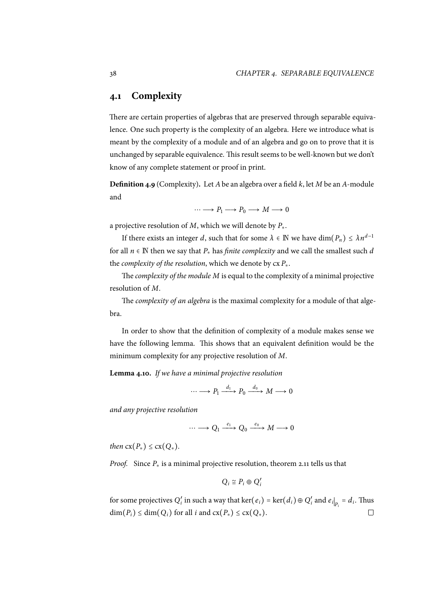# **4.1 Complexity**

There are certain properties of algebras that are preserved through separable equivalence. One such property is the complexity of an algebra. Here we introduce what is meant by the complexity of a module and of an algebra and go on to prove that it is unchanged by separable equivalence. This result seems to be well-known but we don't know of any complete statement or proof in print.

**Definition 4.9** (Complexity)**.** Let *A*be an algebra over a field *k*, let *M* be an *A*-module and

$$
\cdots \longrightarrow P_1 \longrightarrow P_0 \longrightarrow M \longrightarrow 0
$$

a projective resolution of *M*, which we will denote by *P∗*.

If there exists an integer *d*, such that for some  $\lambda \in \mathbb{N}$  we have  $\dim(P_n) \leq \lambda n^{d-1}$ for all  $n \in \mathbb{N}$  then we say that  $P_*$  has *finite complexity* and we call the smallest such *d* the *complexity of the resolution*, which we denote by cx *P∗*.

The *complexity of the module M* is equal to the complexity of a minimal projective resolution of *M*.

The *complexity of an algebra* is the maximal complexity for a module of that algebra.

In order to show that the definition of complexity of a module makes sense we have the following lemma. This shows that an equivalent definition would be the minimum complexity for any projective resolution of *M*.

**Lemma 4.10.** *If we have a minimal projective resolution*

$$
\cdots \longrightarrow P_1 \xrightarrow{d_1} P_0 \xrightarrow{d_0} M \longrightarrow 0
$$

*and any projective resolution*

$$
\cdots \longrightarrow Q_1 \xrightarrow{\varepsilon_1} Q_0 \xrightarrow{\varepsilon_0} M \longrightarrow 0
$$

*then*  $cx(P_*) \leq cx(Q_*)$ .

*Proof.* Since  $P$ <sup>∗</sup> is a minimal projective resolution, theorem 2.11 tells us that

$$
Q_i \cong P_i \oplus Q_i'
$$

for some projectives *Q* ′  $Q'_i$  $Q'_i$  in such a way that ker $(e_i)$  = ker $(d_i) \oplus Q'_i$  $\int_i$  and  $e_i|_{P_i} = d_i$ . Thus  $\dim(P_i) \leq \dim(Q_i)$  for all *i* and  $\text{cx}(P_*) \leq \text{cx}(Q_*)$ .  $\Box$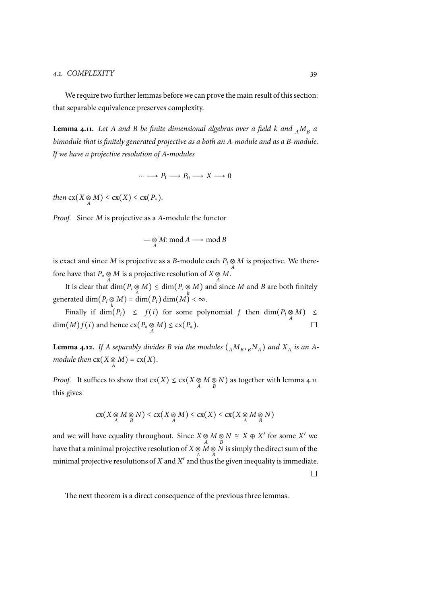#### *4.1. COMPLEXITY* 39

We require two further lemmas before we can prove the main result of this section: that separable equivalence preserves complexity.

**Lemma 4.11.** Let A and B be finite dimensional algebras over a field k and  $_A M_B$  a *bimodule that is finitely generated projective as a both an A-module and as a B-module. If we have a projective resolution of A-modules*

 $\cdots \longrightarrow P_1 \longrightarrow P_0 \longrightarrow X \longrightarrow 0$ 

*then*  $cx(X \underset{A}{\otimes} M) \leq cx(X) \leq cx(P_*)$ .

*Proof.* Since *M* is projective as a *A*-module the functor

$$
\mathop{\mathop{\sim}}\limits_A \mathop{\mathop{\sim}} M:\mathop{\rm mod}\nolimits A\mathop{\longrightarrow}\limits\mathop{\rm mod}\nolimits B
$$

is exact and since  $M$  is projective as a  $B$ -module each  $P_i \underset{A}{\otimes} M$  is projective. We therefore have that  $P_* \underset{A}{\otimes} M$  is a projective resolution of  $X \underset{A}{\otimes} M$ .

It is clear that  $\dim(P_i \otimes M) \leq \dim(P_i \otimes M)$  and since *M* and *B* are both finitely  $\mathop{\rm generated}\nolimits\dim(P_i\mathop{\otimes}\nolimits M)=\dim(P_i)\dim(M)<\infty.$ 

Finally if  $\dim(P_i) \leq f(i)$  for some polynomial *f* then  $\dim(P_i \underset{A}{\otimes} M) \leq$  $dim(M)f(i)$  and hence  $cx(P_* \underset{A}{\otimes} M) \leq cx(P_*)$ .

**Lemma 4.12.** If A separably divides B via the modules  $({}_A M_B, {}_B N_A)$  and  $X_A$  is an A*module then*  $cx(X \underset{A}{\otimes} M) = cx(X)$ *.* 

*Proof.* It suffices to show that  $cx(X) \leq cx(X \otimes M \otimes N)$  as together with lemma 4.11 this gives

$$
cx(X \underset{A}{\otimes} M \underset{B}{\otimes} N) \leq cx(X \underset{A}{\otimes} M) \leq cx(X) \leq cx(X \underset{A}{\otimes} M \underset{B}{\otimes} N)
$$

and we will have equality throughout. Since  $X \underset{A}{\otimes} M \underset{B}{\otimes} N \cong X \oplus X'$  for some  $X'$  we have that a minimal projective resolution of  $X \underset{A}{\otimes} M \underset{B}{\otimes} N$  is simply the direct sum of the minimal projective resolutions of  $X$  and  $X'$  and thus the given inequality is immediate.

 $\Box$ 

The next theorem is a direct consequence of the previous three lemmas.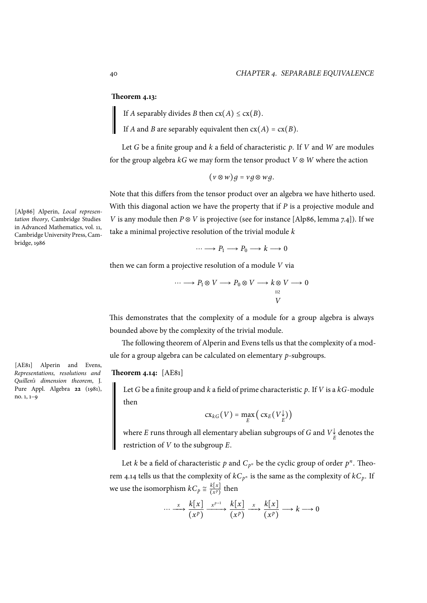### **Theorem 4.13:**

If *A* separably divides *B* then  $cx(A) \leq cx(B)$ .

If *A* and *B* are separably equivalent then  $cx(A) = cx(B)$ .

Let *G* be a finite group and *k* a field of characteristic *p*. If *V* and *W* are modules for the group algebra *kG* we may form the tensor product *V* ⊗ *W* where the action

(*<sup>v</sup>* <sup>⊗</sup>*w*)*<sup>д</sup>* <sup>=</sup> *v д*⊗*w д*.

Note that this differs from the tensor product over an algebra we have hitherto used. With this diagonal action we have the property that if *P* is a projective module and *V* is any module then *P* ⊗ *V* is projective (see for instance [Alp86, lemma 7.4]). If we take a minimal projective resolution of the trivial module *k*

$$
\cdots \longrightarrow P_1 \longrightarrow P_0 \longrightarrow k \longrightarrow 0
$$

then we can form a projective resolution of a module *V* via

$$
\cdots \longrightarrow P_1 \otimes V \longrightarrow P_0 \otimes V \longrightarrow k \otimes V \longrightarrow 0
$$
  

$$
\stackrel{\text{II2}}{V}
$$

This demonstrates that the complexity of a module for a group algebra is always bounded above by the complexity of the trivial module.

The following theorem of Alperin and Evens tells us that the complexity of a module for a group algebra can be calculated on elementary *p*-subgroups.

### **Theorem 4.14:** [AE81]

Let *G* be a finite group and *k* a field of prime characteristic *p*. If *V* is a *kG*-module then

$$
\operatorname{cx}_{kG}(V) = \max_{E} \left( \operatorname{cx}_{E}(V_{E}^{\downarrow}) \right)
$$

where  $E$  runs through all elementary abelian subgroups of  $G$  and  $V_{\cancel{E}}^{\downarrow}$  denotes the restriction of *V* to the subgroup *E*.

Let *k* be a field of characteristic  $p$  and  $C_{p^n}$  be the cyclic group of order  $p^n$ . Theorem 4.14 tells us that the complexity of  $kC_{p^n}$  is the same as the complexity of  $kC_p$ . If we use the isomorphism  $kC_p \cong \frac{k[x]}{(x^p)}$  $\frac{k[x]}{(x^p)}$  then

$$
\cdots \xrightarrow{x} \frac{k[x]}{(x^p)} \xrightarrow{x^{p-1}} \frac{k[x]}{(x^p)} \xrightarrow{x} \frac{k[x]}{(x^p)} \longrightarrow k \longrightarrow 0
$$

[Alp86] Alperin, *Local representation theory*, Cambridge Studies in Advanced Mathematics, vol. 11, Cambridge University Press, Cambridge, 1986

[AE81] Alperin and Evens, *Representations, resolutions and Quillen's dimension theorem*, J. Pure Appl. Algebra **22** (1981), no. 1, 1–9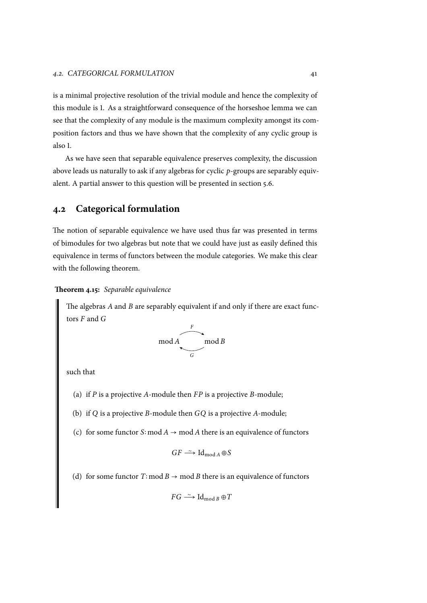is a minimal projective resolution of the trivial module and hence the complexity of this module is 1. As a straightforward consequence of the horseshoe lemma we can see that the complexity of any module is the maximum complexity amongst its composition factors and thus we have shown that the complexity of any cyclic group is also 1.

As we have seen that separable equivalence preserves complexity, the discussion above leads us naturally to ask if any algebras for cyclic *p*-groups are separably equivalent. A partial answer to this question will be presented in section 5.6.

# **4.2 Categorical formulation**

The notion of separable equivalence we have used thus far was presented in terms of bimodules for two algebras but note that we could have just as easily defined this equivalence in terms of functors between the module categories. We make this clear with the following theorem.

## **Theorem 4.15:** *Separable equivalence*

<span id="page-50-0"></span>The algebras *A* and *B* are separably equivalent if and only if there are exact functors *F* and *G*



such that

- (a) if *P* is a projective *A*-module then *FP* is a projective *B*-module;
- (b) if *Q* is a projective *B*-module then *GQ* is a projective *A*-module;
- (c) for some functor *S*∶ mod *A* → mod *A* there is an equivalence of functors

$$
GF \xrightarrow{\sim} \mathrm{Id}_{\mathrm{mod}\,A} \oplus S
$$

(d) for some functor  $T$ ∶ mod  $B \rightarrow \text{mod } B$  there is an equivalence of functors

$$
FG \xrightarrow{\sim} \text{Id}_{\text{mod }B} \oplus T
$$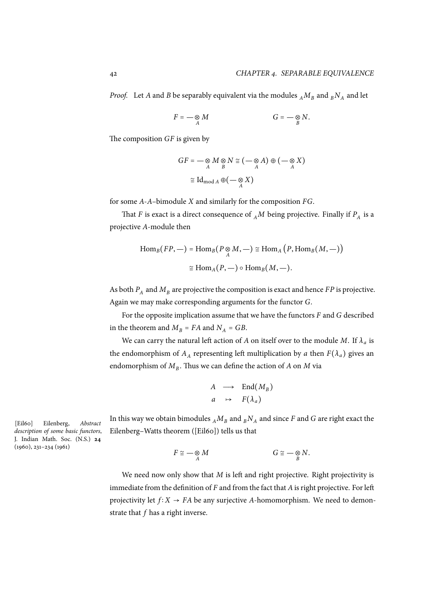*Proof.* Let *A* and *B* be separably equivalent via the modules  $_A M_B$  and  $_B N_A$  and let

$$
F=-\underset{A}{\otimes}M \qquad \qquad G=-\underset{B}{\otimes}N.
$$

The composition *GF* is given by

$$
GF = -\underset{A}{\otimes} M \underset{B}{\otimes} N \cong (-\underset{A}{\otimes} A) \oplus (-\underset{A}{\otimes} X)
$$

$$
\cong \text{Id}_{\text{mod } A} \oplus (-\underset{A}{\otimes} X)
$$

for some *A*-*A*–bimodule *X* and similarly for the composition *FG*.

That *F* is exact is a direct consequence of  ${_A}M$  being projective. Finally if  $P_A$  is a projective *A*-module then

$$
\text{Hom}_B(FP, -) = \text{Hom}_B(P \underset{A}{\otimes} M, -) \cong \text{Hom}_A(P, \text{Hom}_B(M, -))
$$

$$
\cong \text{Hom}_A(P, -) \circ \text{Hom}_B(M, -).
$$

As both  $P_A$  and  $M_B$  are projective the composition is exact and hence  $FP$  is projective. Again we may make corresponding arguments for the functor *G*.

For the opposite implication assume that we have the functors *F* and *G* described in the theorem and  $M_B = FA$  and  $N_A = GB$ .

We can carry the natural left action of *A* on itself over to the module *M*. If  $\lambda_a$  is the endomorphism of  $A_A$  representing left multiplication by *a* then  $F(\lambda_a)$  gives an endomorphism of *M<sup>B</sup>* . Thus we can define the action of *A* on *M* via

$$
A \longrightarrow End(M_B)
$$
  

$$
a \rightarrow F(\lambda_a)
$$

In this way we obtain bimodules  $_A M_B$  and  $_B N_A$  and since *F* and *G* are right exact the Eilenberg–Watts theorem ([Eil60]) tells us that

$$
F \cong -\underset{A}{\otimes} M \qquad G \cong -\underset{B}{\otimes} N.
$$

We need now only show that *M* is left and right projective. Right projectivity is immediate from the definition of *F* and from the fact that *A*is right projective. For left projectivity let  $f: X \rightarrow FA$  be any surjective *A*-homomorphism. We need to demonstrate that *f* has a right inverse.

[Eil60] Eilenberg, *Abstract description of some basic functors*, J. Indian Math. Soc. (N.S.) **24** (1960), 231–234 (1961)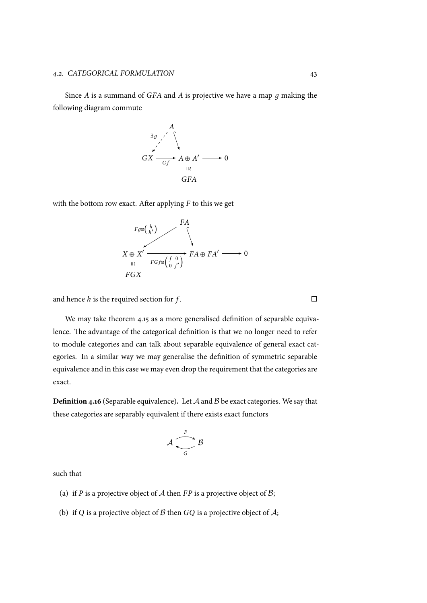Since *A* is a summand of *GFA* and *A* is projective we have a map *д* making the following diagram commute



with the bottom row exact. After applying *F* to this we get



and hence *h* is the required section for *f* .

We may take theorem 4.15 as a more generalised definition of separable equivalence. The advantage of the categorical definition is that we no longer need to refer to module categories and can talk about separable equivalence of general exact categories. In a similar way [we m](#page-50-0)ay generalise the definition of symmetric separable equivalence and in this case we may even drop the requirement that the categories are exact.

**Definition 4.16** (Separable equivalence)**.** Let *A* and *B* be exact categories. We say that these categories are separably equivalent if there exists exact functors

$$
\mathcal{A} \xrightarrow[G]{} \mathcal{B}
$$

such that

- (a) if *P* is a projective object of *A* then *FP* is a projective object of *B*;
- (b) if *Q* is a projective object of *B* then *GQ* is a projective object of *A*;

 $\Box$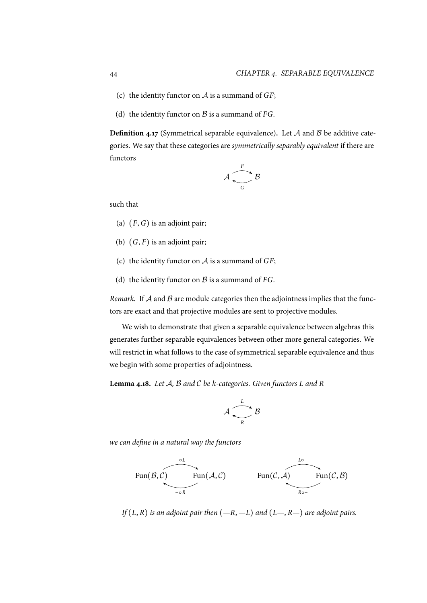- (c) the identity functor on *A* is a summand of *GF*;
- (d) the identity functor on  $\beta$  is a summand of *FG*.

**Definition 4.17** (Symmetrical separable equivalence)**.** Let *A* and *B* be additive categories. We say that these categories are *symmetrically separably equivalent* if there are functors

$$
\mathcal{A} \xrightarrow[G]{F} \mathcal{B}
$$

such that

- (a) (*F*,*G*) is an adjoint pair;
- (b)  $(G, F)$  is an adjoint pair;
- (c) the identity functor on *A* is a summand of *GF*;
- (d) the identity functor on *B* is a summand of *FG*.

*Remark.* If *A* and *B* are module categories then the adjointness implies that the functors are exact and that projective modules are sent to projective modules.

We wish to demonstrate that given a separable equivalence between algebras this generates further separable equivalences between other more general categories. We will restrict in what follows to the case of symmetrical separable equivalence and thus we begin with some properties of adjointness.

<span id="page-53-0"></span>**Lemma 4.18.** *Let A, B and C be k-categories. Given functors L and R*

$$
\mathcal{A} \xrightarrow{\mathit{L}} \mathcal{B}
$$

*we can define in a natural way the functors*



*If* (*L*, *R*) *is an adjoint pair then* (*—R*, *—L*) *and* (*L—*, *R—*) *are adjoint pairs.*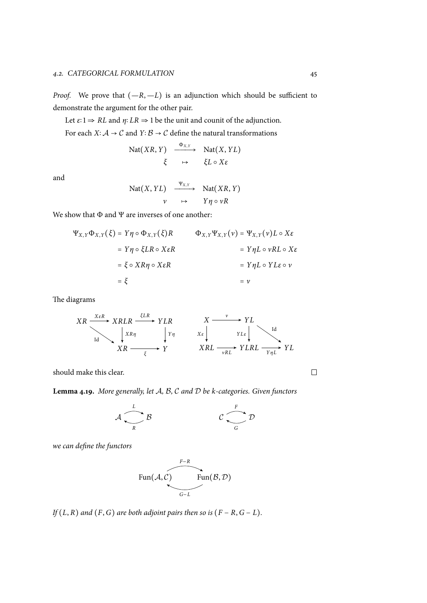*Proof.* We prove that  $(-R, -L)$  is an adjunction which should be sufficient to demonstrate the argument for the other pair.

Let  $\varepsilon$ **:** 1  $\Rightarrow$  *RL* and  $\eta$ **:**  $LR \Rightarrow$  1 be the unit and counit of the adjunction.

For each *X*∶*A* → *C* and *Y*∶*B* → *C* define the natural transformations

$$
\begin{array}{ccc}\n\text{Nat}(XR, Y) & \xrightarrow{\Phi_{X,Y}} & \text{Nat}(X, YL) \\
\xi & \mapsto & \xi L \circ X \varepsilon\n\end{array}
$$

and

$$
\begin{array}{ccc}\n\text{Nat}(X, YL) & \xrightarrow{\Psi_{X,Y}} & \text{Nat}(XR, Y) \\
v & \mapsto & Y\eta \circ vR\n\end{array}
$$

We show that  $\Phi$  and  $\Psi$  are inverses of one another:

$$
\Psi_{X,Y}\Phi_{X,Y}(\xi) = Y\eta \circ \Phi_{X,Y}(\xi)R \qquad \Phi_{X,Y}\Psi_{X,Y}(\nu) = \Psi_{X,Y}(\nu)L \circ X\varepsilon
$$
  
=  $Y\eta \circ \xi LR \circ X\varepsilon R$   
=  $\xi \circ XR\eta \circ X\varepsilon R$   
=  $\xi$   
=  $\xi$   
=  $\nu$ 

The diagrams

*XR XRLR Y LR XR Y X εR ξLR* Id *XRη Y η ξ X Y L XRL Y LRL Y L ν X ε Y Lε* Id *νRL Y ηL*

should make this clear.

**Lemma 4.19.** *More generally, let A, B, C and D be k-categories. Given functors*

$$
\mathcal{A} \xrightarrow{L} \mathcal{B} \qquad \qquad \mathcal{C} \xrightarrow{F} \mathcal{D}
$$

*we can define the functors*

$$
\text{Fun}(\mathcal{A}, \mathcal{C}) \qquad \text{Fun}(\mathcal{B}, \mathcal{D})
$$

*If*  $(L, R)$  *and*  $(F, G)$  *are both adjoint pairs then so is*  $(F - R, G - L)$ *.* 

 $\Box$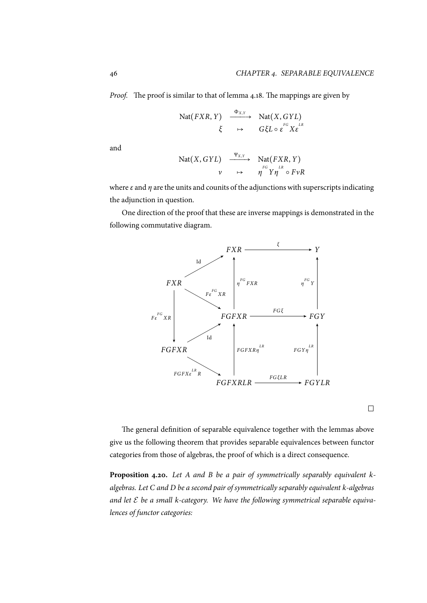*Proof.* The proof is similar to that of lemma 4.18. The mappings are given by

$$
\begin{array}{ccc}\n\text{Nat}(FXR, Y) & \xrightarrow{\Phi_{X,Y}} & \text{Nat}(X, GYL) \\
\xi & \mapsto & G\xi L \circ \varepsilon^{FG} X \varepsilon^{LR}\n\end{array}
$$

and

$$
\begin{array}{ccc}\n\text{Nat}(X, GYL) & \xrightarrow{\Psi_{X,Y}} & \text{Nat}(FXR, Y) \\
v & \mapsto & \eta^{FG} Y \eta^{LR} \circ FvR\n\end{array}
$$

where *ε* and *η* are the units and counits of the adjunctions with superscripts indicating the adjunction in question.

One direction of the proof that these are inverse mappings is demonstrated in the following commutative diagram.



 $\Box$ 

The general definition of separable equivalence together with the lemmas above give us the following theorem that provides separable equivalences between functor categories from those of algebras, the proof of which is a direct consequence.

<span id="page-55-0"></span>**Proposition 4.20.** *Let A and B be a pair of symmetrically separably equivalent kalgebras. Let C and D be a second pair of symmetrically separably equivalent k-algebras and let E be a small k-category. We have the following symmetrical separable equivalences of functor categories:*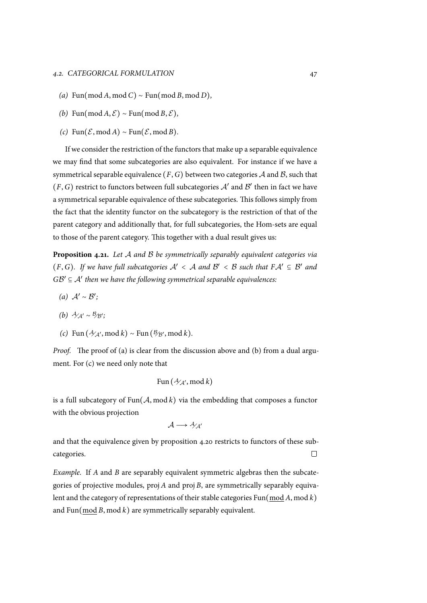- *(a)* Fun(mod *<sup>A</sup>*, mod *<sup>C</sup>*) <sup>∼</sup> Fun(mod *<sup>B</sup>*, mod *<sup>D</sup>*)*,*
- $(b)$  Fun(mod *A*,  $\mathcal{E}$ ) ∼ Fun(mod *B*,  $\mathcal{E}$ )*,*
- $(c)$  Fun( $\mathcal{E}$ , mod *A*) ∼ Fun( $\mathcal{E}$ , mod *B*).

If we consider the restriction of the functors that make up a separable equivalence we may find that some subcategories are also equivalent. For instance if we have a symmetrical separable equivalence  $(F, G)$  between two categories  $A$  and  $B$ , such that  $(F,G)$  restrict to functors between full subcategories  $\mathcal{A}'$  and  $\mathcal{B}'$  then in fact we have a symmetrical separable equivalence of these subcategories. This follows simply from the fact that the identity functor on the subcategory is the restriction of that of the parent category and additionally that, for full subcategories, the Hom-sets are equal to those of the parent category. This together with a dual result gives us:

**Proposition 4.21.** *Let A and B be symmetrically separably equivalent categories via* (*F*, *G*). If we have full subcategories  $A' < A$  and  $B' < B$  such that  $FA' \subseteq B'$  and  $G\mathcal{B}' \subseteq \mathcal{A}'$  then we have the following symmetrical separable equivalences:

- *(a) <sup>A</sup>*′ <sup>∼</sup> *<sup>B</sup>* ′ *;*
- *(b) A*<sub>*A'*</sub> ∼ *B*<sub>⁄B'</sub>;
- $f(c)$  Fun  $(\mathcal{A}_{\mathcal{A}'}, \text{mod } k) \sim \text{Fun}(\mathcal{B}_{\mathcal{B}'}, \text{mod } k)$ .

<span id="page-56-0"></span>*Proof.* The proof of (a) is clear from the discussion above and (b) from a dual argument. For (c) we need only note that

$$
\text{Fun}\left(\mathcal{H}_{\mathcal{A}}, \text{mod } k\right)
$$

is a full su[bca](#page-56-0)tegory of Fun(*A*, mod *k*) via the embedding that composes a functor with the obvious projection

$$
\mathcal{A}\longrightarrow\mathcal{A}_{\mathcal{A}^{'}}
$$

and that the equivalence given by proposition 4.20 restricts to functors of these subcategories.  $\Box$ 

*Example.* If *A* and *B* are separably equivalent [sym](#page-55-0)metric algebras then the subcategories of projective modules, proj *A* and proj *B*, are symmetrically separably equivalent and the category of representations of their stable categories Fun(mod *A*, mod *k*) and Fun(mod *B*, mod *k*) are symmetrically separably equivalent.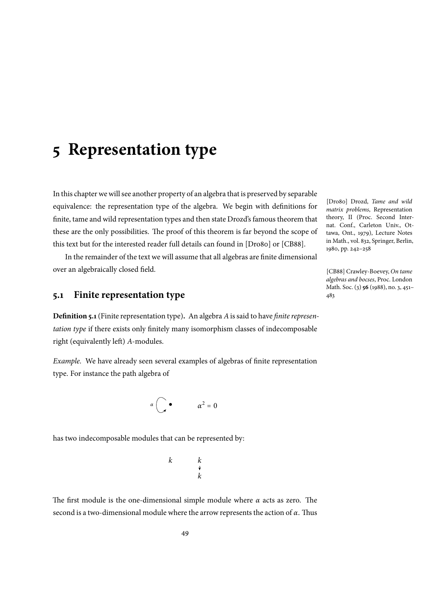# **5 Representation type**

In this chapter we will see another property of an algebra that is preserved by separable equivalence: the representation type of the algebra. We begin with definitions for finite, tame and wild representation types and then state Drozd's famous theorem that these are the only possibilities. The proof of this theorem is far beyond the scope of this text but for the interested reader full details can found in [Dro80] or [CB88].

In the remainder of the text we will assume that all algebras are finite dimensional over an algebraically closed field.

## **5.1 Finite representation type**

**Definition 5.1**(Finite representation type)**.** An algebra *A*is said to have *finite representation type* if there exists only finitely many isomorphism classes of indecomposable right (equivalently left) *A*-modules.

*Example.* We have already seen several examples of algebras of finite representation type. For instance the path algebra of

$$
\alpha \bigcap_{\alpha} \bullet \qquad \alpha^2 = 0
$$

has two indecomposable modules that can be represented by:

*k k k*

The first module is the one-dimensional simple module where *α* acts as zero. The second is a two-dimensional module where the arrow represents the action of *α*. Thus

[Dro80] Drozd, *Tame and wild matrix problems*, Representation theory, II (Proc. Second Internat. Conf., Carleton Univ., Ottawa, Ont., 1979), Lecture Notes in Math., vol. 832, Springer, Berlin, 1980, pp. 242–258

[CB88] Crawley-Boevey, *On tame algebras and bocses*, Proc. London Math. Soc. (3) **56** (1988), no. 3, 451– 483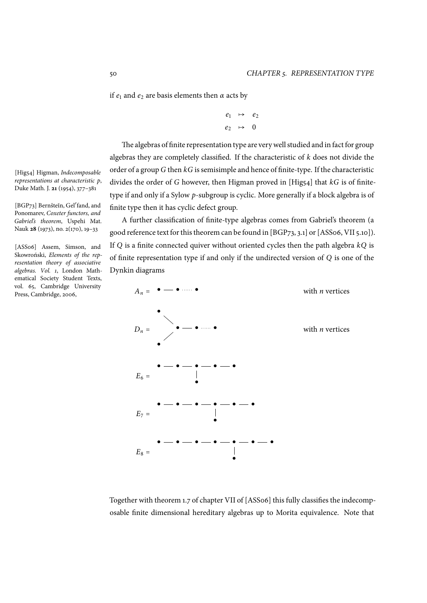if  $e_1$  and  $e_2$  are basis elements then  $\alpha$  acts by

$$
\begin{array}{ccc}\ne_1 & \mapsto & e_2 \\
e_2 & \mapsto & 0\n\end{array}
$$

The algebras of finite representation type are very well studied and in fact for group algebras they are completely classified. If the characteristic of *k* does not divide the order of a group *G* then *kG* is semisimple and hence of finite-type. If the characteristic divides the order of *G* however, then Higman proved in [Hig54] that *kG* is of finitetype if and only if a Sylow *p*-subgroup is cyclic. More generally if a block algebra is of finite type then it has cyclic defect group.

A further classification of finite-type algebras comes from Gabriel's theorem (a good reference text for this theorem can be found in [BGP73, 3.1] or [ASS06, VII 5.10]). If *Q* is a finite connected quiver without oriented cycles then the path algebra *kQ* is of finite representation type if and only if the undirected version of *Q* is one of the Dynkin diagrams



Together with theorem 1.7 of chapter VII of [ASS06] this fully classifies the indecomposable finite dimensional hereditary algebras up to Morita equivalence. Note that

[Hig54] Higman, *Indecomposable representations at characteristic p*, Duke Math. J. **21** (1954), 377–381

[BGP73] Bernšteĭn, Gel'fand, and Ponomarev, *Coxeter functors, and Gabriel's theorem*, Uspehi Mat. Nauk **28** (1973), no. 2(170), 19–33

[ASS06] Assem, Simson, and Skowroński, *Elements of the representation theory of associative algebras. Vol. 1*, London Mathematical Society Student Texts, vol. 65, Cambridge University Press, Cambridge, 2006,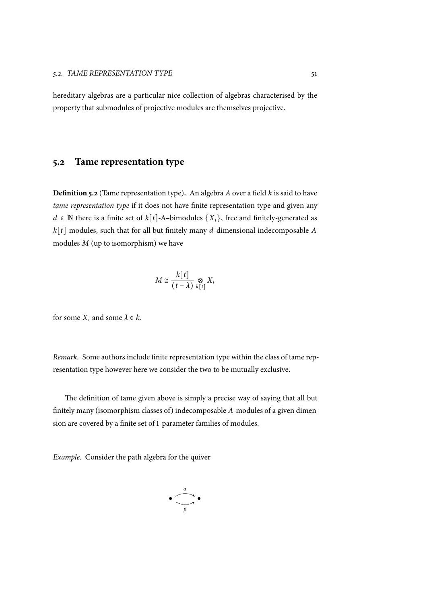hereditary algebras are a particular nice collection of algebras characterised by the property that submodules of projective modules are themselves projective.

## **5.2 Tame representation type**

<span id="page-60-0"></span>**Definition 5.2** (Tame representation type)**.** An algebra *A* over a field *k* is said to have *tame representation type* if it does not have finite representation type and given any *d* ∈ N there is a finite set of  $k[t]-A$ –bimodules  $\{X_i\}$ , free and finitely-generated as *k*[*t*]-modules, such that for all but finitely many *d*-dimensional indecomposable *A*modules *M* (up to isomorphism) we have

$$
M \cong \frac{k[t]}{(t-\lambda)} \underset{k[t]}{\otimes} X_i
$$

for some  $X_i$  and some  $\lambda \in k$ .

*Remark.* Some authors include finite representation type within the class of tame representation type however here we consider the two to be mutually exclusive.

The definition of tame given above is simply a precise way of saying that all but finitely many (isomorphism classes of) indecomposable *A*-modules of a given dimension are covered by a finite set of 1-parameter families of modules.

*Example.* Consider the path algebra for the quiver

$$
\bullet \underbrace{\overset{\alpha}{\frown}}_{\beta} \bullet
$$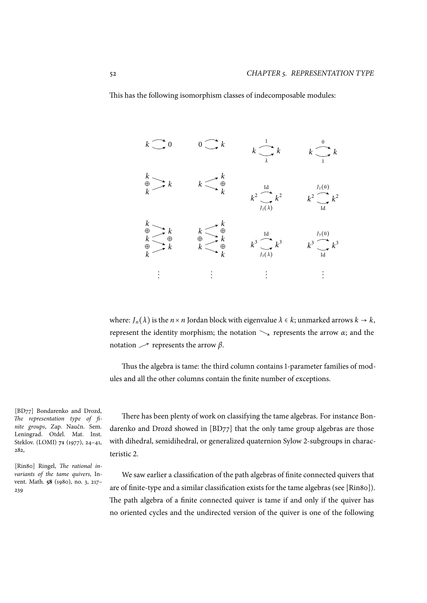This has the following isomorphism classes of indecomposable modules:



where:  $J_n(\lambda)$  is the  $n \times n$  Jordan block with eigenvalue  $\lambda \in k$ ; unmarked arrows  $k \to k$ , represent the identity morphism; the notation Ð→ represents the arrow *α*; and the notation  $\nearrow$  represents the arrow *β*.

Thus the algebra is tame: the third column contains 1-parameter families of modules and all the other columns contain the finite number of exceptions.

There has been plenty of work on classifying the tame algebras. For instance Bondarenko and Drozd showed in [BD77] that the only tame group algebras are those with dihedral, semidihedral, or generalized quaternion Sylow 2-subgroups in characteristic 2.

We saw earlier a classification of the path algebras of finite connected quivers that are of finite-type and a similar classification exists for the tame algebras (see [Rin80]). The path algebra of a finite connected quiver is tame if and only if the quiver has no oriented cycles and the undirected version of the quiver is one of the following

[BD77] Bondarenko and Drozd, *The representation type of finite groups*, Zap. Naučn. Sem. Leningrad. Otdel. Mat. Inst. Steklov. (LOMI) **71** (1977), 24–41, 282,

[Rin80] Ringel, *The rational invariants of the tame quivers*, Invent. Math. **58** (1980), no. 3, 217– 239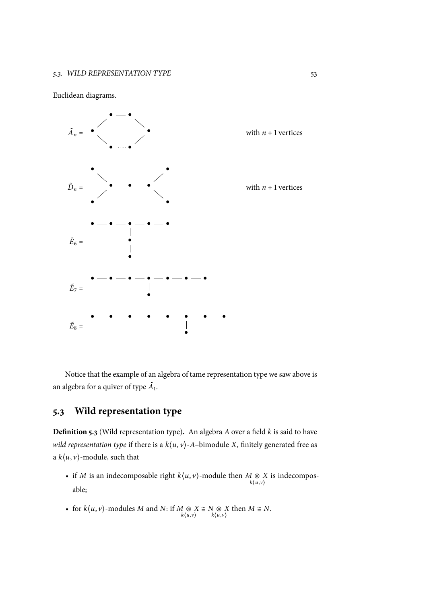## Euclidean diagrams.



Notice that the example of an algebra of tame representation type we saw above is an algebra for a quiver of type  $\tilde{A}_1$ .

# **5.3 Wild representation type**

**Definition 5.3** (Wild representation type)**.** An algebra *A* over a field *k* is said to have *wild representation type* if there is a *k*⟨*u*, *v*⟩-*A*–bimodule *X*, finitely generated free as a  $k\langle u, v \rangle$ -module, such that

- if *M* is an indecomposable right  $k\langle u, v \rangle$ -module then  $M \otimes \mathcal{L}$ <br>*k*(*u*,*v*) *X* is indecomposable;
- for  $k\langle u, v \rangle$ -modules *M* and *N*: if  $M \underset{k\langle u, v \rangle}{\otimes} X \cong N \underset{k\langle u, v \rangle}{\otimes} X$  then  $M \cong N$ .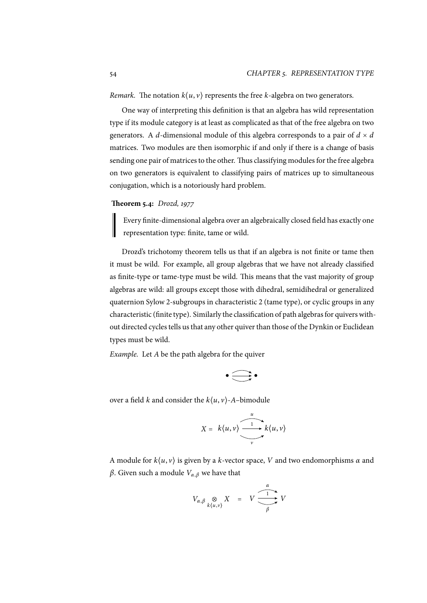*Remark.* The notation  $k(u, v)$  represents the free *k*-algebra on two generators.

One way of interpreting this definition is that an algebra has wild representation type if its module category is at least as complicated as that of the free algebra on two generators. A *d*-dimensional module of this algebra corresponds to a pair of  $d \times d$ matrices. Two modules are then isomorphic if and only if there is a change of basis sending one pair of matrices to the other. Thus classifying modules for the free algebra on two generators is equivalent to classifying pairs of matrices up to simultaneous conjugation, which is a notoriously hard problem.

## **Theorem 5.4:** *Drozd, 1977*

Every finite-dimensional algebra over an algebraically closed field has exactly one representation type: finite, tame or wild.

Drozd's trichotomy theorem tells us that if an algebra is not finite or tame then it must be wild. For example, all group algebras that we have not already classified as finite-type or tame-type must be wild. This means that the vast majority of group algebras are wild: all groups except those with dihedral, semidihedral or generalized quaternion Sylow 2-subgroups in characteristic 2 (tame type), or cyclic groups in any characteristic (finite type). Similarly the classification of path algebras for quivers without directed cycles tells us that any other quiver than those of the Dynkin or Euclidean types must be wild.

*Example.* Let *A* be the path algebra for the quiver

$$
\bullet \bigoplus \bullet
$$

over a field *k* and consider the  $k\langle u, v \rangle$ -*A*-bimodule

$$
X = k\langle u, v \rangle \xrightarrow{u} k\langle u, v \rangle
$$

A module for *k*⟨*u*, *v*⟩ is given by a *k*-vector space, *V* and two endomorphisms *α* and *β*. Given such a module  $V_{\alpha,\beta}$  we have that

$$
V_{\alpha,\beta} \underset{k\langle u,v\rangle}{\otimes} X = V \xrightarrow{\alpha} V
$$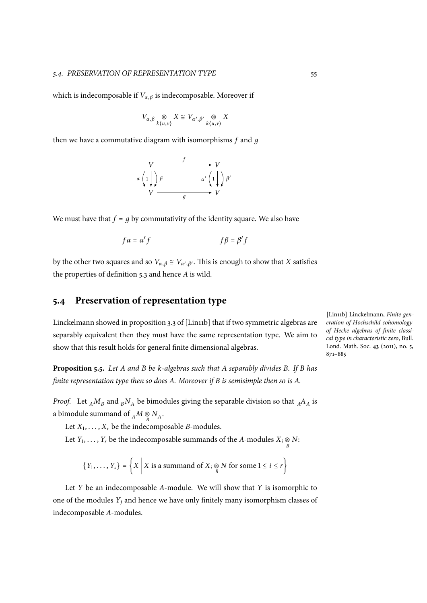which is indecomposable if  $V_{\alpha,\beta}$  is indecomposable. Moreover if

$$
V_{\alpha,\beta} \underset{k\langle u,v\rangle}{\otimes} X \cong V_{\alpha',\beta'} \underset{k\langle u,v\rangle}{\otimes} X
$$

then we have a commutative diagram with isomorphisms *f* and *д*



We must have that  $f = g$  by commutativity of the identity square. We also have

$$
f\alpha = \alpha'f \qquad \qquad f\beta = \beta'f
$$

by the other two squares and so  $V_{\alpha,\beta} \cong V_{\alpha',\beta'}$ . This is enough to show that *X* satisfies the properties of definition 5.3 and hence *A* is wild.

# **5.4 Preservation of representation type**

Linckelmann showed in proposition 3.3 of [Lin11b] that if two symmetric algebras are separably equivalent then they must have the same representation type. We aim to show that this result holds for general finite dimensional algebras.

**Proposition 5.5.** *Let A and B be k-algebras such that A separably divides B. If B has finite representation type then so does A. Moreover if B is semisimple then so is A.*

<span id="page-64-0"></span>*Proof.* Let  $_A M_B$  and  $_B N_A$  be bimodules giving the separable division so that  $_A A_A$  is a bimodule summand of  $_A M \underset{B}{\otimes} N_A$ .

Let  $X_1, \ldots, X_r$  be the indecomposable *B*-modules.

Let *Y*<sub>1</sub>, . . . , *Y*<sub>*s*</sub> be the indecomposable summands of the *A*-modules  $X_i \underset{B}{\otimes} N$ :

$$
\{Y_1, \ldots, Y_s\} = \left\{ X \mid X \text{ is a summand of } X_i \underset{B}{\otimes} N \text{ for some } 1 \leq i \leq r \right\}
$$

Let *Y* be an indecomposable *A*-module. We will show that *Y* is isomorphic to one of the modules *Y<sup>j</sup>* and hence we have only finitely many isomorphism classes of indecomposable *A*-modules.

[Lin11b] Linckelmann, *Finite generation of Hochschild cohomology of Hecke algebras of finite classical type in characteristic zero*, Bull. Lond. Math. Soc. **43** (2011), no. 5, 871–885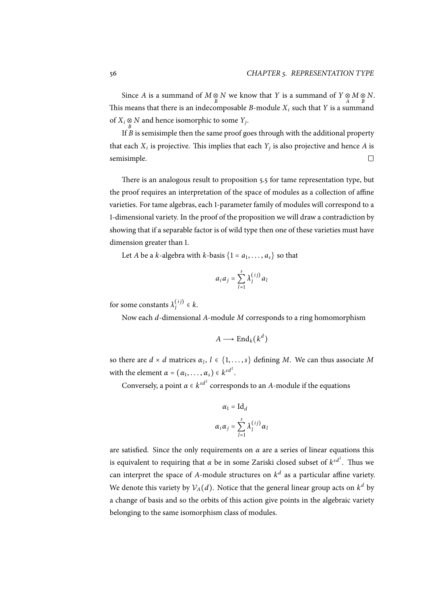Since *A* is a summand of  $M \underset{B}{\otimes} N$  we know that *Y* is a summand of  $Y \underset{A}{\otimes} M \underset{B}{\otimes} N$ . This means that there is an indecomposable *B*-module *X<sup>i</sup>* such that *Y* is a summand of  $X_i \underset{B}{\otimes} N$  and hence isomorphic to some  $Y_j$ .

If *B* is semisimple then the same proof goes through with the additional property that each  $X_i$  is projective. This implies that each  $Y_j$  is also projective and hence  $A$  is semisimple.  $\Box$ 

There is an analogous result to proposition 5.5 for tame representation type, but the proof requires an interpretation of the space of modules as a collection of affine varieties. For tame algebras, each 1-parameter family of modules will correspond to a 1-dimensional variety. In the proof of the propo[sitio](#page-64-0)n we will draw a contradiction by showing that if a separable factor is of wild type then one of these varieties must have dimension greater than 1.

Let *A* be a *k*-algebra with *k*-basis  $\{1 = a_1, \ldots, a_s\}$  so that

$$
a_i a_j = \sum_{l=1}^s \lambda_l^{(ij)} a_l
$$

for some constants  $\lambda_l^{(ij)} \in k$ .

Now each *d*-dimensional *A*-module *M* corresponds to a ring homomorphism

$$
A\longrightarrow \mathrm{End}_k(k^d)
$$

so there are  $d \times d$  matrices  $\alpha_l$ ,  $l \in \{1, \ldots, s\}$  defining *M*. We can thus associate *M* with the element  $\alpha = (\alpha_1, \dots, \alpha_s) \in k^{sd^2}$ .

Conversely, a point  $\alpha \in k^{sd^2}$  corresponds to an *A*-module if the equations

$$
\alpha_1 = \mathrm{Id}_d
$$

$$
\alpha_i \alpha_j = \sum_{l=1}^s \lambda_l^{(ij)} \alpha_l
$$

are satisfied. Since the only requirements on  $\alpha$  are a series of linear equations this is equivalent to requiring that  $\alpha$  be in some Zariski closed subset of  $k^{sd^2}.$  Thus we can interpret the space of *A*-module structures on  $k^d$  as a particular affine variety. We denote this variety by  $\mathcal{V}_A(d)$ . Notice that the general linear group acts on  $k^d$  by a change of basis and so the orbits of this action give points in the algebraic variety belonging to the same isomorphism class of modules.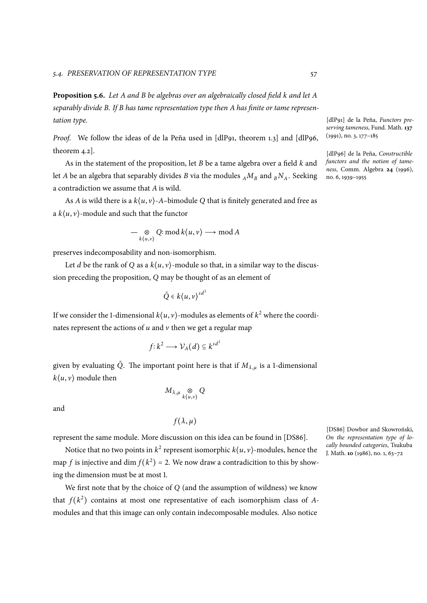<span id="page-66-0"></span>**Proposition 5.6.** *Let A and B be algebras over an algebraically closed field k and let A separably divide B. If B has tame representation type then A has finite or tame representation type.*

*Proof.* We follow the ideas of de la Peña used in [dlP91, theorem 1.3] and [dlP96, theorem 4.2].

As in the statement of the proposition, let *B* be a tame algebra over a field *k* and let *A* be an algebra that separably divides *B* via the modules  $_A M_B$  and  $_B N_A$ . Seeking a contradiction we assume that *A* is wild.

As *A* is wild there is a *k*⟨*u*, *v*⟩-*A*–bimodule *Q* that is finitely generated and free as a  $k\langle u, v \rangle$ -module and such that the functor

 $-\underset{k\langle u,v\rangle}{\otimes} Q:\text{mod }k\langle u,v\rangle \longrightarrow \text{mod }A$ 

preserves indecomposability and non-isomorphism.

Let *d* be the rank of *Q* as a  $k\langle u, v \rangle$ -module so that, in a similar way to the discussion preceding the proposition, *Q* may be thought of as an element of

$$
\tilde{Q} \in k\langle u, v \rangle^{sd^2}
$$

If we consider the 1-dimensional  $k\langle u, v \rangle$ -modules as elements of  $k^2$  where the coordinates represent the actions of  $u$  and  $v$  then we get a regular map

$$
f: k^2 \longrightarrow \mathcal{V}_A(d) \subseteq k^{sd^2}
$$

given by evaluating  $\tilde{Q}$ . The important point here is that if  $M_{\lambda,\mu}$  is a 1-dimensional  $k\langle u, v \rangle$  module then

$$
M_{\lambda,\mu}\underset{k\langle u,v\rangle}{\otimes}Q
$$

and

$$
f(\lambda,\mu)
$$

represent the same module. More discussion on this idea can be found in [DS86].

Notice that no two points in  $k^2$  represent isomorphic  $k\langle u, v \rangle$ -modules, hence the map *f* is injective and dim  $f(k^2) = 2$ . We now draw a contradicition to this by showing the dimension must be at most 1.

We first note that by the choice of *Q* (and the assumption of wildness) we know that  $f(k^2)$  contains at most one representative of each isomorphism class of *A*modules and that this image can only contain indecomposable modules. Also notice

[dlP91] de la Peña, *Functors preserving tameness*, Fund. Math. **137** (1991), no. 3, 177–185

[dlP96] de la Peña, *Constructible functors and the notion of tameness*, Comm. Algebra **24** (1996), no. 6, 1939–1955

[DS86] Dowbor and Skowroński, *On the representation type of locally bounded categories*, Tsukuba J. Math. **10** (1986), no. 1, 63–72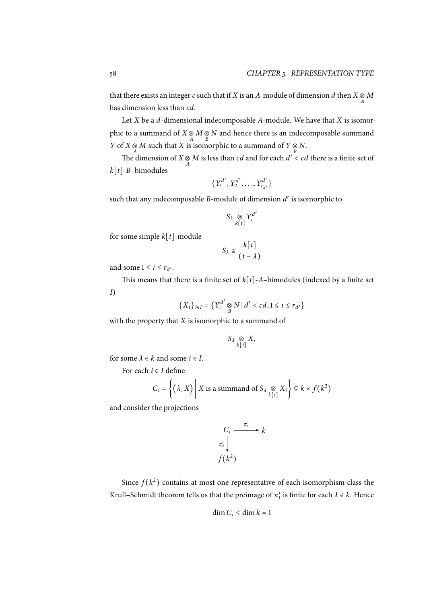that there exists an integer *c* such that if *X* is an *A*-module of dimension *d* then  $X \underset{A}{\otimes} M$ has dimension less than *cd*.

Let *X* be a *d*-dimensional indecomposable *A*-module. We have that *X* is isomorphic to a summand of *X* ⊗ *M* ⊗ *N* and hence there is an indecomposable summand *Y* of *X* ⊗ *M* such that *X* is isomorphic to a summand of *Y* ⊗ *N*.

The dimension of *X*  $\otimes$  *M* is less than *cd* and for each  $d' < cd$  there is a finite set of *k*[*t*]-*B*–bimodules

$$
\{Y_1^{d'}, Y_2^{d'}, \ldots, Y_{r_{d'}}^{d'}\}
$$

such that any indecomposable *B*-module of dimension  $d'$  is isomorphic to

$$
S_{\lambda} \underset{k[t]}{\otimes} Y_i^{d'}
$$

for some simple *k*[*t*]-module

$$
S_{\lambda} \cong \frac{k[t]}{(t-\lambda)}
$$

and some  $1 \le i \le r_{d'}$ .

This means that there is a finite set of  $k[t]$ -*A*-bimodules (indexed by a finite set *I*)

$$
\{X_i\}_{i\in I} = \{Y_i^{d'} \underset{B}{\otimes} N \mid d' < cd, 1 \leq i \leq r_{d'}\}
$$

with the property that *X* is isomorphic to a summand of

$$
S_{\lambda} \underset{k[t]}{\otimes} X_i
$$

for some  $\lambda \in k$  and some  $i \in I$ .

For each *<sup>i</sup>* <sup>∈</sup> *<sup>I</sup>* define

$$
C_i = \left\{ (\lambda, X) \middle| X \text{ is a summand of } S_{\lambda} \underset{k[t]}{\otimes} X_i \right\} \subseteq k \times f(k^2)
$$

and consider the projections

$$
C_i \xrightarrow{\pi_1^i} k
$$
  

$$
\pi_2^i \downarrow \qquad \qquad f(k^2)
$$

Since  $f(k^2)$  contains at most one representative of each isomorphism class the Krull–Schmidt theorem tells us that the preimage of  $\pi_1^i$  is finite for each  $\lambda \in k$ . Hence

$$
\dim C_i \le \dim k = 1
$$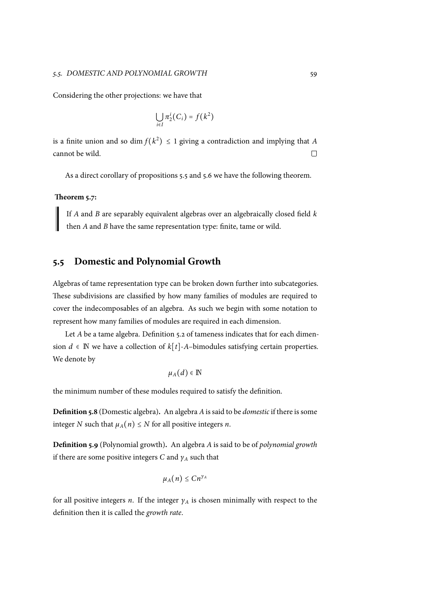Considering the other projections: we have that

$$
\bigcup_{i\in I}\pi_2^i(C_i)=f(k^2)
$$

is a finite union and so dim  $f(k^2) \le 1$  giving a contradiction and implying that *A* cannot be wild.

As a direct corollary of propositions 5.5 and 5.6 we have the following theorem.

## **Theorem 5.7:**

If *A* and *B* are separably equivalent [alg](#page-64-0)ebr[as o](#page-66-0)ver an algebraically closed field *k* then *A* and *B* have the same representation type: finite, tame or wild.

## **5.5 Domestic and Polynomial Growth**

Algebras of tame representation type can be broken down further into subcategories. These subdivisions are classified by how many families of modules are required to cover the indecomposables of an algebra. As such we begin with some notation to represent how many families of modules are required in each dimension.

Let *A* be a tame algebra. Definition 5.2 of tameness indicates that for each dimension *d* ∈  $\mathbb N$  we have a collection of  $k[t]-A$ -bimodules satisfying certain properties. We denote by

 $\mu_A(d) \in \mathbb{N}$  $\mu_A(d) \in \mathbb{N}$  $\mu_A(d) \in \mathbb{N}$ 

the minimum number of these modules required to satisfy the definition.

**Definition 5.8** (Domestic algebra)**.** An algebra *A*is said to be *domestic*if there is some integer *N* such that  $\mu_A(n) \leq N$  for all positive integers *n*.

**Definition 5.9** (Polynomial growth)**.** An algebra *A* is said to be of *polynomial growth* if there are some positive integers  $C$  and  $\gamma_A$  such that

$$
\mu_A(n)\leq Cn^{\gamma_A}
$$

for all positive integers *n*. If the integer *γ<sup>A</sup>* is chosen minimally with respect to the definition then it is called the *growth rate*.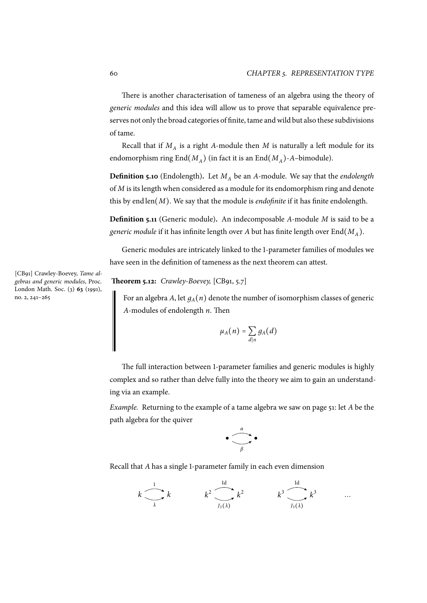There is another characterisation of tameness of an algebra using the theory of *generic modules* and this idea will allow us to prove that separable equivalence preserves not only the broad categories of finite, tame and wild but also these subdivisions of tame.

Recall that if  $M_A$  is a right *A*-module then  $M$  is naturally a left module for its endomorphism ring  $\text{End}(M_A)$  (in fact it is an  $\text{End}(M_A)$ -*A*-bimodule).

**Definition 5.10** (Endolength)**.** Let *M<sup>A</sup>* be an *A*-module. We say that the *endolength* of *M* is its length when considered as a module for its endomorphism ring and denote this by end len(*M*). We say that the module is *endofinite* if it has finite endolength.

**Definition 5.11** (Generic module)**.** An indecomposable *A*-module *M* is said to be a  $g$ eneric module if it has infinite length over  $A$  but has finite length over  $\operatorname{End}(M_A).$ 

Generic modules are intricately linked to the 1-parameter families of modules we have seen in the definition of tameness as the next theorem can attest.

**Theorem 5.12:** *Crawley-Boevey,* [CB91, 5.7]

For an algebra *A*, let  $g_A(n)$  denote the number of isomorphism classes of generic *A*-modules of endolength *n*. Then

$$
\mu_A(n)=\sum_{d|n}g_A(d)
$$

The full interaction between 1-parameter families and generic modules is highly complex and so rather than delve fully into the theory we aim to gain an understanding via an example.

*Example.* Returning to the example of a tame algebra we saw on page 51: let *A* be the path algebra for the quiver

$$
\bullet \underbrace{\overbrace{\qquad \qquad }^{\alpha }}_{\beta }\bullet
$$

Recall that *A* has a single 1-parameter family in each even dimension

$$
k \longrightarrow k
$$
  $k^2 \longrightarrow k^2$   $k^3 \longrightarrow k^3$  ...  
 $k \longrightarrow 1$ 

[CB91] Crawley-Boevey, *Tame algebras and generic modules*, Proc. London Math. Soc. (3) **63** (1991), no. 2, 241–265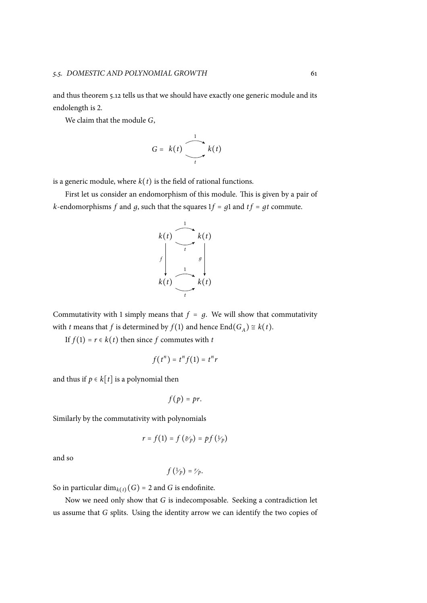and thus theorem 5.12 tells us that we should have exactly one generic module and its endolength is 2.

We claim that the module *G*,

$$
G = k(t) \underbrace{\bigodot_{t}^{1}}_{t} k(t)
$$

is a generic module, where  $k(t)$  is the field of rational functions.

First let us consider an endomorphism of this module. This is given by a pair of *k*-endomorphisms *f* and *g*, such that the squares  $1f = g1$  and  $tf = gt$  commute.



Commutativity with 1 simply means that  $f = g$ . We will show that commutativity with *t* means that *f* is determined by  $f(1)$  and hence  $\text{End}(G_A) \cong k(t)$ .

If  $f(1) = r \in k(t)$  then since *f* commutes with *t* 

$$
f(t^n) = t^n f(1) = t^n r
$$

and thus if  $p \in k[t]$  is a polynomial then

$$
f(p)=pr.
$$

Similarly by the commutativity with polynomials

$$
r = f(1) = f(\mathcal{Y}_p) = pf(\mathcal{Y}_p)
$$

and so

$$
f\left(\mathcal{V}_p\right)=\mathcal{V}_p.
$$

So in particular  $\dim_{k(t)}(G) = 2$  and *G* is endofinite.

Now we need only show that *G* is indecomposable. Seeking a contradiction let us assume that *G* splits. Using the identity arrow we can identify the two copies of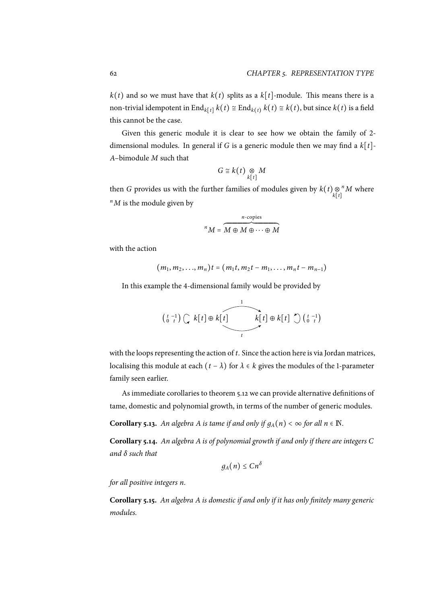$k(t)$  and so we must have that  $k(t)$  splits as a  $k[t]$ -module. This means there is a non-trivial idempotent in End<sub>*k*[*t*]</sub>  $k(t) \cong$  End<sub>*k*(*t*)</sub>  $k(t) \cong k(t)$ , but since  $k(t)$  is a field this cannot be the case.

Given this generic module it is clear to see how we obtain the family of 2 dimensional modules. In general if *G* is a generic module then we may find a *k*[*t*]- *A*–bimodule *M* such that

$$
G \cong k(t) \underset{k[t]}{\otimes} M
$$

then *G* provides us with the further families of modules given by  $k(t) \underset{k[t]}{\otimes}^n M$  where *k*[*t*]  $n<sup>n</sup>M$  is the module given by

$$
{}^{n}M = \overbrace{M \oplus M \oplus \cdots \oplus M}^{n\text{-copies}}
$$

with the action

$$
(m_1, m_2,..., m_n)t = (m_1t, m_2t - m_1,..., m_nt - m_{n-1})
$$

In this example the 4-dimensional family would be provided by

$$
\begin{pmatrix} t & -1 \\ 0 & t \end{pmatrix} \begin{pmatrix} k[t] \oplus k[t] & k[t] \oplus k[t] \end{pmatrix} \begin{pmatrix} t & -1 \\ 0 & t \end{pmatrix}
$$

with the loops representing the action of *t*. Since the action here is via Jordan matrices, localising this module at each (*<sup>t</sup>* <sup>−</sup> *<sup>λ</sup>*) for *<sup>λ</sup>* <sup>∈</sup> *<sup>k</sup>* gives the modules of the 1-parameter family seen earlier.

As immediate corollaries to theorem 5.12 we can provide alternative definitions of tame, domestic and polynomial growth, in terms of the number of generic modules.

**Corollary 5.13.** *An algebra A is tame if and only if*  $g_A(n) < \infty$  *for all*  $n \in \mathbb{N}$ *.* 

**Corollary 5.14.** *An algebra A is of polynomial growth if and only if there are integers C and δ such that*

$$
g_A(n)\leq C n^{\delta}
$$

*for all positive integers n.*

**Corollary 5.15.** *An algebra A is domestic if and only if it has only finitely many generic modules.*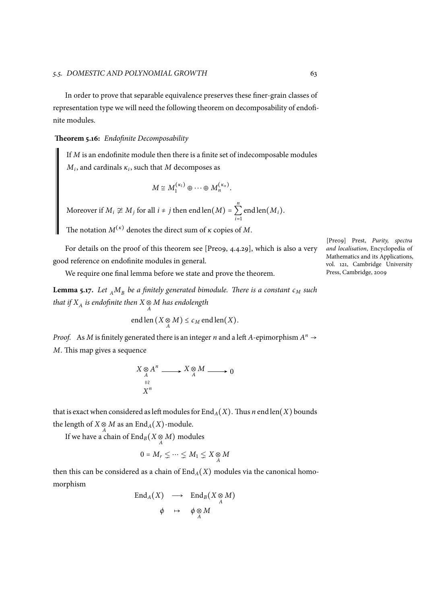In order to prove that separable equivalence preserves these finer-grain classes of representation type we will need the following theorem on decomposability of endofinite modules.

**Theorem 5.16:** *Endofinite Decomposability*

If *M* is an endofinite module then there is a finite set of indecomposable modules  $M_i$ , and cardinals  $\kappa_i$ , such that  $M$  decomposes as

$$
M \cong M_1^{(\kappa_1)} \oplus \cdots \oplus M_n^{(\kappa_n)}.
$$

Moreover if  $M_i \not\cong M_j$  for all  $i \neq j$  then end len $(M)$  = *n*  $\sum_{i=1}$ end len(*Mi*).

The notation  $M^{(\kappa)}$  denotes the direct sum of  $\kappa$  copies of  $M$ .

For details on the proof of this theorem see [Pre09, 4.4.29], which is also a very good reference on endofinite modules in general.

We require one final lemma before we state and prove the theorem.

**Lemma 5.17.** Let  $_A M_B$  be a finitely generated bimodule. There is a constant  $c_M$  such *that if*  $X_A$  *is endofinite then*  $X \underset{A}{\otimes} M$  *has endolength* 

end len 
$$
(X \underset{A}{\otimes} M) \leq c_M
$$
 end len $(X)$ .

*Proof.* As *M* is finitely generated there is an integer *n* and a left *A*-epimorphism  $A^n \rightarrow$ *M*. This map gives a sequence

$$
X \underset{A}{\otimes} A^n \xrightarrow{X \underset{A}{\otimes} M} X \underset{A}{\otimes} M \xrightarrow{X} 0
$$

that is exact when considered as left modules for  $\text{End}_{A}(X)$ . Thus *n* end len(*X*) bounds the length of  $X \underset{A}{\otimes} M$  as an  $\mathrm{End}_A(X)$ -module.

If we have a chain of  $\text{End}_B(X \otimes M)$  modules

$$
0 = M_r \leq \dots \leq M_1 \leq X \underset{A}{\otimes} M
$$

then this can be considered as a chain of  $\text{End}_{A}(X)$  modules via the canonical homomorphism

$$
\operatorname{End}_A(X) \longrightarrow \operatorname{End}_B(X \underset{A}{\otimes} M) \n\phi \mapsto \phi \underset{A}{\otimes} M
$$

[Pre09] Prest, *Purity, spectra and localisation*, Encyclopedia of Mathematics and its Applications, vol. 121, Cambridge University Press, Cambridge, 2009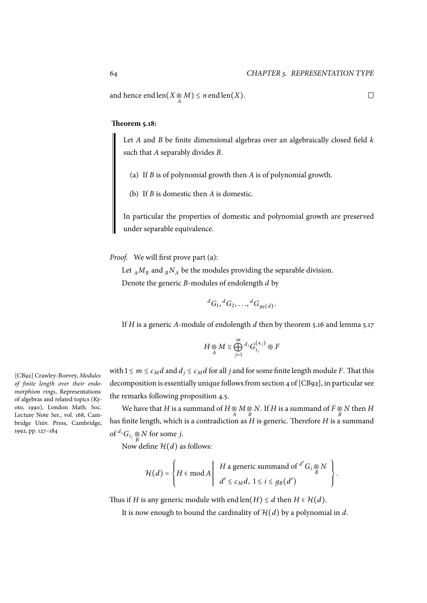and hence end len $(X \otimes M) \leq n$  end len $(X)$ .

## **Theorem 5.18:**

Let *A* and *B* be finite dimensional algebras over an algebraically closed field *k* such that *A* separably divides *B*.

(a) If *B* is of polynomial growth then *A* is of polynomial growth.

(b) If *B* is domestic then *A* is domestic.

<span id="page-73-0"></span>In particular the properties of domestic and polynomial growth are preserved under separable equivalence.

*Proof.* We will first prove part (a):

Let  $_A M_B$  and  $_B N_A$  be the modules providing the separable division. Denote the generic *B*-modules of endolength *d* by

$$
{}^dG_1, {}^dG_2, \ldots, {}^dG_{g_B(d)}.
$$

If *H* is a generic *A*-module of endolength *d* then by theorem 5.16 and lemma 5.17

$$
H\underset{A}{\otimes}M\cong \bigoplus_{j=1}^m {^{d_j}G}^{(\kappa_j)}_{i_j}\oplus F
$$

with  $1 \le m \le c_M d$  and  $d_j \le c_M d$  for all *j* and for some finite length module *F*. That this decomposition is essentially unique follows from section 4 of [CB92], in particular see the remarks following proposition 4.5.

We have that *H* is a summand of *H* ⊗ *M* ⊗ *N*. If *H* is a summand of *F* ⊗ *N* then *H*  $\frac{1}{B}$ has finite length, which is a contradiction as *H* is generic. Therefore *H* is a summand of  ${}^{d_j}G_i$   $\underset{B}{\otimes}$  *N* for some *j*.

Now define  $\mathcal{H}(d)$  as follows:

$$
\mathcal{H}(d) = \left\{ H \in \mathsf{mod}\, A \middle| \begin{array}{c} H \text{ a generic summand of }^{d'} G_i \underset{B}{\otimes} N \\ d' \leq c_M d, \ 1 \leq i \leq g_B(d') \end{array} \right\}.
$$

Thus if *H* is any generic module with end len(*H*)  $\leq$  *d* then *H*  $\in$  *H*(*d*).

It is now enough to bound the cardinality of *H*(*d*) by a polynomial in *d*.

[CB92] Crawley-Boevey, *Modules of finite length over their endomorphism rings*, Representations of algebras and related topics (Kyoto, 1990), London Math. Soc. Lecture Note Ser., vol. 168, Cambridge Univ. Press, Cambridge, 1992, pp. 127–184

$$
\qquad \qquad \Box
$$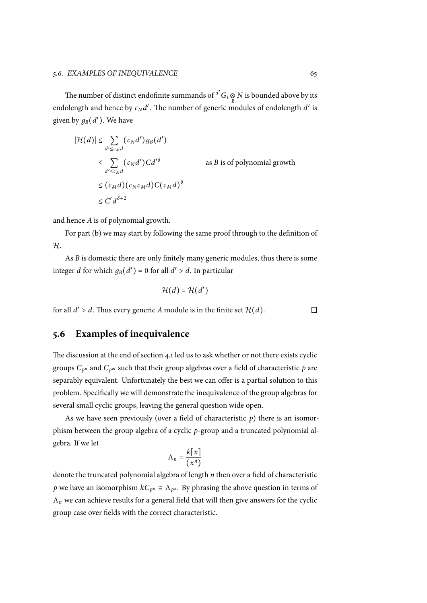The number of distinct endofinite summands of <sup>*d'*</sup>  $G_i \underset{B}{\otimes} N$  is bounded above by its endolength and hence by  $c_N d'$ . The number of generic modules of endolength  $d'$  is given by  $g_B(d')$ . We have

$$
|\mathcal{H}(d)| \leq \sum_{d' \leq c_M d} (c_N d') g_B(d')
$$
  
\n
$$
\leq \sum_{d' \leq c_M d} (c_N d') C d'^{\delta} \qquad \text{as } B \text{ is of polynomial growth}
$$
  
\n
$$
\leq (c_M d) (c_N c_M d) C (c_M d)^{\delta}
$$
  
\n
$$
\leq C' d^{\delta+2}
$$

and hence *A* is of polynomial growth.

For part (b) we may start by following the same proof through to the definition of *H*.

As *B* is domestic there are only finitely many generic modules, thus there is some integer *d* fo[r wh](#page-73-0)ich  $g_B(d') = 0$  for all  $d' > d$ . In particular

$$
\mathcal{H}(d)=\mathcal{H}(d')
$$

for all  $d' > d$ . Thus every generic *A* module is in the finite set  $\mathcal{H}(d)$ .

# **5.6 Examples of inequivalence**

The discussion at the end of section 4.1 led us to ask whether or not there exists cyclic groups  $C_{p^n}$  and  $C_{p^m}$  such that their group algebras over a field of characteristic  $p$  are separably equivalent. Unfortunately the best we can offer is a partial solution to this problem. Specifically we will demo[nstr](#page-47-0)ate the inequivalence of the group algebras for several small cyclic groups, leaving the general question wide open.

As we have seen previously (over a field of characteristic *p*) there is an isomorphism between the group algebra of a cyclic *p*-group and a truncated polynomial algebra. If we let

$$
\Lambda_n = \frac{k[x]}{(x^n)}
$$

denote the truncated polynomial algebra of length *n* then over a field of characteristic  $p$  we have an isomorphism  $kC_{p^n} \cong \Lambda_{p^n}.$  By phrasing the above question in terms of  $\Lambda_n$  we can achieve results for a general field that will then give answers for the cyclic group case over fields with the correct characteristic.

 $\Box$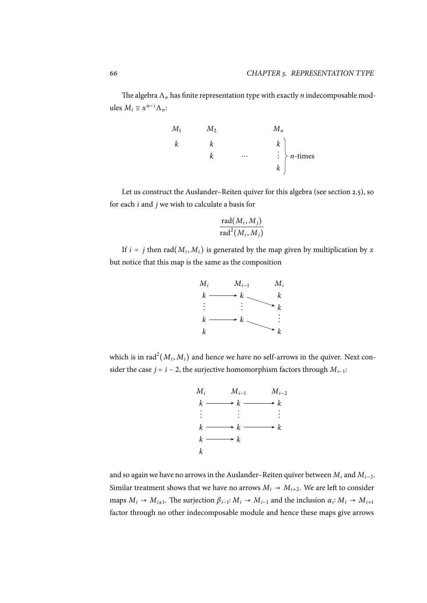The algebra Λ*<sup>n</sup>* has finite representation type with exactly *n* indecomposable modules  $M_i \cong x^{n-i} \Lambda_n$ :



Let us construct the Auslander–Reiten quiver for this algebra (see section 2.5), so for each *i* and *j* we wish to calculate a basis for

$$
\frac{\text{rad}(M_i, M_j)}{\text{rad}^2(M_i, M_j)}
$$

If  $i = j$  then  $rad(M_i, M_i)$  is generated by the map given by multiplication by  $x$ but notice that this map is the same as the composition



which is in  $\text{rad}^2(M_i, M_i)$  and hence we have no self-arrows in the quiver. Next consider the case *j* = *i* − 2, the surjective homomorphism factors through  $M_{i-1}$ :



and so again we have no arrows in the Auslander–Reiten quiver between  $M_i$  and  $M_{i-2}$ . Similar treatment shows that we have no arrows  $M_i \rightarrow M_{i+2}$ . We are left to consider maps  $M_i \to M_{i+1}$ . The surjection  $\beta_{i-1}: M_i \to M_{i-1}$  and the inclusion  $\alpha_i: M_i \to M_{i+1}$ factor through no other indecomposable module and hence these maps give arrows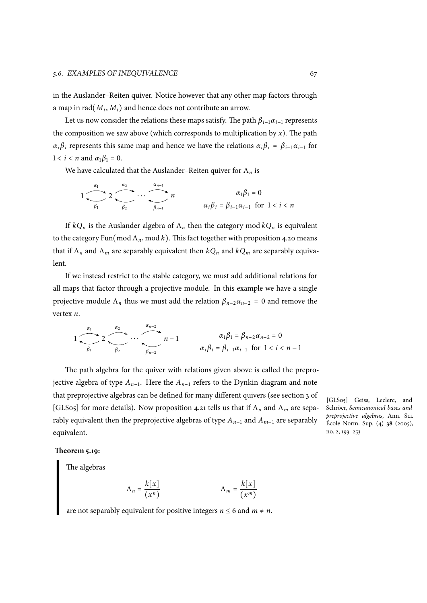in the Auslander–Reiten quiver. Notice however that any other map factors through a map in  $rad(M_i, M_i)$  and hence does not contribute an arrow.

Let us now consider the relations these maps satisfy. The path  $\beta_{i-1}\alpha_{i-1}$  represents the composition we saw above (which corresponds to multiplication by  $x$ ). The path *α*<sub>*i*</sub>*βi* represents this same map and hence we have the relations  $α_iβ_i = β_{i-1}α_{i-1}$  for  $1 < i < n$  and  $\alpha_1 \beta_1 = 0$ .

We have calculated that the Auslander–Reiten quiver for Λ*<sup>n</sup>* is

$$
1 \underbrace{\overbrace{\qquad \qquad }_{\beta_{1}} 2 \underbrace{\overbrace{\qquad \qquad }_{\beta_{2}} \cdots \overbrace{\qquad \qquad }_{\beta_{n-1}} n}^{a_{n-1}} n \qquad \qquad \alpha_{i} \beta_{i} = \beta_{i-1} \alpha_{i-1} \text{ for } 1 < i < n
$$

If  $kQ_n$  is the Auslander algebra of  $\Lambda_n$  then the category mod  $kQ_n$  is equivalent to the category Fun(mod  $\Lambda_n$ , mod k). This fact together with proposition 4.20 means that if Λ*<sup>n</sup>* and Λ*<sup>m</sup>* are separably equivalent then *kQ<sup>n</sup>* and *kQ<sup>m</sup>* are separably equivalent.

If we instead restrict to the stable category, we must add additional [relatio](#page-55-0)ns for all maps that factor through a projective module. In this example we have a single projective module  $\Lambda_n$  thus we must add the relation  $\beta_{n-2}\alpha_{n-2} = 0$  and remove the vertex *n*.

$$
1 \underbrace{\overbrace{\qquad \qquad }_{\beta_{1}} 2 \underbrace{\overbrace{\qquad \qquad }_{\beta_{2}} \cdots \overbrace{\qquad \qquad }_{\beta_{n-2}} n-1}_{\beta_{n-2}} n-1} \qquad \qquad \alpha_{i} \beta_{i} = \beta_{i-1} \alpha_{i-1} \text{ for } 1 < i < n-1
$$

The path algebra for the quiver with relations given above is called the preprojective algebra of type *An*−<sup>1</sup> . Here the *An*−<sup>1</sup> refers to the Dynkin diagram and note that preprojective algebras can be defined for many different quivers (see section 3 of [GLS05] for more details). Now proposition 4.21 tells us that if Λ*<sup>n</sup>* and Λ*<sup>m</sup>* are separably equivalent then the preprojective algebras of type *An*−<sup>1</sup> and *Am*−<sup>1</sup> are separably equivalent.

[GLS05] Geiss, Leclerc, and Schröer, *Semicanonical bases and preprojective algebras*, Ann. Sci. École Norm. Sup. (4) **38** (2005), no. 2, 193–253

## **Theorem 5.19:**

<span id="page-76-0"></span>The algebras

$$
\Lambda_n = \frac{k[x]}{(x^n)} \qquad \Lambda_m = \frac{k[x]}{(x^m)}
$$

are not separably equivalent for positive integers  $n \leq 6$  and  $m \neq n$ .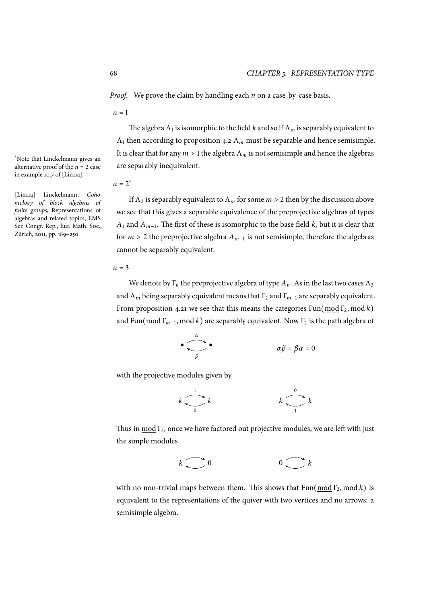*Proof.* We prove the claim by handling each *n* on a case-by-case basis.

 $n = 1$ 

The algebra  $\Lambda_1$  is isomorphic to the field  $k$  and so if  $\Lambda_m$  is separably equivalent to  $\Lambda_1$  then according to proposition 4.2  $\Lambda_m$  must be separable and hence semisimple. It is clear that for any  $m > 1$  the algebra  $\Lambda_m$  is not semisimple and hence the algebras are separably inequivalent.

$$
n=2^*
$$

If  $\Lambda_2$  is separably equivalent to  $\Lambda_m$  for some  $m > 2$  then by the discussion above we see that this gives a separable equivalence of the preprojective algebras of types *A*<sup>1</sup> and *Am*−<sup>1</sup> . The first of these is isomorphic to the base field *k*, but it is clear that for *<sup>m</sup>* <sup>&</sup>gt; <sup>2</sup> the preprojective algebra *<sup>A</sup>m*−<sup>1</sup> is not semisimple, therefore the algebras cannot be separably equivalent.

#### *<sup>n</sup>* <sup>=</sup> <sup>3</sup>

We denote by  $\Gamma_n$  the preprojective algebra of type  $A_n$ . As in the last two cases  $\Lambda_3$ and  $\Lambda_m$  being separably equivalent means that  $\Gamma_2$  and  $\Gamma_{m-1}$  are separably equivalent. From proposition 4.21 we see that this means the categories Fun(mod  $\Gamma_2$ , mod *k*) and Fun(mod Γ*m*−<sup>1</sup> , mod *k*) are separably equivalent. Now Γ<sup>2</sup> is the path algebra of

$$
\bullet \qquad \qquad \alpha \qquad \alpha \beta = \beta \alpha = 0
$$

with the projective modules given by

$$
k \begin{array}{c} 1 \\ \hline \\ 0 \end{array} k \qquad k \begin{array}{c} 0 \\ \hline \\ 1 \end{array} k
$$

Thus in mod  $\Gamma_2$ , once we have factored out projective modules, we are left with just the simple modules

$$
k \bigcirc 0 \qquad \qquad 0 \bigcirc k
$$

with no non-trivial maps between them. This shows that  $Fun(mod \Gamma_2, mod \ k)$  is equivalent to the representations of the quiver with two vertices and no arrows: a semisimple algebra.

\*Note that Linckelmann gives an alternative proof of the  $n = 2$  case in example 10.7 of [Lin11a].

[Lin11a] Linckelmann, *Cohomology of block algebras of finite groups*, Representations of algebras and related topics, EMS Ser. Congr. Rep., Eur. Math. Soc., Zürich, 2011, pp. 189–250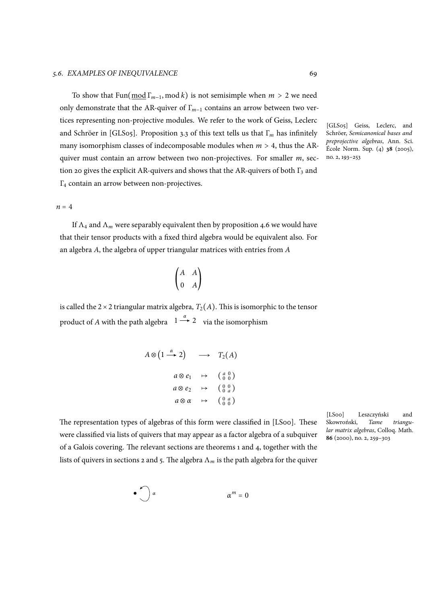To show that Fun(mod Γ*m*−<sup>1</sup> , mod *<sup>k</sup>*) is not semisimple when *<sup>m</sup>* <sup>&</sup>gt; <sup>2</sup> we need only demonstrate that the AR-quiver of Γ*m*−<sup>1</sup> contains an arrow between two vertices representing non-projective modules. We refer to the work of Geiss, Leclerc and Schröer in [GLS05]. Proposition 3.3 of this text tells us that Γ*<sup>m</sup>* has infinitely many isomorphism classes of indecomposable modules when *<sup>m</sup>* <sup>&</sup>gt; 4, thus the ARquiver must contain an arrow between two non-projectives. For smaller *m*, section 20 gives the explicit AR-quivers and shows that the AR-quivers of both  $\Gamma_3$  and Γ<sup>4</sup> contain an arrow between non-projectives.

 $n = 4$ 

If  $\Lambda_4$  and  $\Lambda_m$  were separably equivalent then by proposition 4.6 we would have that their tensor products with a fixed third algebra would be equivalent also. For an algebra *A*, the algebra of upper triangular matrices with entries from *A*

$$
\begin{pmatrix} A & A \\ 0 & A \end{pmatrix}
$$

is called the  $2 \times 2$  triangular matrix algebra,  $T_2(A)$ . This is isomorphic to the tensor product of *A* with the path algebra  $1 \stackrel{\alpha}{\rightarrow} 2$  via the isomorphism

$$
A \otimes (1 \xrightarrow{\alpha} 2) \longrightarrow T_2(A)
$$
  
\n
$$
a \otimes e_1 \longrightarrow (\begin{array}{cc} a & 0 \\ 0 & 0 \end{array})
$$
  
\n
$$
a \otimes e_2 \longrightarrow (\begin{array}{cc} a & 0 \\ 0 & a \end{array})
$$
  
\n
$$
a \otimes \alpha \longrightarrow (\begin{array}{cc} 0 & a \\ 0 & 0 \end{array})
$$

The representation types of algebras of this form were classified in [LS00]. These were classified via lists of quivers that may appear as a factor algebra of a subquiver of a Galois covering. The relevant sections are theorems 1 and 4, together with the lists of quivers in sections 2 and 5. The algebra  $\Lambda_m$  is the path algebra for the quiver

[LS00] Leszczyński and Skowroński, *Tame triangular matrix algebras*, Colloq. Math. **86** (2000), no. 2, 259–303

$$
\bullet \qquad \alpha^m = 0
$$

[GLS05] Geiss, Leclerc, and Schröer, *Semicanonical bases and preprojective algebras*, Ann. Sci. École Norm. Sup. (4) **38** (2005), no. 2, 193–253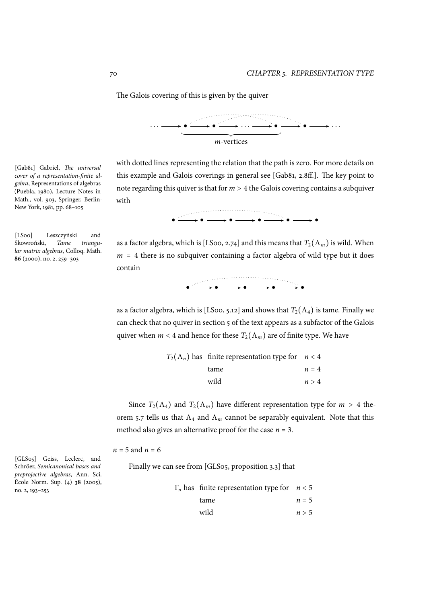The Galois covering of this is given by the quiver



with dotted lines representing the relation that the path is zero. For more details on this example and Galois coverings in general see [Gab81, 2.8ff.]. The key point to note regarding this quiver is that for *<sup>m</sup>* <sup>&</sup>gt; <sup>4</sup> the Galois covering contains a subquiver

● ● ● ● ● ●

[Gab81] Gabriel, *The universal cover of a representation-finite algebra*, Representations of algebras (Puebla, 1980), Lecture Notes in Math., vol. 903, Springer, Berlin-New York, 1981, pp. 68–105

[LS00] Leszczyński and Skowroński, *Tame triangular matrix algebras*, Colloq. Math. **86** (2000), no. 2, 259–303

as a factor algebra, which is [LS00, 2.74] and this means that  $T_2(\Lambda_m)$  is wild. When *<sup>m</sup>* <sup>=</sup> <sup>4</sup> there is no subquiver containing a factor algebra of wild type but it does contain



as a factor algebra, which is [LS00, 5.12] and shows that  $T_2(\Lambda_4)$  is tame. Finally we can check that no quiver in section 5 of the text appears as a subfactor of the Galois quiver when  $m < 4$  and hence for these  $T_2(\Lambda_m)$  are of finite type. We have

| $T_2(\Lambda_n)$ has finite representation type for $n < 4$ |         |
|-------------------------------------------------------------|---------|
| tame                                                        | $n = 4$ |
| wild                                                        | n > 4   |
|                                                             |         |

Since  $T_2(\Lambda_4)$  and  $T_2(\Lambda_m)$  have different representation type for  $m > 4$  theorem 5.7 tells us that  $\Lambda_4$  and  $\Lambda_m$  cannot be separably equivalent. Note that this method also gives an alternative proof for the case *<sup>n</sup>* <sup>=</sup> 3.

 $n = 5$  a[nd](#page-68-0)  $n = 6$ 

Finally we can see from [GLS05, proposition 3.3] that

| $\Gamma_n$ has finite representation type for $n < 5$ |       |
|-------------------------------------------------------|-------|
| tame                                                  | $n=5$ |
| wild                                                  | n > 5 |
|                                                       |       |

[GLS05] Geiss, Leclerc, and Schröer, *Semicanonical bases and preprojective algebras*, Ann. Sci. École Norm. Sup. (4) **38** (2005), no. 2, 193–253

with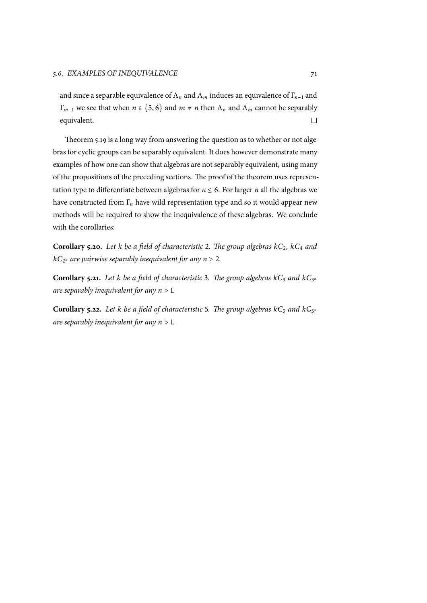and since a separable equivalence of  $\Lambda_n$  and  $\Lambda_m$  induces an equivalence of  $\Gamma_{n-1}$  and *Γ<sub>m−1</sub>* we see that when *n* ∈ {5, 6} and *m* ≠ *n* then  $Λ$ <sub>*n*</sub> and  $Λ$ <sub>*m*</sub> cannot be separably equivalent. equivalent.

Theorem 5.19 is a long way from answering the question as to whether or not algebras for cyclic groups can be separably equivalent. It does however demonstrate many examples of how one can show that algebras are not separably equivalent, using many of the propos[ition](#page-76-0)s of the preceding sections. The proof of the theorem uses representation type to differentiate between algebras for  $n \leq 6$ . For larger *n* all the algebras we have constructed from Γ*<sup>n</sup>* have wild representation type and so it would appear new methods will be required to show the inequivalence of these algebras. We conclude with the corollaries:

**Corollary 5.20.** *Let k be a field of characteristic* 2*. The group algebras kC*2*, kC*<sup>4</sup> *and kC*<sup>2</sup> *<sup>n</sup> are pairwise separably inequivalent for any <sup>n</sup>* <sup>&</sup>gt; <sup>2</sup>*.*

**Corollary 5.21.** Let *k* be a field of characteristic 3. The group algebras  $kC_3$  and  $kC_{3^n}$ *are separably inequivalent for any <sup>n</sup>* <sup>&</sup>gt; <sup>1</sup>*.*

**Corollary 5.22.** Let *k* be a field of characteristic 5. The group algebras  $kC_5$  and  $kC_{5^n}$ *are separably inequivalent for any <sup>n</sup>* <sup>&</sup>gt; <sup>1</sup>*.*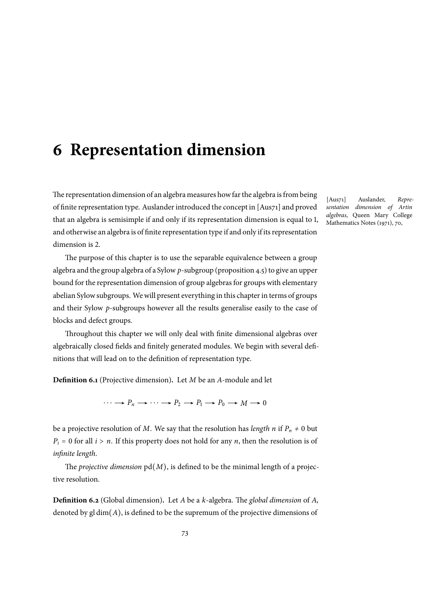# <span id="page-82-0"></span>**6 Representation dimension**

The representation dimension of an algebra measures how far the algebra is from being of finite representation type. Auslander introduced the concept in [Aus71] and proved that an algebra is semisimple if and only if its representation dimension is equal to 1, and otherwise an algebra is of finite representation type if and only if its representation dimension is 2.

The purpose of this chapter is to use the separable equivalence between a group algebra and the group algebra of a Sylow *p*-subgroup (proposition 4.5) to give an upper bound for the representation dimension of group algebras for groups with elementary abelian Sylow subgroups. We will present everything in this chapter in terms of groups and their Sylow *p*-subgroups however all the results generalise [easi](#page-43-0)ly to the case of blocks and defect groups.

Throughout this chapter we will only deal with finite dimensional algebras over algebraically closed fields and finitely generated modules. We begin with several definitions that will lead on to the definition of representation type.

**Definition 6.1** (Projective dimension)**.** Let *M* be an *A*-module and let

 $\cdots \longrightarrow P_n \longrightarrow \cdots \longrightarrow P_2 \longrightarrow P_1 \longrightarrow P_0 \longrightarrow M \longrightarrow 0$ 

be a projective resolution of *M*. We say that the resolution has *length n* if  $P_n \neq 0$  but  $P_i = 0$  for all  $i > n$ . If this property does not hold for any *n*, then the resolution is of *infinite length*.

The *projective dimension* pd(*M*), is defined to be the minimal length of a projective resolution.

**Definition 6.2** (Global dimension)**.** Let *A* be a *k*-algebra. The *global dimension* of *A*, denoted by gl dim(*A*), is defined to be the supremum of the projective dimensions of

[Aus71] Auslander, *Representation dimension of Artin algebras*, Queen Mary College Mathematics Notes (1971), 70,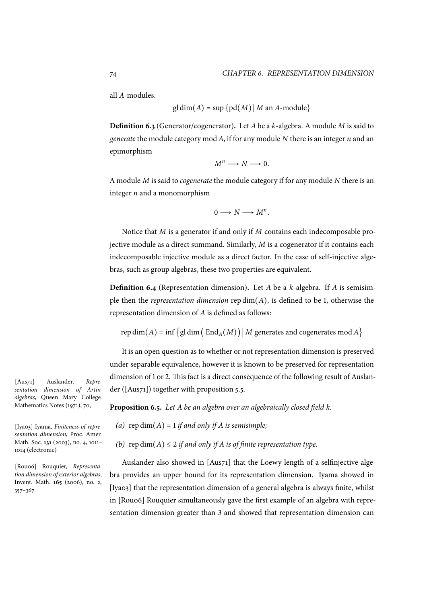all *A*-modules.

$$
gl\dim(A) = \sup \{pd(M) | M \text{ an } A\text{-module}\}
$$

**Definition 6.3** (Generator/cogenerator)**.** Let *A* be a *k*-algebra. A module *M* is said to *generate* the module category mod *A*, if for any module *N* there is an integer *n* and an epimorphism

$$
M^n \longrightarrow N \longrightarrow 0.
$$

A module *M* is said to *cogenerate* the module category if for any module *N* there is an integer *n* and a monomorphism

$$
0 \longrightarrow N \longrightarrow M^n.
$$

Notice that *M* is a generator if and only if *M* contains each indecomposable projective module as a direct summand. Similarly, *M* is a cogenerator if it contains each indecomposable injective module as a direct factor. In the case of self-injective algebras, such as group algebras, these two properties are equivalent.

**Definition 6.4** (Representation dimension)**.** Let *A* be a *k*-algebra. If *A* is semisimple then the *representation dimension* rep dim(*A*), is defined to be 1, otherwise the representation dimension of *A* is defined as follows:

$$
rep dim(A) = inf \{ gl dim (EndA(M)) | M generates and cogenerates mod A \}
$$

It is an open question as to whether or not representation dimension is preserved under separable equivalence, however it is known to be preserved for representation dimension of 1 or 2. This fact is a direct consequence of the following result of Auslander ([Aus71]) together with proposition 5.5.

**Proposition 6.5.** *Let A be an algebra over an algebraically closed field k.*

- *(a)*  $rep\ dim(A) = 1$  *if and only if A is s[em](#page-64-0)isimple;*
- *(b)* rep dim( $A$ )  $\leq$  2 *if and only if*  $A$  *is of finite representation type.*

Auslander also showed in [Aus71] that the Loewy length of a selfinjective algebra provides an upper bound for its representation dimension. Iyama showed in [Iya03] that the representation dimension of a general algebra is always finite, whilst in [Rou06] Rouquier simultaneously gave the first example of an algebra with representation dimension greater than 3 and showed that representation dimension can

[Aus71] Auslander, *Representation dimension of Artin algebras*, Queen Mary College Mathematics Notes (1971), 70,

[Iya03] Iyama, *Finiteness of representation dimension*, Proc. Amer. Math. Soc. **131** (2003), no. 4, 1011– 1014 (electronic)

[Rou06] Rouquier, *Representation dimension of exterior algebras*, Invent. Math. **165** (2006), no. 2, 357–367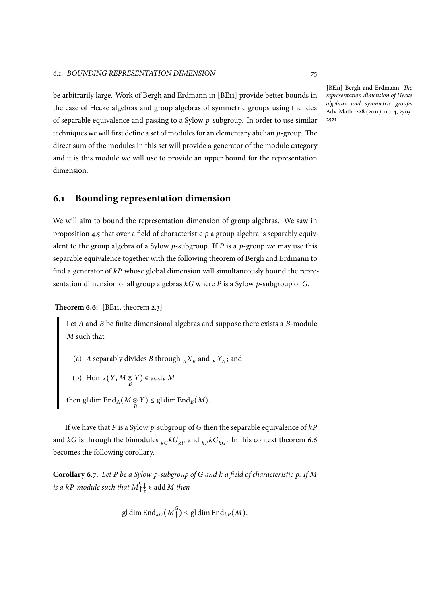be arbitrarily large. Work of Bergh and Erdmann in [BE11] provide better bounds in the case of Hecke algebras and group algebras of symmetric groups using the idea of separable equivalence and passing to a Sylow *p*-subgroup. In order to use similar techniques we will first define a set of modules for an elementary abelian *p*-group. The direct sum of the modules in this set will provide a generator of the module category and it is this module we will use to provide an upper bound for the representation dimension.

# **6.1 Bounding representation dimension**

We will aim to bound the representation dimension of group algebras. We saw in proposition 4.5 that over a field of characteristic *p* a group algebra is separably equivalent to the group algebra of a Sylow *p*-subgroup. If *P* is a *p*-group we may use this separable equivalence together with the following theorem of Bergh and Erdmann to find a gener[ator](#page-43-0) of *kP* whose global dimension will simultaneously bound the representation dimension of all group algebras *kG* where *P* is a Sylow *p*-subgroup of *G*.

**Theorem 6.6:** [BE11, theorem 2.3]

<span id="page-84-0"></span>Let *A* and *B* be finite dimensional algebras and suppose there exists a *B*-module *M* such that

- (a) *A* separably divides *B* through  $_A X_B$  and  $_B Y_A$ ; and
- (b)  $\operatorname{Hom}_A(Y, M \underset{B}{\otimes} Y) \in \operatorname{add}_B M$

 $\text{then } \text{gl}\dim \text{End}_A(M\underset{B}{\otimes} Y)\leq \text{gl}\dim \text{End}_B(M).$ 

If we have that *P* is a Sylow *p*-subgroup of *G* then the separable equivalence of *kP* and *kG* is through the bimodules  ${}_{k}GkG_{k}$  and  ${}_{k}pkG_{k}$ . In this context theorem 6.6 becomes the following corollary.

<span id="page-84-1"></span>**Corollary 6.7.** *Let P be a Sylow p-subgroup of G and k a field of characteristic p. If [M](#page-84-0)* is a kP-module such that  $M_{\uparrow}^G$  $\bigwedge^{\infty}_{P}$   $\in$  add *M then* 

gl dim End<sub>kG</sub>
$$
(M_{\uparrow}^G)
$$
  $\leq$  gl dim End<sub>kP</sub> $(M)$ .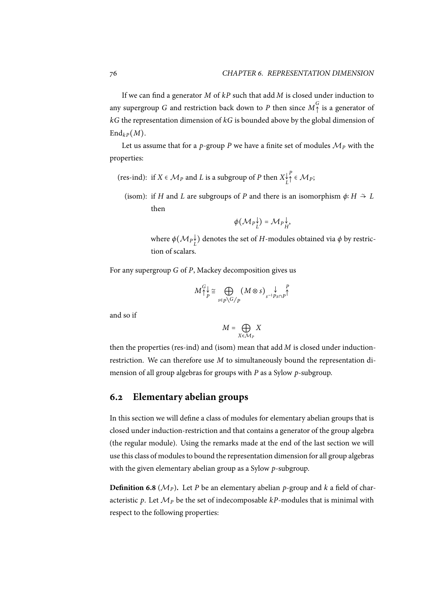If we can find a generator *M* of *kP* such that add *M* is closed under induction to any supergroup *G* and restriction back down to *P* then since  $M_{\uparrow}^G$  is a generator of *kG* the representation dimension of *kG* is bounded above by the global dimension of  $\mathrm{End}_{kP}(M)$ .

Let us assume that for a *p*-group *P* we have a finite set of modules  $M_p$  with the properties:

- (res-ind): if  $X \in \mathcal{M}_P$  and *L* is a subgroup of *P* then  $X_L^{\downarrow}$ *P* <sup>↑</sup> <sup>∈</sup> *<sup>M</sup>P*;
	- (isom): if *H* and *L* are subgroups of *P* and there is an isomorphism  $\phi: H \stackrel{\sim}{\rightarrow} L$ then

$$
\phi(\mathcal{M}_P \mathcal{F}_L^{\downarrow}) = \mathcal{M}_P \mathcal{F}_H^{\downarrow},
$$

where  $\phi(\mathcal{M}_P\mathcal{F}_L^{\downarrow})$  denotes the set of  $H$ -modules obtained via  $\phi$  by restriction of scalars.

For any supergroup *G* of *P*, Mackey decomposition gives us

$$
M_{\uparrow p}^{G} \underset{\varepsilon}{\cong} \bigoplus_{s \in p \setminus G/p} (M \otimes s)_{s^{-1}Ps \cap p}^{\qquad p} \uparrow
$$

and so if

$$
M = \bigoplus_{X \in \mathcal{M}_P} X
$$

then the properties (res-ind) and (isom) mean that add *M* is closed under inductionrestriction. We can therefore use *M* to simultaneously bound the representation dimension of all group algebras for groups with *P* as a Sylow *p*-subgroup.

## <span id="page-85-1"></span>**6.2 Elementary abelian groups**

In this section we will define a class of modules for elementary abelian groups that is closed under induction-restriction and that contains a generator of the group algebra (the regular module). Using the remarks made at the end of the last section we will use this class of modules to bound the representation dimension for all group algebras with the given elementary abelian group as a Sylow *p*-subgroup.

<span id="page-85-0"></span>**Definition 6.8** ( $\mathcal{M}_P$ ). Let *P* be an elementary abelian *p*-group and *k* a field of characteristic p. Let  $\mathcal{M}_P$  be the set of indecomposable  $kP$ -modules that is minimal with respect to the following properties: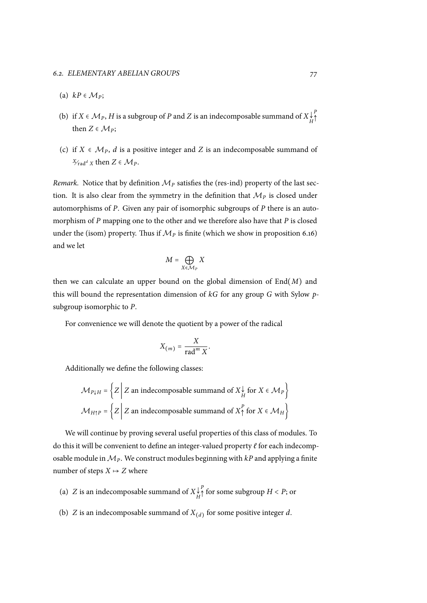- (a)  $kP \in \mathcal{M}_P$ ;
- (b) if  $X \in \mathcal{M}_P$ ,  $H$  is a subgroup of  $P$  and  $Z$  is an indecomposable summand of  $X \downarrow^{\mathcal{L}}_H$ *P* ↑ then  $Z \in \mathcal{M}_P$ ;
- (c) if  $X \in \mathcal{M}_P$ , *d* is a positive integer and *Z* is an indecomposable summand of  $X_{\text{rad}}^d$  *x* then  $Z \in \mathcal{M}_P$ .

*Remark.* Notice that by definition  $M<sub>P</sub>$  satisfies the (res-ind) property of the last section. It is also clear from the symmetry in the definition that  $M<sub>P</sub>$  is closed under automorphisms of *P*. Given any pair of isomorphic subgroups of *P* there is an automorphism of *P* mapping one to the other and we therefore also have that *P* is closed under the (isom) property. Thus if  $M<sub>P</sub>$  is finite (which we show in proposition 6.16) and we let

$$
M = \bigoplus_{X \in \mathcal{M}_P} X
$$

then we can calculate an upper bound on the global dimension of End(*M*) and this will bound the representation dimension of *kG* for any group *G* with Sylow *p*subgroup isomorphic to *P*.

For convenience we will denote the quotient by a power of the radical

$$
X_{(m)} = \frac{X}{\operatorname{rad}^m X}
$$

.

Additionally we define the following classes:

$$
\mathcal{M}_{P\downarrow H} = \left\{ Z \middle| Z \text{ an indecomposable summand of } X \downarrow \text{ for } X \in \mathcal{M}_P \right\}
$$

$$
\mathcal{M}_{H\uparrow P} = \left\{ Z \middle| Z \text{ an indecomposable summand of } X \uparrow \text{ for } X \in \mathcal{M}_H \right\}
$$

We will continue by proving several useful properties of this class of modules. To do this it will be convenient to define an integer-valued property *ℓ* for each indecomposable module in*MP*. We construct modules beginning with *kP* and applying a finite number of steps  $X \mapsto Z$  where

- (a) *Z* is an indecomposable summand of *X*↓ *H*  $P \uparrow$  for some subgroup  $H < P$ ; or
- (b)  $Z$  is an indecomposable summand of  $X_{(d)}$  for some positive integer  $d$ .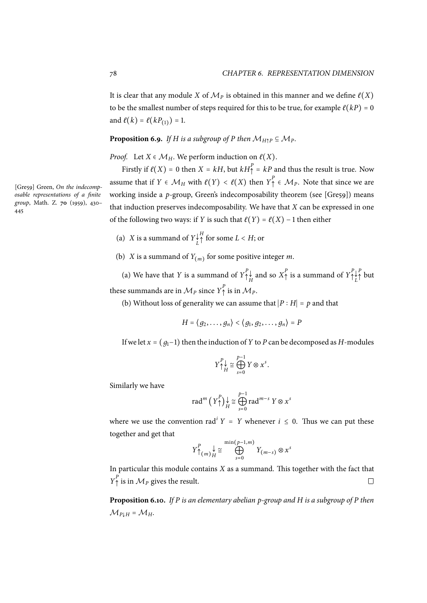It is clear that any module *X* of  $\mathcal{M}_P$  is obtained in this manner and we define  $\ell(X)$ to be the smallest number of steps required for this to be true, for example  $\ell(kP) = 0$ and  $\ell(k) = \ell(kP_{(1)}) = 1$ .

## **Proposition 6.9.** *If H is a subgroup of P then*  $M_{H \uparrow P} \subseteq M_P$ *.*

*Proof.* Let  $X \in \mathcal{M}_H$ . We perform induction on  $\ell(X)$ .

<span id="page-87-1"></span>Firstly if  $\ell(X) = 0$  then  $X = kH$ , but  $kH_{\uparrow}^P = kP$  and thus the result is true. Now assume that if  $Y \in \mathcal{M}_H$  with  $\ell(Y) < \ell(X)$  then  $Y^P$   $\in \mathcal{M}_P$ . Note that since we are working inside a *p*-group, Green's indecomposability theorem (see [Gre59]) means that induction preserves indecomposability. We have that *X* can be expressed in one of the following two ways: if *Y* is such that  $\ell(Y) = \ell(X) - 1$  then either

- (a) *X* is a summand of  $Y_L^{\downarrow}$  $^H$  for some  $L < H$ ; or
- (b) *X* is a summand of  $Y_{(m)}$  for some positive integer *m*.

<span id="page-87-0"></span>(a) We have that *Y* is a summand of  $Y^P$  $\bigcap_{H}^{P} \downarrow$  and so  $X_{\uparrow}^{P}$  is a summand of  $Y_{\uparrow}^{P}$ ↑ ↓ *L P* <sup>↑</sup> but these summands are in  $\mathcal{M}_P$  since  $Y^P$  is in  $\mathcal{M}_P$ .

(b) Without loss of generality we can assume that <sup>∣</sup>*<sup>P</sup>* <sup>∶</sup> *<sup>H</sup>*<sup>∣</sup> <sup>=</sup> *<sup>p</sup>* and that

$$
H = \langle g_2, \ldots, g_n \rangle < \langle g_1, g_2, \ldots, g_n \rangle = P
$$

[If w](#page-87-0)e let  $x = (g_1-1)$  then the induction of *Y* to *P* can be decomposed as *H*-modules

$$
Y_{\uparrow}^P \underset{H}{\downarrow} \cong \bigoplus_{s=0}^{p-1} Y \otimes x^s.
$$

Similarly we have

$$
\operatorname{rad}^{m}\left(Y_{\uparrow}^{P}\right)_{H} \geq \bigoplus_{s=0}^{P-1} \operatorname{rad}^{m-s} Y \otimes x^{s}
$$

where we use the convention  $rad^i Y = Y$  whenever  $i \leq 0$ . Thus we can put these together and get that

$$
Y^P_{\uparrow(m)}\underset{H}{\downarrow} \cong \bigoplus_{s=0}^{\min(p-1,m)} Y_{(m-s)} \otimes x^s
$$

In particular this module contains *X* as a summand. This together with the fact that *Y*<sup>*P*</sup><sub> $\uparrow$ </sub> is in  $\mathcal{M}_P$  gives the result.  $\Box$ 

**Proposition 6.10.** *If P is an elementary abelian p-group and H is a subgroup of P then*  $M_{PLH} = M_H$ .

[Gre59] Green, *On the indecomposable representations of a finite group*, Math. Z. **70** (1959), 430– 445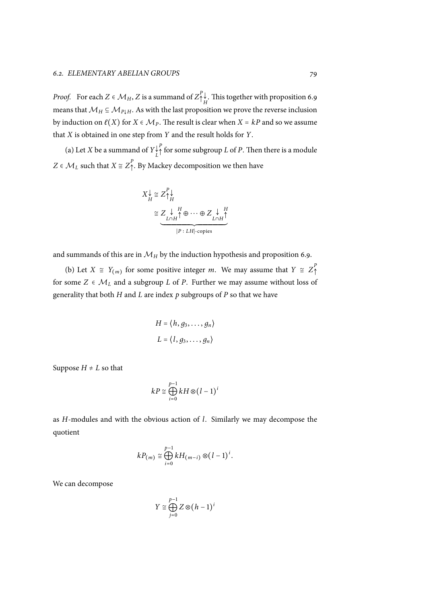*Proof.* For each  $Z \in \mathcal{M}_H$ ,  $Z$  is a summand of  $Z^P$  $\biguparrow^{\downarrow}_{H}$ . This together with proposition 6.9 means that  $M_H \subseteq M_{P \downarrow H}$ . As with the last proposition we prove the reverse inclusion by induction on  $\ell(X)$  for  $X \in \mathcal{M}_P$ . The result is clear when  $X = kP$  and so we assume that *X* is obtained in one step from *Y* and the result holds for *Y*.

(a) Let *X* be a summand of  $Y_k^{\downarrow}$ *P* <sup>↑</sup> for some subgroup *<sup>L</sup>* of *<sup>P</sup>*. Then there is a module *Z* ∈  $M_L$  such that *X* ≅  $Z_1^P$ . By Mackey decomposition we then have

$$
X_H^{\downarrow} \cong Z_{\uparrow}^P \downarrow
$$
  
\n
$$
\cong Z_{L \cap H}^{\downarrow H} \oplus \cdots \oplus Z_{L \cap H}^{\downarrow H}
$$
  
\n
$$
P: LH \text{-copies}
$$

and summands of this are in  $\mathcal{M}_H$  by the induction hypothesis and proposition 6.9.

(b) Let  $X \cong Y_{(m)}$  for some positive integer *m*. We may assume that  $Y \cong Z_{\uparrow}^{P}$ ↑ for some  $Z \in \mathcal{M}_L$  and a subgroup  $L$  of  $P$ . Further we may assume without loss of generality that both *H* and *L* are index *p* subgroups of *P* so that we have

$$
H = \langle h, g_3, \dots, g_n \rangle
$$
  

$$
L = \langle l, g_3, \dots, g_n \rangle
$$

Suppose  $H \neq L$  so that

$$
kP \cong \bigoplus_{i=0}^{p-1} kH \otimes (l-1)^i
$$

as *H*-modules and with the obvious action of *l*. Similarly we may decompose the quotient

$$
kP_{(m)} \cong \bigoplus_{i=0}^{p-1} kH_{(m-i)} \otimes (l-1)^i.
$$

We can decompose

$$
Y \cong \bigoplus_{j=0}^{p-1} Z \otimes (h-1)^i
$$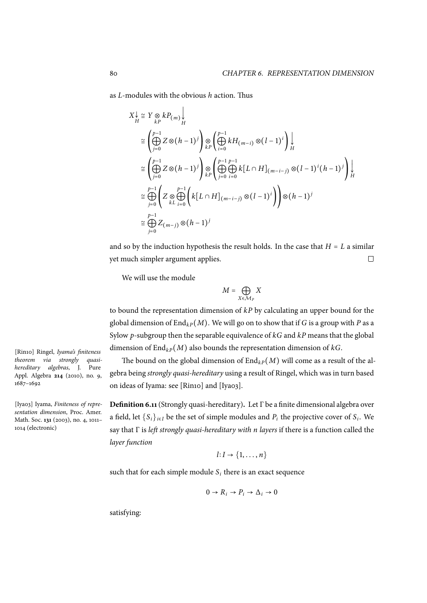as *L*-modules with the obvious *h* action. Thus  $\overline{1}$ 

$$
X_H^{\downarrow} \cong Y \underset{kP}{\otimes} k P_{(m)} \underset{H}{\downarrow}
$$
  
\n
$$
\cong \left( \bigoplus_{j=0}^{p-1} Z \otimes (h-1)^j \right) \underset{kP}{\otimes} \left( \bigoplus_{i=0}^{p-1} k H_{(m-i)} \otimes (l-1)^i \right) \underset{H}{\downarrow}
$$
  
\n
$$
\cong \left( \bigoplus_{j=0}^{p-1} Z \otimes (h-1)^j \right) \underset{kP}{\otimes} \left( \bigoplus_{j=0}^{p-1} \bigoplus_{i=0}^{p-1} k [L \cap H]_{(m-i-j)} \otimes (l-1)^i (h-1)^j \right) \underset{H}{\downarrow}
$$
  
\n
$$
\cong \bigoplus_{j=0}^{p-1} \left( Z \underset{kL}{\otimes} \bigoplus_{i=0}^{p-1} \left( k [L \cap H]_{(m-i-j)} \otimes (l-1)^i \right) \right) \otimes (h-1)^j
$$
  
\n
$$
\cong \bigoplus_{j=0}^{p-1} Z_{(m-j)} \otimes (h-1)^j
$$

and so by the induction hypothesis the result holds. In the case that *H* = *L* a similar vet much simpler argument applies. yet much simpler argument applies.

We will use the module

$$
M=\bigoplus_{X\in\mathcal{M}_P}X
$$

to bound the representation dimension of *kP* by calculating an upper bound for the global dimension of  $\text{End}_{k}P(M)$ . We will go on to show that if *G* is a group with *P* as a Sylow *p*-subgroup then the separable equivalence of *kG* and *kP* means that the global dimension of  $\text{End}_{k}(\mathcal{M})$  also bounds the representation dimension of  $kG$ .

The bound on the global dimension of  $\text{End}_{k}P(M)$  will come as a result of the algebra being *strongly quasi-hereditary* using a result of Ringel, which was in turn based on ideas of Iyama: see [Rin10] and [Iya03].

**Definition 6.11**(Strongly quasi-hereditary)**.** Let Γ be a finite dimensional algebra over a field, let  $\{S_i\}_{i \in I}$  be the set of simple modules and  $P_i$  the projective cover of  $S_i$ . We say that Γ is *left strongly quasi-hereditary with n layers* if there is a function called the *layer function*

$$
l: I \to \{1, \ldots, n\}
$$

such that for each simple module  $S_i$  there is an exact sequence

$$
0 \to R_i \to P_i \to \Delta_i \to 0
$$

satisfying:

[Rin10] Ringel, *Iyama's finiteness theorem via strongly quasihereditary algebras*, J. Pure Appl. Algebra **214** (2010), no. 9, 1687–1692

[Iya03] Iyama, *Finiteness of representation dimension*, Proc. Amer. Math. Soc. **131** (2003), no. 4, 1011– 1014 (electronic)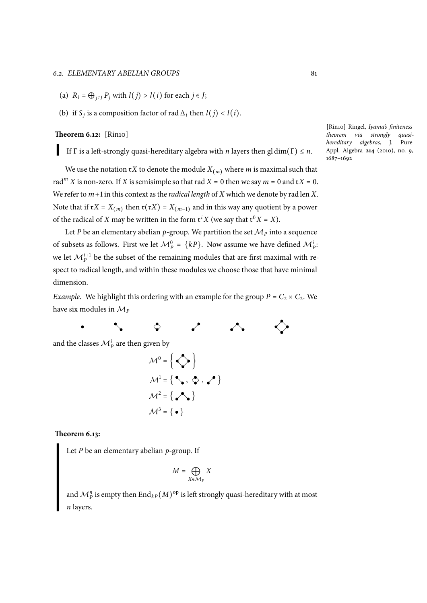#### *6.2. ELEMENTARY ABELIAN GROUPS* 81

- <span id="page-90-0"></span>(a)  $R_i = \bigoplus_{i \in I} P_i$  with  $l(j) > l(i)$  for each  $j \in J$ ;
- (b) if *S<sub>j</sub>* is a composition factor of rad  $\Delta_i$  then  $l(j) < l(i)$ .

#### **Theorem 6.12:** [Rin10]

If  $\Gamma$  is a left-strongly quasi-hereditary algebra with *n* layers then gl dim( $\Gamma$ )  $\leq n$ .

We use the notation  $\mathfrak{r}X$  to denote the module  $X_{(m)}$  where *m* is maximal such that rad<sup>*m*</sup> *X* is non-zero. If *X* is semisimple so that rad  $X = 0$  then we say  $m = 0$  and  $\mathfrak{r}X = 0$ . We refer to *m*+1 in this context as the *radical length* of *X* which we denote by rad len *X*. Note that if  $\mathfrak{r}X = X_{(m)}$  then  $\mathfrak{r}(\mathfrak{r}X) = X_{(m-1)}$  and in this way any quotient by a power of the radical of *X* may be written in the form  $\mathfrak{r}^i X$  (we say that  $\mathfrak{r}^0 X = X$ ).

Let *P* be an elementary abelian *p*-group. We partition the set  $M_p$  into a sequence of subsets as follows. First we let  $\mathcal{M}_{P}^{0} = \{kP\}$ . Now assume we have defined  $\mathcal{M}_{P}^{i}$ : we let  $\mathcal{M}_{P}^{i+1}$  be the subset of the remaining modules that are first maximal with respect to radical length, and within these modules we choose those that have minimal dimension.

*Example.* We highlight this ordering with an example for the group  $P = C_2 \times C_2$ . We have six modules in *M<sup>P</sup>*

 $\ddot{\phantom{0}}$  $\bullet$ 

and the classes  $\mathcal{M}_{P}^{i}$  are then given by

$$
\mathcal{M}^{0} = \left\{ \bigotimes \right\}
$$

$$
\mathcal{M}^{1} = \left\{ \bigotimes \right\}, \bigotimes \right\}, \bigotimes
$$

$$
\mathcal{M}^{2} = \left\{ \bigotimes \right\}
$$

$$
\mathcal{M}^{3} = \left\{ \bigotimes \right\}
$$

#### <span id="page-90-1"></span>**Theorem 6.13:**

Let *P* be an elementary abelian *p*-group. If

$$
M = \bigoplus_{X \in \mathcal{M}_P} X
$$

and  $\mathcal{M}^n_P$  is empty then  $\mathrm{End}_{kP}(M)^{\rm op}$  is left strongly quasi-hereditary with at most *n* layers.

[Rin10] Ringel, *Iyama's finiteness theorem via strongly quasihereditary algebras*, J. Pure Appl. Algebra **214** (2010), no. 9, 1687–1692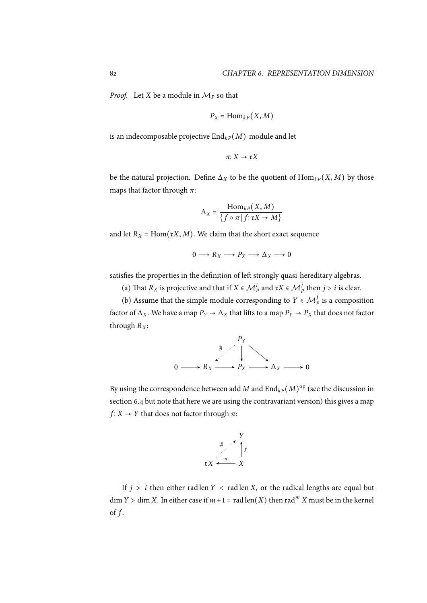*Proof.* Let *X* be a module in  $M_p$  so that

$$
P_X = \mathrm{Hom}_{kP}(X, M)
$$

is an indecomposable projective  $\text{End}_{k}(M)$ -module and let

$$
\pi: X \to \mathfrak{r} X
$$

be the natural projection. Define  $\Delta_X$  to be the quotient of  $\text{Hom}_{k}(X, M)$  by those maps that factor through *π*:

$$
\Delta_X = \frac{\text{Hom}_{kP}(X, M)}{\{f \circ \pi | f: \mathfrak{r}X \to M\}}
$$

and let  $R_X$  = Hom( $\mathfrak{r}X$ , *M*). We claim that the short exact sequence

$$
0 \longrightarrow R_X \longrightarrow P_X \longrightarrow \Delta_X \longrightarrow 0
$$

satisfies the properties in the definition of left strongly quasi-hereditary algebras.

(a) That  $R_X$  is projective and that if  $X \in \mathcal{M}_P^i$  and  $\mathfrak{r}X \in \mathcal{M}_P^j$  then  $j > i$  is clear.

(b) Assume that the simple module corresponding to  $Y \in \mathcal{M}_{P}^{j}$  is a composition factor of  $\Delta_X$ . We have a map  $P_Y \to \Delta_X$  that lifts to a map  $P_Y \to P_X$  that does not factor thr[oug](#page-90-0)h  $R_X$ :



By using the correspondence between add  $M$  and  $\mathrm{End}_{kP}(M)^{\mathrm{op}}$  (see the discussion in section 6.4 but note that here we are using the contravariant version) this gives a map *f* : *X* → *Y* that does not factor through  $\pi$ :



If  $j > i$  then either rad len  $Y <$  rad len  $X$ , or the radical lengths are equal but  $\dim Y > \dim X$ . In either case if  $m+1 = \text{rad} \operatorname{len}(X)$  then  $\operatorname{rad}^m X$  must be in the kernel of *f* .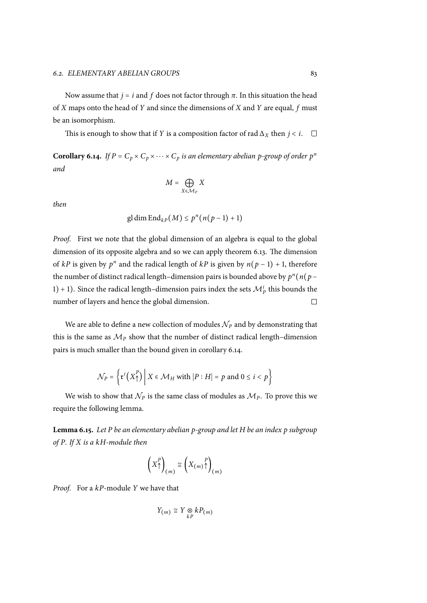Now assume that  $j = i$  and  $f$  does not factor through  $\pi$ . In this situation the head of *X* maps onto the head of *Y* and since the dimensions of *X* and *Y* are equal, *f* must be an isomorphism.

This is enough to show that if *Y* is a composition factor of rad  $\Delta_X$  then *j* < *i*.  $\Box$ 

**Corollary 6.14.** *If*  $P = C_p \times C_p \times \cdots \times C_p$  *is an elementary abelian p-group of order*  $p^n$ *and*

$$
M=\bigoplus_{X\in \mathcal{M}_P}X
$$

<span id="page-92-0"></span>*then*

$$
\operatorname{gl\,dim} \operatorname{End}_{kP}(M) \leq p^n(n(p-1)+1)
$$

*Proof.* First we note that the global dimension of an algebra is equal to the global dimension of its opposite algebra and so we can apply theorem 6.13. The dimension of *kP* is given by  $p^n$  and the radical length of *kP* is given by  $n(p-1) + 1$ , therefore the number of distinct radical length–dimension pairs is bounded above by  $p^n(n(p-1))$ 1) + 1). Since the radical length–dimension pairs index the sets  $\mathcal{M}_p^i$  $\mathcal{M}_p^i$  $\mathcal{M}_p^i$  this bounds the number of layers and hence the global dimension.  $\Box$ 

We are able to define a new collection of modules  $N_P$  and by demonstrating that this is the same as  $M_p$  show that the number of distinct radical length–dimension pairs is much smaller than the bound given in corollary 6.14.

$$
\mathcal{N}_P = \left\{ \mathfrak{r}^i \left( X_\uparrow^P \right) \middle| X \in \mathcal{M}_H \text{ with } |P : H| = p \text{ and } 0 \leq i < p \right\}
$$

We wish to show that  $N_p$  is the same class of modules as  $M_p$ . To prove this we require the following lemma.

**Lemma 6.15.** *Let P be an elementary abelian p-group and let H be an index p subgroup of P. If X is a kH-module then*

$$
\left(X_{\uparrow}^{P}\right)_{(m)} \cong \left(X_{(m)}\right)_{(m)}^{P}
$$

*Proof.* For a *kP*-module *Y* we have that

$$
Y_{(m)} \cong Y \underset{kP}{\otimes} k P_{(m)}
$$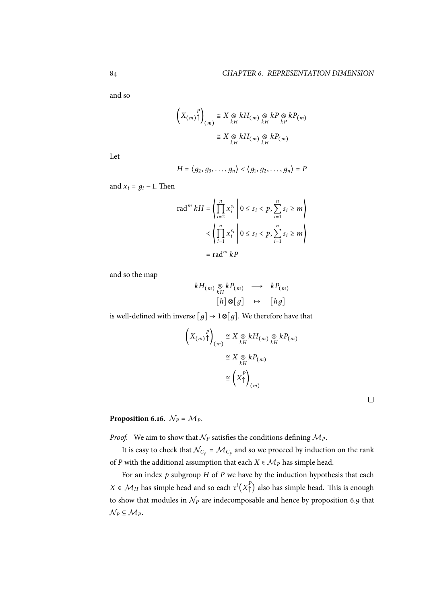and so

$$
\left(X_{(m)}\uparrow\right)_{(m)} \cong X \underset{kH}{\otimes} kH_{(m)} \underset{kH}{\otimes} kP \underset{kP}{\otimes} kP_{(m)}
$$

$$
\cong X \underset{kH}{\otimes} kH_{(m)} \underset{kH}{\otimes} kP_{(m)}
$$

Let

$$
H = \langle g_2, g_3, \ldots, g_n \rangle < \langle g_1, g_2, \ldots, g_n \rangle = P
$$

and  $x_i = g_i - 1$ . Then

$$
\operatorname{rad}^{m} kH = \left\{ \prod_{i=2}^{n} x_{i}^{s_{i}} \middle| 0 \leq s_{i} < p, \sum_{i=1}^{n} s_{i} \geq m \right\}
$$
\n
$$
\left\langle \prod_{i=1}^{n} x_{i}^{s_{i}} \middle| 0 \leq s_{i} < p, \sum_{i=1}^{n} s_{i} \geq m \right\rangle
$$
\n
$$
= \operatorname{rad}^{m} kP
$$

and so the map

$$
kH_{(m)} \underset{kH}{\otimes} kP_{(m)} \longrightarrow kP_{(m)}
$$
  

$$
[h] \otimes [g] \longrightarrow [hg]
$$

is well-defined with inverse  $[g] \mapsto 1 \otimes [g]$ . We therefore have that

$$
\left(X_{(m)}\uparrow\right)_{(m)} \cong X \underset{kH}{\otimes} kH_{(m)} \underset{kH}{\otimes} kP_{(m)}
$$

$$
\cong X \underset{kH}{\otimes} kP_{(m)}
$$

$$
\cong \left(X\uparrow\right)_{(m)}
$$

**Proposition 6.16.**  $\mathcal{N}_P = \mathcal{M}_P$ *.* 

*Proof.* We aim to show that  $N_P$  satisfies the conditions defining  $M_P$ .

<span id="page-93-0"></span>It is easy to check that  $\mathcal{N}_{C_p} = \mathcal{M}_{C_p}$  and so we proceed by induction on the rank of *P* with the additional assumption that each  $X \in \mathcal{M}_P$  has simple head.

For an index *p* subgroup *H* of *P* we have by the induction hypothesis that each *X* ∈  $\mathcal{M}_H$  has simple head and so each  $\mathfrak{r}^i(X^P_+)$  also has simple head. This is enough to show that modules in  $N_P$  are indecomposable and hence by proposition 6.9 that  $\mathcal{N}_P \subseteq \mathcal{M}_P$ .

 $\Box$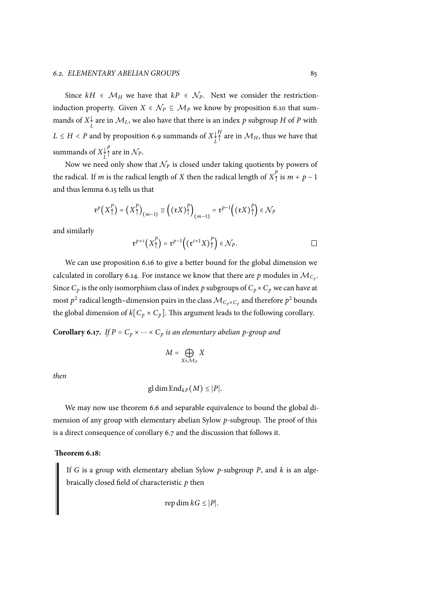Since  $kH$  ∈  $M_H$  we have that  $kP$  ∈  $N_P$ . Next we consider the restrictioninduction property. Given  $X \in \mathcal{N}_P \subseteq \mathcal{M}_P$  we know by proposition 6.10 that summands of  $X_L^{\downarrow}$  are in  $\mathcal{M}_L$ , we also have that there is an index  $p$  subgroup  $H$  of  $P$  with  $L \leq H < P$  and by proposition 6.9 summands of  $X_{L}^{\downarrow}$  $A^H$ <sup>†</sup> are in  $\mathcal{M}_H$ , thus we have that summands of  $X_L^{\downarrow}$  $P_{\uparrow}$  are in  $\mathcal{N}_P$ .

Now we need only show that  $N_P$  is closed under taking quotients by powers of the radical. If *m* is the radical l[eng](#page-87-1)th of *X* then the radical length of  $X^P$  is  $m + p - 1$ and thus lemma 6.15 tells us that

$$
\mathfrak{r}^p\big(X_\uparrow^P\big)=\big(X_\uparrow^P\big)_{(m-1)}\cong\big(\big(\mathfrak{r} X\big)_\uparrow^P\big)_{(m-1)}=\mathfrak{r}^{p-1}\big(\big(\mathfrak{r} X\big)_\uparrow^P\big)\in\mathcal{N}_P
$$

and similarly

$$
\mathfrak{r}^{p+i}\big(X_\uparrow^P\big)=\mathfrak{r}^{p-1}\Big(\big(\mathfrak{r}^{i+1}X\big)_\uparrow^P\Big)\in\mathcal{N}_P.
$$

We can use proposition 6.16 to give a better bound for the global dimension we calculated in corollary 6.14. For instance we know that there are  $p$  modules in  $\mathcal{M}_{C_p}$ . Since  $C_p$  is the only isomorphism class of index p subgroups of  $C_p \times C_p$  we can have at most  $p^2$  radical length–dim[ensio](#page-93-0)n pairs in the class  $\mathcal{M}_{C_p\times C_p}$  and therefore  $p^2$  bounds the global dimension of  $k[C_p \times C_p]$  $k[C_p \times C_p]$ . This argument leads to the following corollary.

**Corollary 6.17.** *If*  $P = C_p \times \cdots \times C_p$  *is an elementary abelian p-group and* 

$$
M = \bigoplus_{X \in \mathcal{M}_P} X
$$

*then*

$$
\operatorname{gl\,dim} \operatorname{End}_{kP}(M) \leq |P|.
$$

We may now use theorem 6.6 and separable equivalence to bound the global dimension of any group with elementary abelian Sylow *p*-subgroup. The proof of this is a direct consequence of corollary 6.7 and the discussion that follows it.

#### **Theorem 6.18:**

If *G* is a group with elementar[y ab](#page-84-1)elian Sylow *p*-subgroup *P*, and *k* is an algebraically closed field of characteristic *p* then

$$
\operatorname{rep\,dim} kG \leq |P|.
$$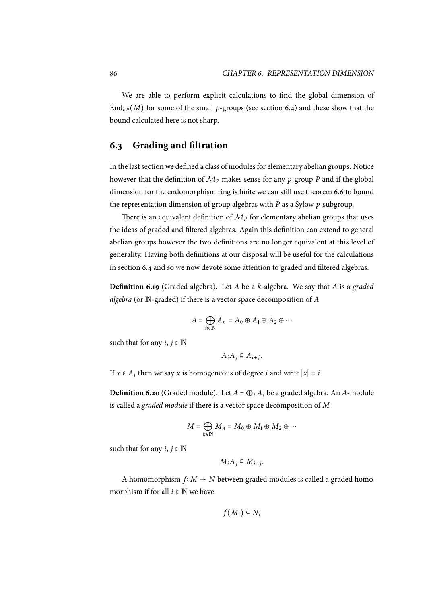We are able to perform explicit calculations to find the global dimension of  $\text{End}_{kP}(M)$  for some of the small *p*-groups (see section 6.4) and these show that the bound calculated here is not sharp.

## **6.3 Grading and filtration**

In the last section we defined a class of modules for elementary abelian groups. Notice however that the definition of *M<sup>P</sup>* makes sense for any *p*-group *P* and if the global dimension for the endomorphism ring is finite we can still use theorem 6.6 to bound the representation dimension of group algebras with *P* as a Sylow *p*-subgroup.

There is an equivalent definition of  $\mathcal{M}_P$  for elementary abelian groups that uses the ideas of graded and filtered algebras. Again this definition can exte[nd t](#page-84-0)o general abelian groups however the two definitions are no longer equivalent at this level of generality. Having both definitions at our disposal will be useful for the calculations in section 6.4 and so we now devote some attention to graded and filtered algebras.

**Definition 6.19** (Graded algebra)**.** Let *A* be a *k*-algebra. We say that *A* is a *graded algebra* (or [N](#page-99-0)-graded) if there is a vector space decomposition of *A*

$$
A=\bigoplus_{n\in\mathbb{N}}A_n=A_0\oplus A_1\oplus A_2\oplus\cdots
$$

such that for any  $i, j \in \mathbb{N}$ 

$$
A_iA_j\subseteq A_{i+j}.
$$

If  $x \in A_i$  then we say  $x$  is homogeneous of degree  $i$  and write  $|x| = i$ .

**Definition 6.20** (Graded module). Let  $A = \bigoplus_i A_i$  be a graded algebra. An *A*-module is called a *graded module* if there is a vector space decomposition of *M*

$$
M=\bigoplus_{n\in\mathbb{N}}M_n=M_0\oplus M_1\oplus M_2\oplus\cdots
$$

such that for any  $i, j \in \mathbb{N}$ 

$$
M_iA_j\subseteq M_{i+j}.
$$

A homomorphism *f* ∶ *M* → *N* between graded modules is called a graded homomorphism if for all  $i \in \mathbb{N}$  we have

$$
f(M_i)\subseteq N_i
$$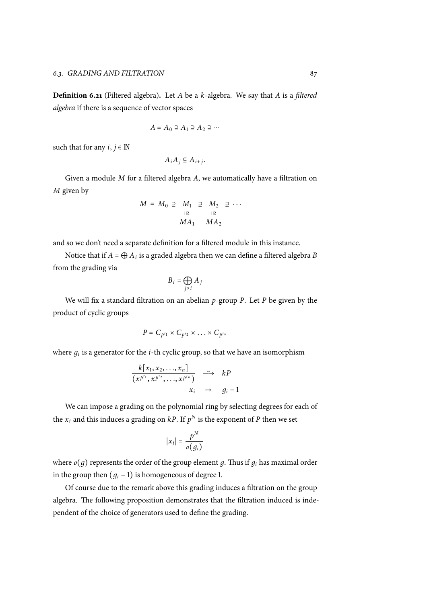**Definition 6.21** (Filtered algebra)**.** Let *A* be a *k*-algebra. We say that *A* is a *filtered algebra* if there is a sequence of vector spaces

$$
A = A_0 \supseteq A_1 \supseteq A_2 \supseteq \cdots
$$

such that for any  $i, j \in \mathbb{N}$ 

$$
A_iA_j\subseteq A_{i+j}.
$$

Given a module *M* for a filtered algebra *A*, we automatically have a filtration on *M* given by

$$
M = M_0 \supseteq M_1 \supseteq M_2 \supseteq \cdots
$$
  

$$
M A_1 \quad M A_2
$$

and so we don't need a separate definition for a filtered module in this instance.

Notice that if *<sup>A</sup>* <sup>=</sup> <sup>⊕</sup> *<sup>A</sup><sup>i</sup>* is a graded algebra then we can define a filtered algebra *B* from the grading via

$$
B_i = \bigoplus_{j \ge i} A_j
$$

We will fix a standard filtration on an abelian *p*-group *P*. Let *P* be given by the product of cyclic groups

$$
P=C_{p^{r_1}}\times C_{p^{r_2}}\times \ldots \times C_{p^{r_n}}
$$

where *д<sup>i</sup>* is a generator for the *i*-th cyclic group, so that we have an isomorphism

$$
\frac{k[x_1, x_2, \ldots, x_n]}{(x^{p^{r_1}}, x^{p^{r_2}}, \ldots, x^{p^{r_n}})} \xrightarrow{\sim} kP
$$
  

$$
x_i \mapsto g_i - 1
$$

We can impose a grading on the polynomial ring by selecting degrees for each of the  $x_i$  and this induces a grading on  $kP$ . If  $p^N$  is the exponent of  $P$  then we set

$$
|x_i| = \frac{p^N}{o(g_i)}
$$

where  $o(g)$  represents the order of the group element *g*. Thus if  $g_i$  has maximal order in the group then  $(q_i - 1)$  is homogeneous of degree 1.

Of course due to the remark above this grading induces a filtration on the group algebra. The following proposition demonstrates that the filtration induced is independent of the choice of generators used to define the grading.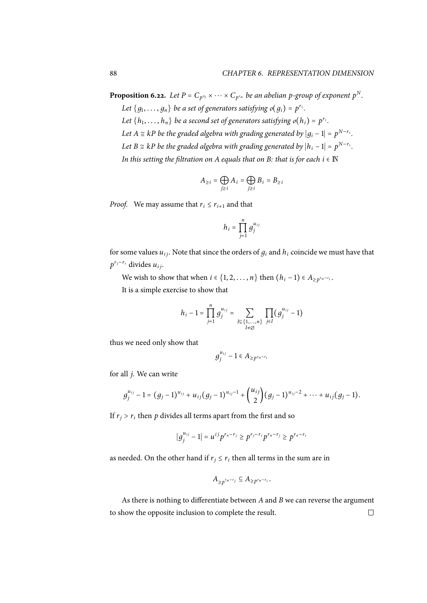**Proposition 6.22.** *Let*  $P = C_{p^{r_1}} \times \cdots \times C_{p^{r_n}}$  *be an abelian p-group of exponent*  $p^N$ *.* 

Let  $\{g_1, \ldots, g_n\}$  *be a set of generators satisfying*  $o(g_i) = p^{r_i}$ . Let  $\{h_1, \ldots, h_n\}$  *be a second set of generators satisfying*  $o(h_i) = p^{r_i}$ . *Let*  $A \cong kP$  *be the graded algebra with grading generated by*  $|g_i - 1| = p^{N - r_i}$ . *Let*  $B \cong kP$  *be the graded algebra with grading generated by*  $|h_i - 1| = p^{N - r_i}$ . *In this setting the filtration on A equals that on B: that is for each*  $i \in \mathbb{N}$ 

$$
A_{\geq i} = \bigoplus_{j \geq i} A_i = \bigoplus_{j \geq i} B_i = B_{\geq i}
$$

*Proof.* We may assume that  $r_i \leq r_{i+1}$  and that

$$
h_i = \prod_{j=1}^n g_j^{u_{ij}}
$$

for some values  $u_{ij}$ . Note that since the orders of  $g_i$  and  $h_i$  coincide we must have that *p <sup>r</sup>j*−*r<sup>i</sup>* divides *ui j*.

We wish to show that when  $i \in \{1, 2, \ldots, n\}$  then  $(h_i - 1) \in A_{\geq p^{r_n - r_i}}$ .

It is a simple exercise to show that

$$
h_i-1=\prod_{j=1}^ng_j^{u_{ij}}=\sum_{\substack{I\subseteq\{1,\ldots,n\}\\ I\neq\emptyset}}\prod_{j\in I}(g_j^{u_{ij}}-1)
$$

thus we need only show that

$$
g_j^{u_{ij}}-1\in A_{\geq p^{r_n-r_i}}
$$

for all *j*. We can write

$$
g_j^{u_{ij}}-1=(g_j-1)^{u_{ij}}+u_{ij}(g_j-1)^{u_{ij}-1}+\binom{u_{ij}}{2}(g_j-1)^{u_{ij}-2}+\cdots+u_{ij}(g_j-1).
$$

If  $r_i > r_i$  then  $p$  divides all terms apart from the first and so

$$
|g_j^{u_{ij}}-1|=u^{ij}p^{r_n-r_j}\geq p^{r_j-r_i}p^{r_n-r_j}\geq p^{r_n-r_i}
$$

as needed. On the other hand if  $r_j \leq r_i$  then all terms in the sum are in

$$
A_{\geq p^{r_n-r_j}} \subseteq A_{\geq p^{r_n-r_i}}.
$$

As there is nothing to differentiate between *A* and *B* we can reverse the argument to show the opposite inclusion to complete the result. $\Box$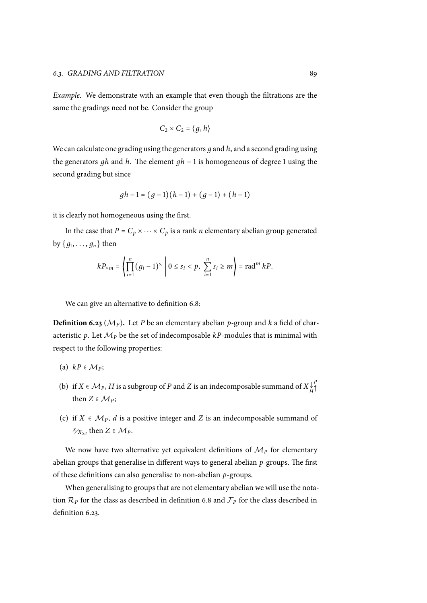*Example.* We demonstrate with an example that even though the filtrations are the same the gradings need not be. Consider the group

$$
C_2\times C_2=\bigl\langle g,h\bigr\rangle
$$

We can calculate one grading using the generators *д* and *h*, and a second grading using the generators *дh* and *h*. The element *дh* − 1 is homogeneous of degree 1 using the second grading but since

$$
gh-1 = (g-1)(h-1) + (g-1) + (h-1)
$$

it is clearly not homogeneous using the first.

In the case that  $P = C_p \times \cdots \times C_p$  is a rank *n* elementary abelian group generated by  $\{g_1, \ldots, g_n\}$  then

$$
k P_{\geq m} = \left( \prod_{i=1}^{n} (g_i - 1)^{s_i} \middle| 0 \leq s_i < p, \sum_{i=1}^{n} s_i \geq m \right) = \text{rad}^m k P.
$$

We can give an alternative to definition 6.8:

**Definition 6.23** ( $M<sub>P</sub>$ ). Let *P* be an elementary abelian *p*-group and *k* a field of characteristic  $p$ . Let  $M_p$  be the set of indecom[posa](#page-85-0)ble  $kP$ -modules that is minimal with respect to the following properties:

- (a)  $kP \in \mathcal{M}_P$ ;
- (b) if  $X \in \mathcal{M}_P$ ,  $H$  is a subgroup of  $P$  and  $Z$  is an indecomposable summand of  $X \downarrow^{\mathcal{L}}_H$ *P* ↑ then  $Z \in \mathcal{M}_P$ ;
- (c) if  $X \in \mathcal{M}_P$ , *d* is a positive integer and *Z* is an indecomposable summand of *X*⁄<sub>*X*≥*d*</sub> then *Z* ∈ *Mp*.

We now have two alternative yet equivalent definitions of  $M<sub>P</sub>$  for elementary abelian groups that generalise in different ways to general abelian *p*-groups. The first of these definitions can also generalise to non-abelian *p*-groups.

When generalising to groups that are not elementary abelian we will use the notation  $\mathcal{R}_P$  for the class as described in definition 6.8 and  $\mathcal{F}_P$  for the class described in definition 6.23.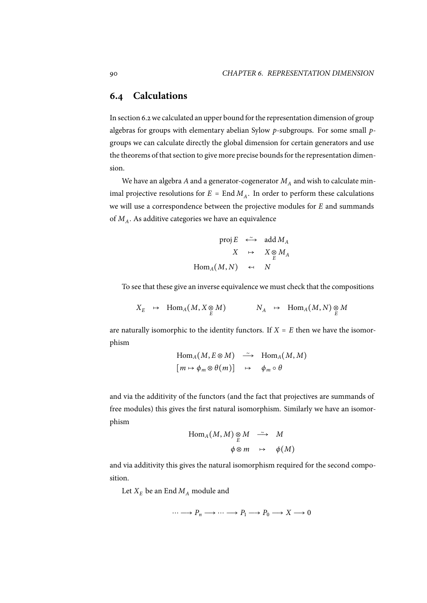## **6.4 Calculations**

<span id="page-99-0"></span>In section 6.2we calculated an upper bound for the representation dimension of group algebras for groups with elementary abelian Sylow *p*-subgroups. For some small *p*groups we can calculate directly the global dimension for certain generators and use the theore[ms](#page-85-1) of that section to give more precise bounds for the representation dimension.

We have an algebra  $A$  and a generator-cogenerator  $M_A$  and wish to calculate minimal projective resolutions for  $E = \text{End } M_A$ . In order to perform these calculations we will use a correspondence between the projective modules for *E* and summands of  $M_A$ . As additive categories we have an equivalence

$$
\text{proj }E \leftrightarrow \text{add } M_A
$$

$$
X \mapsto X \underset{E}{\otimes} M_A
$$

$$
\text{Hom}_A(M, N) \leftrightarrow N
$$

To see that these give an inverse equivalence we must check that the compositions

$$
X_E \rightarrow \text{Hom}_A(M, X \underset{E}{\otimes} M) \qquad \qquad N_A \rightarrow \text{Hom}_A(M, N) \underset{E}{\otimes} M
$$

are naturally isomorphic to the identity functors. If  $X = E$  then we have the isomorphism

$$
\text{Hom}_A(M, E \otimes M) \xrightarrow{\sim} \text{Hom}_A(M, M)
$$
  

$$
[m \mapsto \phi_m \otimes \theta(m)] \mapsto \phi_m \circ \theta
$$

and via the additivity of the functors (and the fact that projectives are summands of free modules) this gives the first natural isomorphism. Similarly we have an isomorphism

$$
\text{Hom}_{A}(M, M) \underset{E}{\otimes} M \longrightarrow M
$$
  

$$
\phi \otimes m \longrightarrow \phi(M)
$$

and via additivity this gives the natural isomorphism required for the second composition.

Let  $X_E$  be an End  $M_A$  module and

$$
\cdots \longrightarrow P_n \longrightarrow \cdots \longrightarrow P_1 \longrightarrow P_0 \longrightarrow X \longrightarrow 0
$$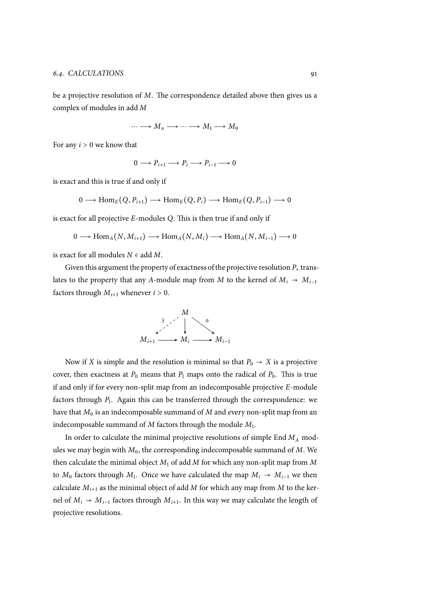be a projective resolution of *M*. The correspondence detailed above then gives us a complex of modules in add *M*

$$
\cdots \longrightarrow M_n \longrightarrow \cdots \longrightarrow M_1 \longrightarrow M_0
$$

For any *<sup>i</sup>* <sup>&</sup>gt; <sup>0</sup> we know that

$$
0 \longrightarrow P_{i+1} \longrightarrow P_i \longrightarrow P_{i-1} \longrightarrow 0
$$

is exact and this is true if and only if

$$
0 \longrightarrow \text{Hom}_{E}(Q, P_{i+1}) \longrightarrow \text{Hom}_{E}(Q, P_{i}) \longrightarrow \text{Hom}_{E}(Q, P_{i-1}) \longrightarrow 0
$$

is exact for all projective *E*-modules *Q*. This is then true if and only if

$$
0 \longrightarrow \text{Hom}_{A}(N, M_{i+1}) \longrightarrow \text{Hom}_{A}(N, M_{i}) \longrightarrow \text{Hom}_{A}(N, M_{i-1}) \longrightarrow 0
$$

is exact for all modules *<sup>N</sup>* <sup>∈</sup> add *<sup>M</sup>*.

Given this argument the property of exactness of the projective resolution *P<sup>∗</sup>* translates to the property that any *A*-module map from *M* to the kernel of  $M_i \rightarrow M_{i-1}$ factors through  $M_{i+1}$  whenever  $i > 0$ .



Now if *X* is simple and the resolution is minimal so that  $P_0 \rightarrow X$  is a projective cover, then exactness at  $P_0$  means that  $P_1$  maps onto the radical of  $P_0$ . This is true if and only if for every non-split map from an indecomposable projective *E*-module factors through *P*<sup>1</sup> . Again this can be transferred through the correspondence: we have that  $M_0$  is an indecomposable summand of  $M$  and every non-split map from an indecomposable summand of *M* factors through the module *M*<sup>1</sup> .

In order to calculate the minimal projective resolutions of simple End *M<sup>A</sup>* modules we may begin with *M*0, the corresponding indecomposable summand of *M*. We then calculate the minimal object *M*<sup>1</sup> of add *M* for which any non-split map from *M* to  $M_0$  factors through  $M_1$ . Once we have calculated the map  $M_i \rightarrow M_{i-1}$  we then calculate  $M_{i+1}$  as the minimal object of add  $M$  for which any map from  $M$  to the kernel of  $M_i \rightarrow M_{i-1}$  factors through  $M_{i+1}$ . In this way we may calculate the length of projective resolutions.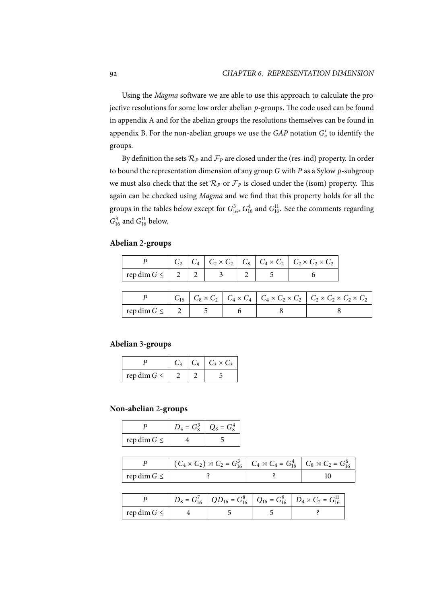Using the *Magma* software we are able to use this approach to calculate the projective resolutions for some low order abelian *p*-groups. The code used can be found in appendix A and for the abelian groups the resolutions themselves can be found in appendix B. For the non-abelian groups we use the  $GAP$  notation  $G^i_o$  to identify the groups.

By defin[itio](#page-104-0)n the sets  $\mathcal{R}_P$  and  $\mathcal{F}_P$  are closed under the (res-ind) property. In order to bound [th](#page-116-0)e representation dimension of any group *G* with *P* as a Sylow *p*-subgroup we must also check that the set  $\mathcal{R}_P$  or  $\mathcal{F}_P$  is closed under the (isom) property. This again can be checked using *Magma* and we find that this property holds for all the groups in the tables below except for  $G_{16}^3$ ,  $G_{16}^4$  and  $G_{16}^{11}$ . See the comments regarding  $G_{16}^3$  and  $G_{16}^{11}$  below.

## **Abelian** 2**-groups**

|                  |  |  | $C_2$   $C_4$   $C_2 \times C_2$   $C_8$   $C_4 \times C_2$   $C_2 \times C_2 \times C_2$ |
|------------------|--|--|-------------------------------------------------------------------------------------------|
| rep dim $G \leq$ |  |  |                                                                                           |

|                                |  |  | $C_1$ $C_2$ $\times$ $C_2$ $C_4$ $\times$ $C_4$ $C_4$ $\times$ $C_2$ $\times$ $C_2$ $C_2$ $\times$ $C_2$ $\times$ $C_2$ $\times$ $C_2$ |
|--------------------------------|--|--|----------------------------------------------------------------------------------------------------------------------------------------|
| $\vert$ rep dim $G \leq   2  $ |  |  |                                                                                                                                        |

## **Abelian** 3**-groups**

|                  |  | $C_3 \times C_3$ |
|------------------|--|------------------|
| rep dim $G \leq$ |  |                  |

#### **Non-abelian** 2**-groups**

|                  | $\mu = G_0^2$ | $\int_0^1 f(x) dx = \int_0^1 f(x) dx$ |
|------------------|---------------|---------------------------------------|
| rep dim $G \leq$ |               |                                       |

|                  | $(C_4 \times C_2) \rtimes C_2 = G_{16}^3$ $C_4 \rtimes C_4 = G_{16}^4$ $C_8 \rtimes C_2 = G_{16}^6$ |  |
|------------------|-----------------------------------------------------------------------------------------------------|--|
| rep dim $G \leq$ |                                                                                                     |  |

|                   |  | $Q_1 = G_{16}^7$   $QD_{16} = G_{16}^8$   $Q_{16} = G_{16}^9$   $D_4 \times C_2 = G_{16}^{11}$ |
|-------------------|--|------------------------------------------------------------------------------------------------|
| $\vert$ rep dim G |  |                                                                                                |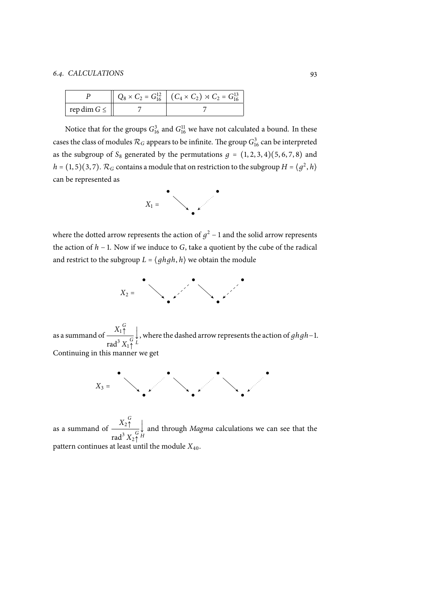|                     | $Q_8 \times C_2 = G_{16}^{12}$ $(C_4 \times C_2) \times C_2 = G_{16}^{13}$ |
|---------------------|----------------------------------------------------------------------------|
| rep dim $G \leq   $ |                                                                            |

Notice that for the groups  $G_{16}^3$  and  $G_{16}^{11}$  we have not calculated a bound. In these cases the class of modules  $\mathcal{R}_G$  appears to be infinite. The group  $G_{16}^3$  can be interpreted as the subgroup of  $S_8$  generated by the permutations  $g = (1, 2, 3, 4)(5, 6, 7, 8)$  and *h* = (1, 5)(3, 7).  $\mathcal{R}_G$  contains a module that on restriction to the subgroup *H* =  $\langle g^2, h \rangle$ can be represented as



where the dotted arrow represents the action of  $g^2$  – 1 and the solid arrow represents the action of *h* − 1. Now if we induce to *G*, take a quotient by the cube of the radical and restrict to the subgroup  $L = \langle ghgh, h \rangle$  we obtain the module



as a summand of  $\frac{X_1^G}{\sqrt{X_1}}$ ↑ rad<sup>3</sup>  $X_1$ <sup>G</sup> ↑ Continuing in this manner we get × × Ö *L* , where the dashed arrow represents the action of *дhдh*−1.

> $X_3 =$ ● ● ● ● ● ● ●

as a summand of  $\frac{X_2^G}{\cdot}$  $\overline{1}$ rad $^3$   $X_2$  $^G$ pattern continues at least until the module  $X_{40}$ . × × Ö *H* and through *Magma* calculations we can see that the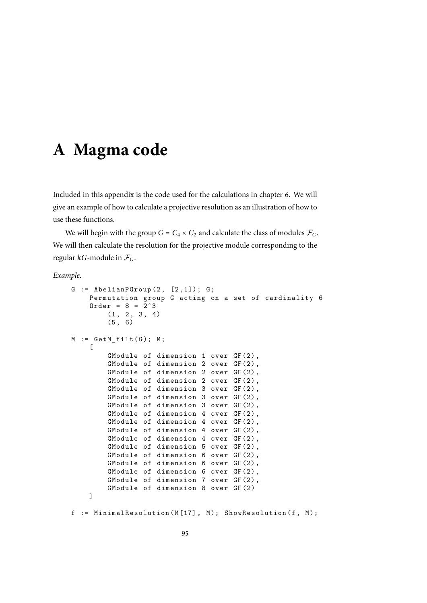# <span id="page-104-0"></span>**A Magma code**

Included in this appendix is the code used for the calculations in chapter 6. We will give an example of how to calculate a projective resolution as an illustration of how to use these functions.

We will begin with the group  $G = C_4 \times C_2$  and calculate the class of m[od](#page-82-0)ules  $\mathcal{F}_G$ . We will then calculate the resolution for the projective module corresponding to the regular *kG*-module in *FG*.

*Example.*

```
G := AbelianPGroup(2, [2,1]); G;
    Permutation group G acting on a set of cardinality 6
    Order = 8 = 2^3(1, 2, 3, 4)(5, 6)M := GetM_fidt(G); M;\GammaGModule of dimension 1 over GF (2) ,
        GModule of dimension 2 over GF (2) ,
        GModule of dimension 2 over GF (2) ,
        GModule of dimension 2 over GF (2) ,
        GModule of dimension 3 over GF (2) ,
        GModule of dimension 3 over GF (2) ,
        GModule of dimension 3 over GF (2) ,
        GModule of dimension 4 over GF (2) ,
        GModule of dimension 4 over GF (2) ,
        GModule of dimension 4 over GF (2) ,
        GModule of dimension 4 over GF (2) ,
        GModule of dimension 5 over GF (2) ,
        GModule of dimension 6 over GF (2) ,
        GModule of dimension 6 over GF (2) ,
        GModule of dimension 6 over GF (2) ,
        GModule of dimension 7 over GF (2) ,
        GModule of dimension 8 over GF (2)
    ]
f := MinimalResolution (M[17], M); ShowResolution (f, M);
```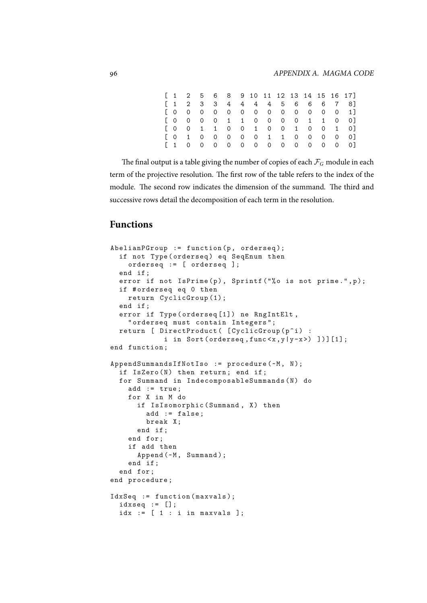|  |  |  |  |  |  |  | $[1 \ 2 \ 5 \ 6 \ 8 \ 9 \ 10 \ 11 \ 12 \ 13 \ 14 \ 15 \ 16 \ 17]$ |
|--|--|--|--|--|--|--|-------------------------------------------------------------------|
|  |  |  |  |  |  |  | $[1 \t2 \t3 \t3 \t4 \t4 \t4 \t5 \t6 \t6 \t7 \t8]$                 |
|  |  |  |  |  |  |  | $[0\ 0\ 0\ 0\ 0\ 0\ 0\ 0\ 0\ 0\ 0\ 0\ 1]$                         |
|  |  |  |  |  |  |  | $[0\ 0\ 0\ 0\ 1\ 1\ 0\ 0\ 0\ 0\ 1\ 1\ 0\ 0]$                      |
|  |  |  |  |  |  |  | $[0 \ 0 \ 1 \ 1 \ 0 \ 0 \ 1 \ 0 \ 0 \ 1 \ 0 \ 0 \ 1 \ 0]$         |
|  |  |  |  |  |  |  | [0 1 0 0 0 0 1 1 0 0 0 0]                                         |
|  |  |  |  |  |  |  |                                                                   |

The final output is a table giving the number of copies of each  $\mathcal{F}_G$  module in each term of the projective resolution. The first row of the table refers to the index of the module. The second row indicates the dimension of the summand. The third and successive rows detail the decomposition of each term in the resolution.

# **Functions**

```
AbelianPGroup := function(p, ordered);if not Type (orderseq) eq SeqEnum then
    orderseq := [ orderseq ];
  end if ;
  error if not IsPrime (p), Sprintf ("%o is not prime.", p);
  if # orderseq eq 0 then
    return CyclicGroup (1);
 end if ;
  error if Type ( orderseq [1]) ne RngIntElt ,
    " orderseq must contain Integers ";
 return [ DirectProduct ( [CyclicGroup (p^i) :
            i in Sort (orderseq, func \{x, y | y-x \}) ])][1];
end function ;
AppendSummandsIfNotIso := procedure (~M, N);
 if IsZero(N) then return; end if;
  for Summand in IndecomposableSummands (N) do
    add := true;
    for X in M do
      if IsIsomorphic (Summand, X) then
        add := false;
        break X;
      end if ;
    end for ;
    if add then
      Append (~M, Summand);
    end if ;
  end for ;
end procedure ;
IdxSeq := function (maxvals);
 idxseq := [];
  idx := [ 1 : i in maxvals ];
```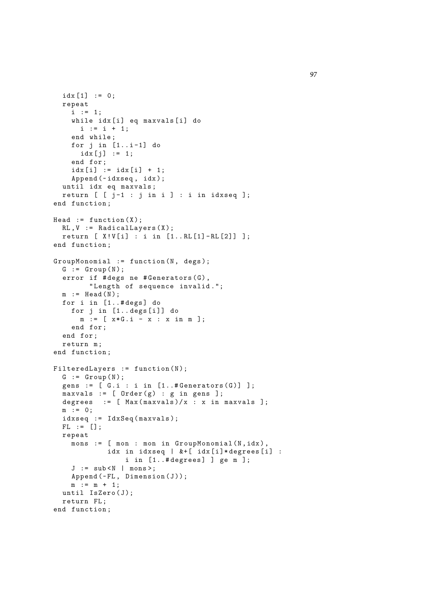```
idx [1] := 0;repeat
    i : = 1;while idx [i] eq maxvals [i] do
      i := i + 1;end while ;
    for j in [1..i-1] do
      idx[j] := 1;end for ;
    idx[i] := idx[i] + 1;Append (\nuidxseq, idx);
  until idx eq maxvals ;
  return [ [ j-1 : j in i ] : i in idxseq ];
end function ;
Head := function (X);
 RL, V := RadicalLayers(X);return [ X ! V [i] : i in [1.. RL [1] - RL [2]] ];
end function ;
GroupMonomial := function(N, degs);G := Group (N);
  error if # degs ne # Generators (G),
        "Length of sequence invalid.";
 m := Head (N);
  for i in [1..#degs] do
    for j in [1.. degs[i] do
      m := [ x * G . i - x : x in m];end for ;
  end for ;
  return m;
end function ;
FilteredLayers := function(N);G := Group (N);
  gens := [G.i : i in [1..#Generators(G)] ];
  maxvals := [ Order (g) : g in gens ];
  degrees := [ Max (maxvals)/x : x in maxvals ];
  m : = 0;idxseq := IdxSeq(maxvals);
  FL := [];
  repeat
    mons := [ mon : mon in GroupMonomial (N, idx),
            idx in idxseq | &+[ idx[i]*degrees[i] :
                i in [1..# degrees] ] ge m ];
    J := sub < N | mons >;Append(\neg FL, Dimension(J));m := m + 1;until IsZero (J);
  return FL ;
end function ;
```
97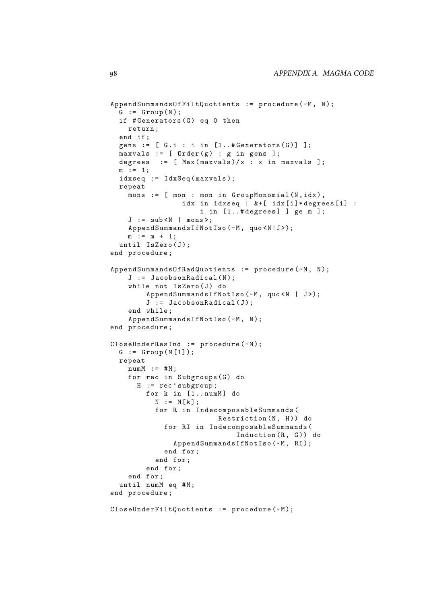```
AppendSummandsOfFiltQuotients := procedure (~M, N);
  G := Group (N);
  if #Generators(G) eq 0 then
   return ;
  end if ;
  gens := [ G.i : i in [1..#Generators(G) ] ];
  maxvals := [ Order (g) : g in gens ];
 degrees := [Max(maxvals)/x : x in maxvals ];
 m : = 1;
 idxseq := IdxSeq (maxvals);
  repeat
   mons := [ mon : mon in GroupMonomial (N, idx),
                 idx in idxseq | &+[ idx[i]*degrees[i] :
                     i in [1..# degrees] ] ge m ];
    J := sub < N | mons >;AppendSummandsIfNotIso (~M, quo <N | J>);
   m := m + 1;until IsZero(J);
end procedure ;
AppendSummandsOfRadQuotients := procedure (~M, N);
    J := JacobsonRadical(N);
    while not IsZero (J) do
        AppendSummandsIfNotIso (~M, quo <N | J>);
        J := Jacobson Radical (J);
    end while ;
    AppendSummandsIfNotIso (~M, N);
end procedure ;
CloseUnderResInd := procedure (~M);
  G := Group(M[1]);repeat
   numM := #M;for rec in Subgroups (G) do
      H := rec ' subgroup ;
        for k in [1..numM] do
          N := M[k];for R in IndecomposableSummands (
                         Restriction(N, H) do
            for RI in IndecomposableSummands (
                             Induction (R, G)) do
              AppendSummandsIfNotIso (~M, RI);
            end for ;
          end for ;
        end for ;
    end for ;
  until numM eq #M;
end procedure ;
CloseUnderFiltQuotients := procedure (~M);
```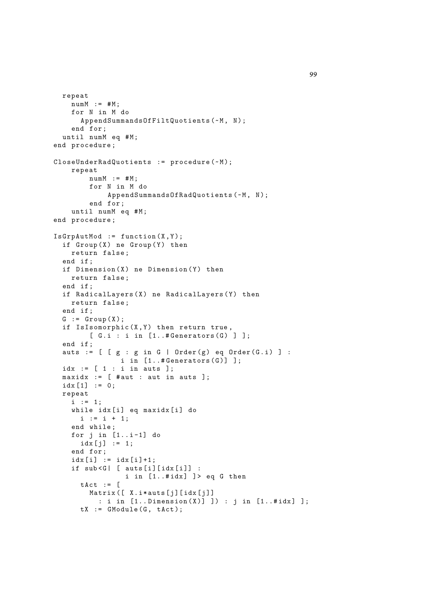```
repeat
    numM := #M;for N in M do
      AppendSummandsOfFiltQuotients (~M, N);
    end for ;
  until numM eq #M;
end procedure ;
CloseUnderRadQuotients := procedure (~M);
    repeat
        numM := #M;
        for N in M do
            AppendSummandsOfRadQuotients (~M, N);
        end for ;
    until numM eq #M;
end procedure ;
IsGrpAutMod := function(X, Y);if Group(X) ne Group(Y) then
    return false ;
  end if ;
  if Dimension(X) ne Dimension(Y) then
    return false ;
  end if ;
  if RadicalLayers (X) ne RadicalLayers (Y) then
   return false ;
  end if ;
  G := Group (X);
  if IsIsomorphic(X, Y) then return true,
        [G.i : i in [1..#Generators(G)];
  end if ;
  auts := [ [g : g in G | Order(g) eq Order(G.i) ]:i in [1..#Generators(G)] ];
  idx := [ 1 : i in auts ];maxidx := [ # aut : aut in auts ];idx [1] := 0;repeat
    i := 1;while idx [i] eq maxidx [i] do
      i := i + 1;end while ;
    for j in [1..i-1] do
      idx[j] := 1;end for ;
    idx[i] := idx[i]+1;if sub < G | [ auts [i] [idx [i]] :
                 i in [1..#idx] ]> eq G then
      \text{tAct} := \lceilMatrix ([ X. i * auts [j] [idx [j]]
          : i in [1..Dimension(X)] ]) : j in [1..#idx] ];
      tX := GModule(G, tAct);
```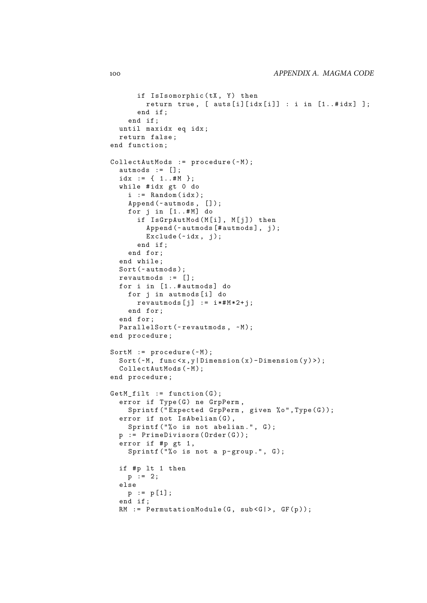```
if IsIsomorphic (tX, Y) then
        return true, [ auts[i][idx[i]] : i in [1..#idx] ];
      end if ;
    end if ;
  until maxidx eq idx ;
  return false ;
end function ;
CollectAutMods := procedure (\sim M);
  autmods := [];
  idx := { 1..#M };
  while #idx gt 0 do
    i := Random (idx);
    Append (~autmods, []);
    for j in [1..#M] do
      if IsGrpAutMod (M[i], M[j]) then
        Append (~ autmods [# autmods], j);
        Exclude (\texttt{-idx}, \texttt{j});end if ;
    end for ;
  end while ;
  Sort (~autmods);
  revautmods := [];
  for i in [1..#autmods] do
    for j in autmods [i] do
      revautmods [j] := i*#M*2+j;
    end for ;
  end for ;
  ParallelSort (~revautmods, ~M);
end procedure ;
SortM := procedure (\sim M);
  Sort ({\sim}M, func \langle x,y| Dimension (x) -Dimension (y));
  CollectAutMods(~M);
end procedure ;
GetM_filt := function(G);error if Type(G) ne GrpPerm,
    Sprintf ("Expected GrpPerm, given %o", Type (G));
  error if not IsAbelian (G),
    Sprintf ("%o is not abelian.", G);
  p := PrimeDivisors(Order(G));error if #p gt 1,
    Sprintf ("%o is not a p-group.", G);
  if #p lt 1 then
    p := 2;else
    p := p[1];end if ;
  RM := PermutationModule (G, sub < G | >, GF(p));
```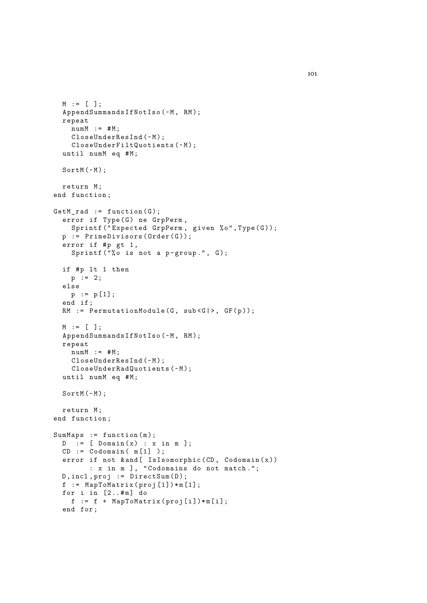```
M := [ ] ;AppendSummandsIfNotIso (~M, RM);
  repeat
    numM := #M;
    CloseUnderResInd(~M);
    CloseUnderFiltQuotients (~M);
  until numM eq #M;
  SortM (-M);
  return M;
end function ;
GetM\_rad := function(G);error if Type (G) ne GrpPerm,
    Sprintf ("Expected GrpPerm, given %o", Type (G));
  p := PrimeDivisors (Order(G));error if #p gt 1,
    Sprintf ("%o is not a p-group.", G);
  if #p lt 1 then
   p := 2;else
   p := p [1];
  end if ;
  RM := PermutationModule (G, sub < G | >, GF(p));
  M := [ ];
  AppendSummandsIfNotIso (~M, RM);
  repeat
   numM := #M;
    CloseUnderResInd (~M);
   CloseUnderRadQuotients (~M);
  until numM eq #M;
  SortM (-M);
  return M;
end function ;
SumMaps := function (m);D := [Domain(x) : x in m];CD := Codomain( m[1] );
  error if not k and [ IsIsomorphic (CD, Codomain(x)): x in m ] , " Codomains do not match .";
  D, incl, proj := DirectSum(D);f := MapToMatrix(proj [1]) * m [1];for i in [2..#m] do
    f := f + MapToMatrix(proj[i]) * m[i];end for ;
```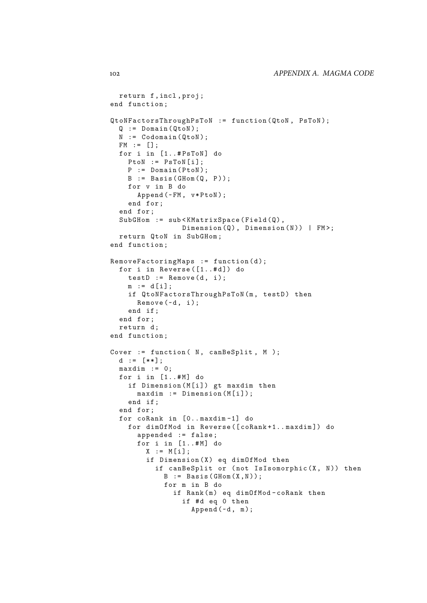```
return f , incl , proj ;
end function ;
QtoNFactorsThroughPsToN := function ( QtoN , PsToN );
  Q := Domain (QtoN);
  N := \text{Codomain}(\text{QtoN});FM := [];
  for i in [1..#PsToN] do
    P \text{toN} := P \text{sToN[i];}P := Domain (PtoN);
    B := Basis (GHom(Q, P));
    for v in B do
      Append (~FM, v*PtoN);
    end for ;
  end for ;
  SubGHom := sub<KMatrixSpace(Field(Q),
                 Dimension (Q), Dimension (N)) | FM>;
  return QtoN in SubGHom ;
end function ;
RemoveFactoringMaps := function (d);
  for i in Reverse ([1..#d]) do
    testD := Remove(d, i);m := d[i];if QtoNFactorsThroughPsToN(m, testD) then
      Remove (<math>\neg d, i)</math>;end if ;
  end for ;
  return d;
end function ;
Cover := function (N, canBeSplit, M);
  d := [**];
  maxdim := 0;for i in [1..#M] do
    if Dimension (M[i]) gt maxdim then
      maxdim := Dimension(M[i]);
    end if ;
  end for ;
  for coRank in [0.. maxdim -1] do
    for dimOfMod in Reverse ([ coRank +1.. maxdim ]) do
      appended := false ;
      for i in [1..#M] do
        X := M[i];if Dimension (X) eq dimOfMod then
           if canBeSplit or (not IsIsomorphic(X, N)) then
             B := Basis (GHom(X, N));
             for m in B do
               if Rank (m) eq dimOfMod-coRank then
                 if #d eq 0 then
                    Append (\sim d, m);
```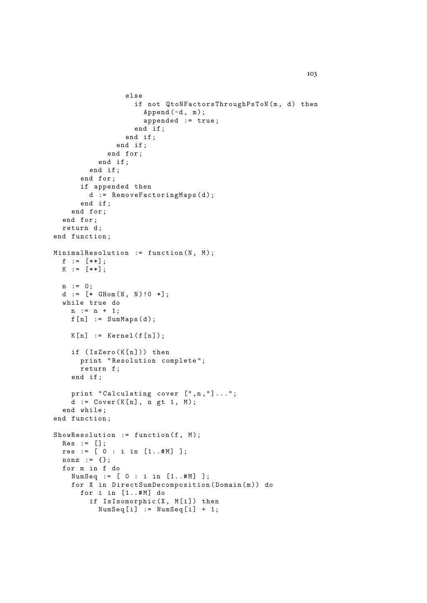```
else
                   if not QtoNFactorsThroughPsToN(m, d) then
                     Append (\sim d, m);
                     appended := true ;
                   end if ;
                 end if ;
               end if ;
            end for ;
          end if ;
        end if ;
      end for ;
      if appended then
        d := RemoveFactoringMaps(d);
      end if ;
    end for ;
  end for ;
  return d;
end function ;
MinimalResolution := function (N, M);f := [**];
 K := [**];n := 0;
  d := [* \text{ GHom}(N, N) ! 0 *];while true do
   n := n + 1;f[n] := SumMaps(d);K[n] := Kernel(f[n]);if (IsZero(K[n])) then
      print " Resolution complete ";
      return f ;
    end if ;
    print "Calculating cover [",n,"]...";
    d := Cover(K[n], n gt 1, M);end while ;
end function ;
ShowResolution := function (f, M);
 Res := [];
 res := [0 : i in [1..#M]];
 nonz := \{\};
  for m in f do
    NumSeq := [ 0 : i in [1..#M] ];for X in DirectSumDecomposition (Domain (m)) do
      for i in [1..#M] do
        if IsIsomorphic (X, M[i]) then
          NumSeq[i] := NumSeq[i] + 1;
```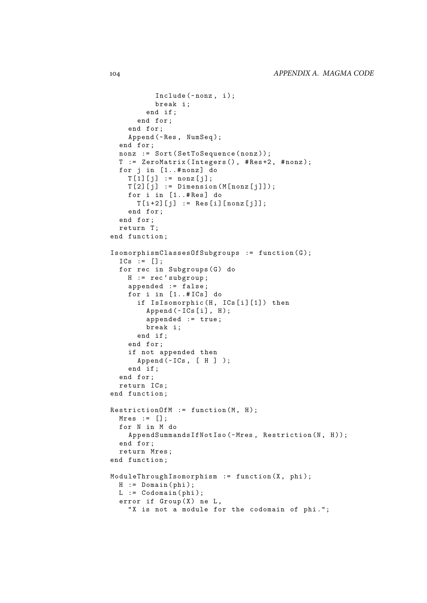```
Include (~nonz, i);
          break i ;
        end if ;
      end for ;
    end for ;
    Append (~Res, NumSeq);
  end for ;
  nonz := Sort (SetToSequence (nonz));
  T := ZeroMatrix ( Integers () , # Res +2 , # nonz );
  for j in [1..#nonz] do
    T[1][i] := nonz[i];
    T [2] [j] := Dimension (M[nonz[j]]);for i in [1..#Res] do
      T[i+2][j] := Res[i][nonz[j]];
    end for ;
  end for ;
 return T;
end function ;
Isomorphism ClassesOfSubgroups := function(G);ICs := [];
  for rec in Subgroups (G) do
    H := rec ' subgroup ;
    appended := false ;
    for i in [1..#ICs] do
      if IsIsomorphic (H, ICs[i][1]) then
        Append (~ICs[i], H);appended := true ;
        break i ;
      end if ;
    end for ;
    if not appended then
      Append (~ICs, [ H ] );
    end if ;
  end for ;
  return ICs ;
end function ;
RestrictionOfM := function(M, H);Mres := [];
  for N in M do
    AppendSummandsIfNotIso (~Mres, Restriction (N, H));
  end for ;
  return Mres ;
end function ;
ModulerThroughIsomorphism := function(X, phi);H := Domain (phi);
 L := \texttt{Codomain}(phi);
  error if Group(X) ne L,
    "X is not a module for the codomain of phi.";
```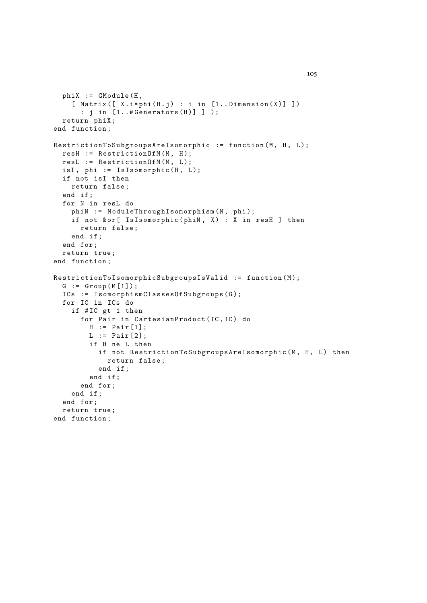```
phi: = GModule (H,[ Matrix ([ X.i * phi(H.j) : i in [1..Dimension(X)] ] ): j in [1..# \text{Generators (H)}] );
  return phiX ;
end function ;
RestrictionToSubgroupsAreIsomorphic := function (M, H, L);
 resH := RestrictionOfM(M, H);
 resL := RestrictionOfM(M, L);isI, phi := IsIsomorphic(H, L);if not isI then
   return false ;
  end if ;
  for N in resL do
    phiN := ModuleThroughIsomorphism (N, phi);
    if not & or [ Is Isomorphic (phiN, X) : X in resH ] then
      return false ;
    end if ;
  end for ;
  return true ;
end function ;
RestrictionToIsomorphicSubgroupsIsValid := function(M);
  G := Group (M [1]);
  ICs := IsomorphismCLassesOfSubgroups(G);for IC in ICs do
    if # IC gt 1 then
      for Pair in CartesianProduct (IC, IC) do
        H := Pair [1];
        L := Pair \lceil 2 \rceil:
        if H ne L then
          if not RestrictionToSubgroupsAreIsomorphic (M, H, L) then
            return false ;
          end if ;
        end if ;
      end for ;
    end if ;
  end for ;
  return true ;
end function ;
```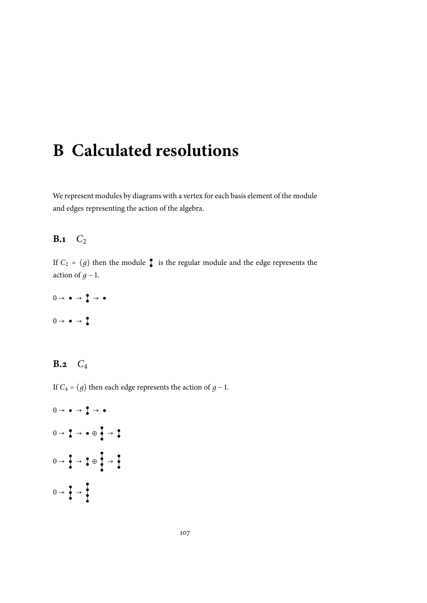# **B Calculated resolutions**

We represent modules by diagrams with a vertex for each basis element of the module and edges representing the action of the algebra.

#### **B.1**  $C_2$

If  $C_2 = \langle g \rangle$  then the module **i** is the regular module and the edge represents the action of *.* 

$$
0 \to \bullet \to \bullet \to \bullet
$$
  

$$
0 \to \bullet \to \bullet
$$

#### **B.2** *C*<sup>4</sup>

If *C*<sub>4</sub> =  $\langle g \rangle$  then each edge represents the action of *g* − 1.

 $0 \rightarrow \bullet \rightarrow \bullet \rightarrow \bullet$  $0 \rightarrow \begin{array}{c} \bullet \\ \bullet \end{array} \rightarrow \bullet \oplus \begin{array}{c} \bullet \\ \bullet \end{array} \rightarrow \begin{array}{c} \bullet \\ \bullet \end{array}$  $0 \rightarrow \frac{2}{3} \rightarrow \frac{2}{3} \oplus \frac{2}{3} \rightarrow \frac{2}{3}$  $0 \rightarrow \frac{2}{9} \rightarrow \frac{1}{1}$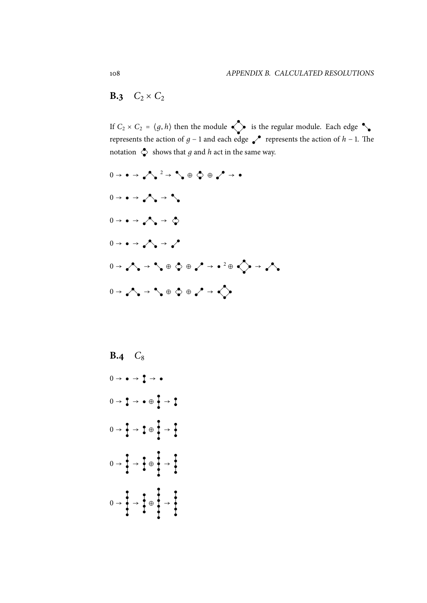### **B.3**  $C_2 \times C_2$

If  $C_2 \times C_2 = \langle g, h \rangle$  then the module  $\diamondsuit$  is the regular module. Each edge  $\diamondsuit$ represents the action of *g* − 1 and each edge  $\bullet$  represents the action of *h* − 1. The notation  $\Diamond$  shows that *g* and *h* act in the same way.

- <sup>0</sup> <sup>→</sup> <sup>→</sup> <sup>2</sup> <sup>→</sup> <sup>⊕</sup> <sup>⊕</sup> <sup>→</sup>  $0 \rightarrow \bullet \rightarrow \bullet \rightarrow \bullet \bullet$  $0 \rightarrow \bullet \rightarrow \bullet \rightarrow \bullet \bullet$  $0 \rightarrow \rightarrow \rightarrow \rightarrow \rightarrow \rightarrow$ <sup>0</sup> <sup>→</sup> <sup>→</sup> <sup>⊕</sup> <sup>⊕</sup> <sup>→</sup> <sup>2</sup> <sup>⊕</sup> <sup>→</sup>  $0 \rightarrow \bigwedge \rightarrow \bigwedge \oplus \bigotimes \oplus \bigwedge \rightarrow \bigotimes$
- **B.4**  $C_8$  $0 \rightarrow \bullet \rightarrow \overline{1} \rightarrow \bullet$  $0 \rightarrow 2 \rightarrow \bullet \oplus 2 \rightarrow 2$  $0 \rightarrow \frac{1}{2} \rightarrow \frac{1}{4} \oplus \frac{1}{4} \rightarrow \frac{1}{2}$  $0 \rightarrow \frac{1}{1} \rightarrow \frac{1}{1} \oplus \frac{1}{1} \rightarrow \frac{1}{1}$  $0 \rightarrow \frac{1}{1} \rightarrow \frac{1}{1} \oplus \frac{1}{1} \rightarrow \frac{1}{1}$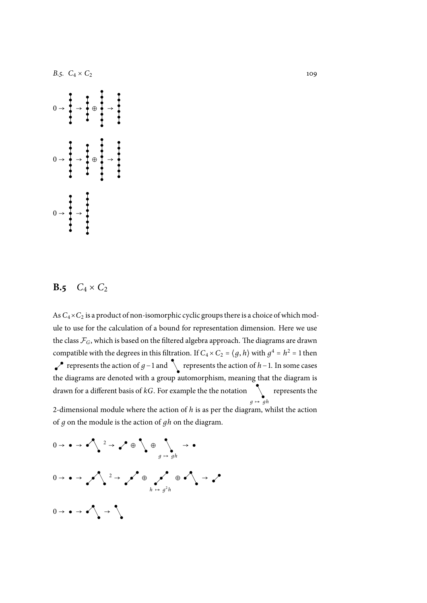

#### **B.5**  $C_4 \times C_2$

As  $C_4\times C_2$  is a product of non-isomorphic cyclic groups there is a choice of which module to use for the calculation of a bound for representation dimension. Here we use the class  $\mathcal{F}_G$ , which is based on the filtered algebra approach. The diagrams are drawn compatible with the degrees in this filtration. If  $C_4 \times C_2 = \langle g, h \rangle$  with  $g^4 = h^2 = 1$  then represents the action of *g*−1 and  $\sum$  represents the action of *h*−1. In some cases the diagrams are denoted with a group automorphism, meaning that the diagram is drawn for a different basis of  $kG$ . For example the the notation  $\qquad \backslash$  represents the  $g \mapsto gh$ 2-dimensional module where the action of *h* is as per the diagram, whilst the action

of *д* on the module is the action of *дh* on the diagram.

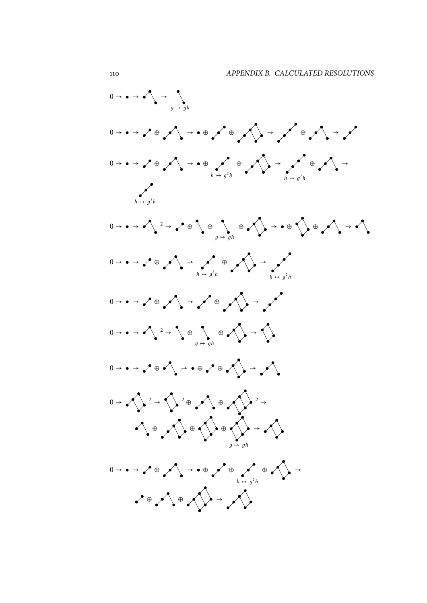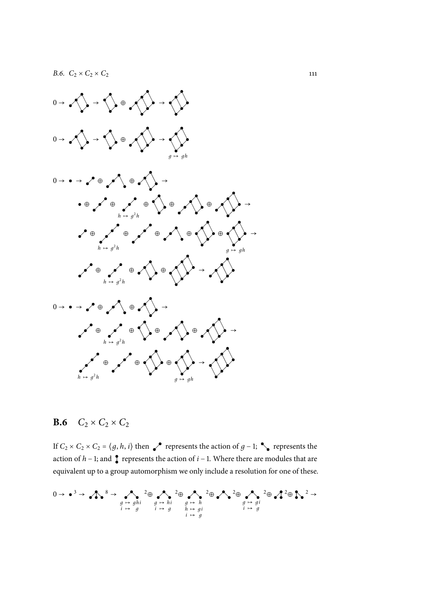

#### **B.6**  $C_2 \times C_2 \times C_2$

If  $C_2 \times C_2 \times C_2 = \langle g, h, i \rangle$  then represents the action of *g* − 1;  $\bullet$  represents the action of  $h$  − 1; and  $\int$  represents the action of  $i$  − 1. Where there are modules that are equivalent up to a group automorphism we only include a resolution for one of these.

$$
0 \to \bullet^3 \to \bullet^8 \to \bullet^8 \to \bullet^2 \oplus \bullet^2 \oplus \bullet^2 \oplus \bullet^2 \oplus \bullet^2 \oplus \bullet^2 \oplus \bullet^2 \oplus \bullet^2 \oplus \bullet^2 \oplus \bullet^2 \oplus \bullet^2 \oplus \bullet^2 \oplus \bullet^2 \oplus \bullet^2 \oplus \bullet^2 \oplus \bullet^2 \oplus \bullet^2 \oplus \bullet^2 \oplus \bullet^2 \oplus \bullet^2 \oplus \bullet^2 \oplus \bullet^2 \oplus \bullet^2 \oplus \bullet^2 \oplus \bullet^2 \oplus \bullet^2 \oplus \bullet^2 \oplus \bullet^2 \oplus \bullet^2 \oplus \bullet^2 \oplus \bullet^2 \oplus \bullet^2 \oplus \bullet^2 \oplus \bullet^2 \oplus \bullet^2 \oplus \bullet^2 \oplus \bullet^2 \oplus \bullet^2 \oplus \bullet^2 \oplus \bullet^2 \oplus \bullet^2 \oplus \bullet^2 \oplus \bullet^2 \oplus \bullet^2 \oplus \bullet^2 \oplus \bullet^2 \oplus \bullet^2 \oplus \bullet^2 \oplus \bullet^2 \oplus \bullet^2 \oplus \bullet^2 \oplus \bullet^2 \oplus \bullet^2 \oplus \bullet^2 \oplus \bullet^2 \oplus \bullet^2 \oplus \bullet^2 \oplus \bullet^2 \oplus \bullet^2 \oplus \bullet^2 \oplus \bullet^2 \oplus \bullet^2 \oplus \bullet^2 \oplus \bullet^2 \oplus \bullet^2 \oplus \bullet^2 \oplus \bullet^2 \oplus \bullet^2 \oplus \bullet^2 \oplus \bullet^2 \oplus \bullet^2 \oplus \bullet^2 \oplus \bullet^2 \oplus \bullet^2 \oplus \bullet^2 \oplus \bullet^2 \oplus \bullet^2 \oplus \bullet^2 \oplus \bullet^2 \oplus \bullet^2 \oplus \bullet^2 \oplus \bullet^2 \oplus \bullet^2 \oplus \bullet^2 \oplus \bullet^2 \oplus \bullet^2 \oplus \bullet^2 \oplus \bullet^2 \oplus \bullet^2 \oplus \bullet^2 \oplus \bullet^2 \oplus \bullet^2 \oplus \bullet^2 \oplus \bullet^2 \oplus \bullet^2 \oplus \bullet^2 \oplus \bullet^2 \oplus \bullet^2 \oplus \bullet^2 \oplus \bullet^2 \oplus \bullet^2 \oplus \bullet^2 \oplus \bullet^2 \oplus \bullet^2 \oplus \bullet^2 \oplus \bullet^
$$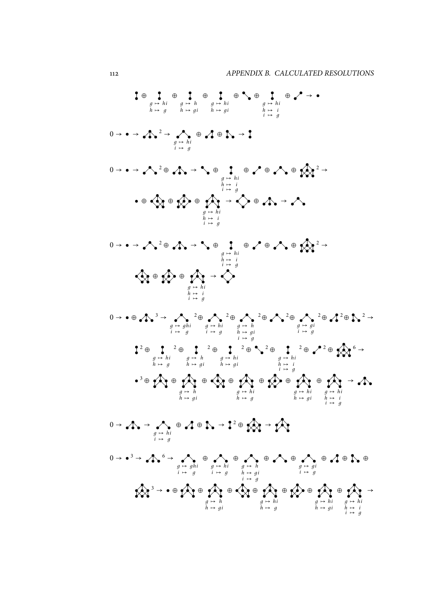$$
\int_{\theta} \frac{1}{\theta} \frac{\theta}{h} \frac{\theta}{h} \frac{\theta}{h} \frac{\theta}{h} \frac{\theta}{h} \frac{\theta}{h} \frac{\theta}{h} \frac{\theta}{h} \frac{\theta}{h} \frac{\theta}{h} \frac{\theta}{h} \frac{\theta}{h} \frac{\theta}{h} \frac{\theta}{h} \frac{\theta}{h} \frac{\theta}{h} \frac{\theta}{h} \frac{\theta}{h} \frac{\theta}{h} \frac{\theta}{h} \frac{\theta}{h} \frac{\theta}{h} \frac{\theta}{h} \frac{\theta}{h} \frac{\theta}{h} \frac{\theta}{h} \frac{\theta}{h} \frac{\theta}{h} \frac{\theta}{h} \frac{\theta}{h} \frac{\theta}{h} \frac{\theta}{h} \frac{\theta}{h} \frac{\theta}{h} \frac{\theta}{h} \frac{\theta}{h} \frac{\theta}{h} \frac{\theta}{h} \frac{\theta}{h} \frac{\theta}{h} \frac{\theta}{h} \frac{\theta}{h} \frac{\theta}{h} \frac{\theta}{h} \frac{\theta}{h} \frac{\theta}{h} \frac{\theta}{h} \frac{\theta}{h} \frac{\theta}{h} \frac{\theta}{h} \frac{\theta}{h} \frac{\theta}{h} \frac{\theta}{h} \frac{\theta}{h} \frac{\theta}{h} \frac{\theta}{h} \frac{\theta}{h} \frac{\theta}{h} \frac{\theta}{h} \frac{\theta}{h} \frac{\theta}{h} \frac{\theta}{h} \frac{\theta}{h} \frac{\theta}{h} \frac{\theta}{h} \frac{\theta}{h} \frac{\theta}{h} \frac{\theta}{h} \frac{\theta}{h} \frac{\theta}{h} \frac{\theta}{h} \frac{\theta}{h} \frac{\theta}{h} \frac{\theta}{h} \frac{\theta}{h} \frac{\theta}{h} \frac{\theta}{h} \frac{\theta}{h} \frac{\theta}{h} \frac{\theta}{h} \frac{\theta}{h} \frac{\theta}{h} \frac{\theta}{h} \frac{\theta}{h} \frac{\theta}{h} \frac{\theta}{h} \frac{\theta}{h} \frac{\theta}{h} \frac{\theta}{h} \frac{\theta}{h} \frac{\theta}{h} \frac{\theta}{h} \frac{\theta}{h} \frac{\theta}{h} \frac{\theta}{h} \frac{\theta}{h} \frac{\theta}{h} \frac{\theta}{h} \frac{\theta}{h} \frac{\theta}{h} \frac{\theta}{h} \frac{\theta}{h} \frac{\theta}{h} \frac{\theta}{h} \frac{\theta}{h} \frac{\theta}{h} \frac{\theta
$$

*h* ↦ *дi*

*h* ↦ *д*

*h* ↦ *дi*

 $h \mapsto i$ <br>  $i \mapsto g$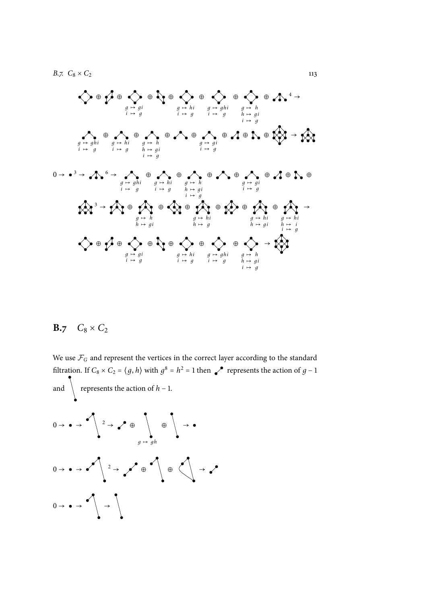*B.7.*  $C_8 \times C_2$  113

⊕ ⊕ *д* ↦ *дi i* ↦ *д* ⊕ ⊕ *д* ↦ *hi i* ↦ *д* ⊕ *д* ↦ *дhi i* ↦ *д* ⊕ *д* ↦ *h h* ↦ *дi i* ↦ *д* ⊕ 4 → *д* ↦ *дhi i* ↦ *д* ⊕ *д* ↦ *hi i* ↦ *д* ⊕ *д* ↦ *h h* ↦ *дi i* ↦ *д* ⊕ ⊕ *д* ↦ *дi i* ↦ *д* ⊕ ⊕ ⊕ → <sup>0</sup> <sup>→</sup> <sup>3</sup> <sup>→</sup> <sup>6</sup> <sup>→</sup> *д* ↦ *дhi i* ↦ *д* ⊕ *д* ↦ *hi i* ↦ *д* ⊕ *д* ↦ *h h* ↦ *дi i* ↦ *д* ⊕ ⊕ *д* ↦ *дi i* ↦ *д* ⊕ ⊕ ⊕ <sup>3</sup> <sup>→</sup> <sup>⊕</sup> *д* ↦ *h h* ↦ *дi* ⊕ ⊕ *д* ↦ *hi h* ↦ *д* ⊕ ⊕ *д* ↦ *hi h* ↦ *дi* ⊕ *д* ↦ *hi h* ↦ *i i* ↦ *д* → ⊕ ⊕ *д* ↦ *дi i* ↦ *д* ⊕ ⊕ *д* ↦ *hi i* ↦ *д* ⊕ *д* ↦ *дhi i* ↦ *д* ⊕ *д* ↦ *h h* ↦ *дi i* ↦ *д* →

## **B.7**  $C_8 \times C_2$

We use  $\mathcal{F}_G$  and represent the vertices in the correct layer according to the standard filtration. If  $C_8 \times C_2 = \langle g, h \rangle$  with  $g^8 = h^2 = 1$  then represents the action of  $g - 1$ and  $\left\{$  represents the action of *h* − 1.

<sup>0</sup> <sup>→</sup> <sup>→</sup> <sup>2</sup> <sup>→</sup> <sup>⊕</sup> ⊕ → *д* ↦ *дh* <sup>0</sup> <sup>→</sup> <sup>→</sup> <sup>2</sup> <sup>→</sup> <sup>⊕</sup> <sup>⊕</sup> <sup>→</sup> 0 → → →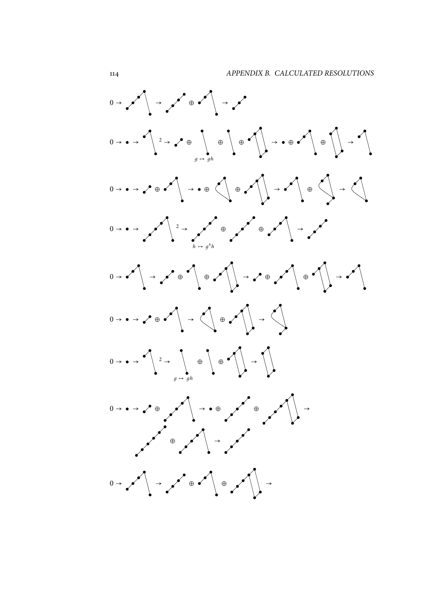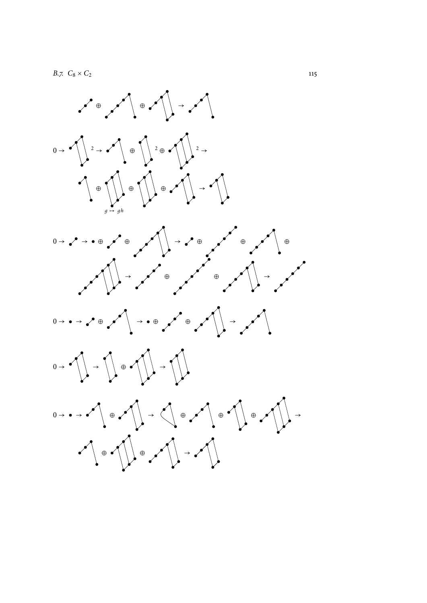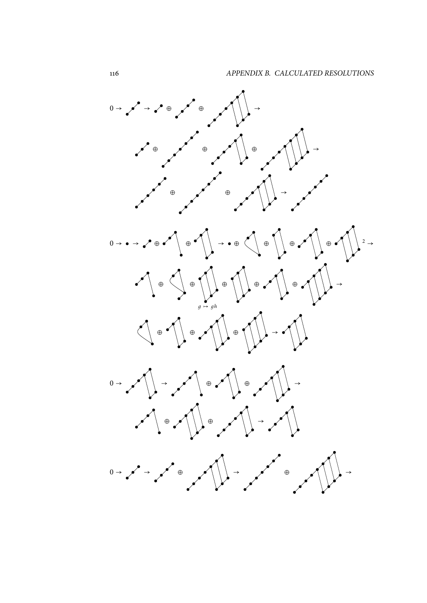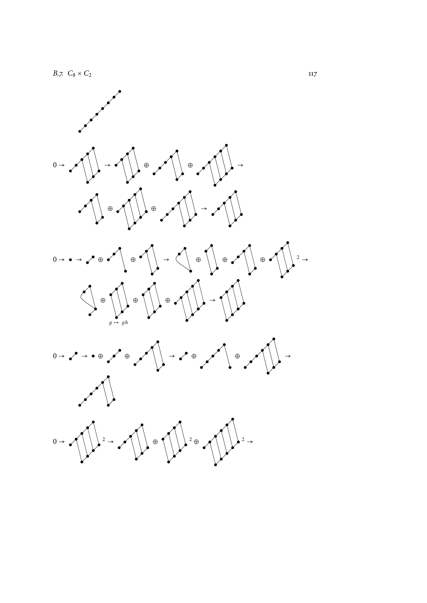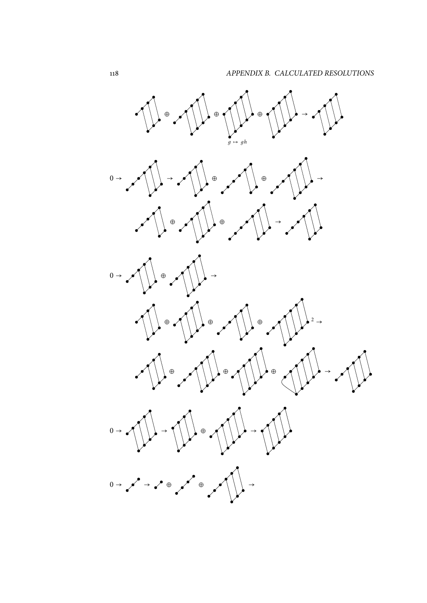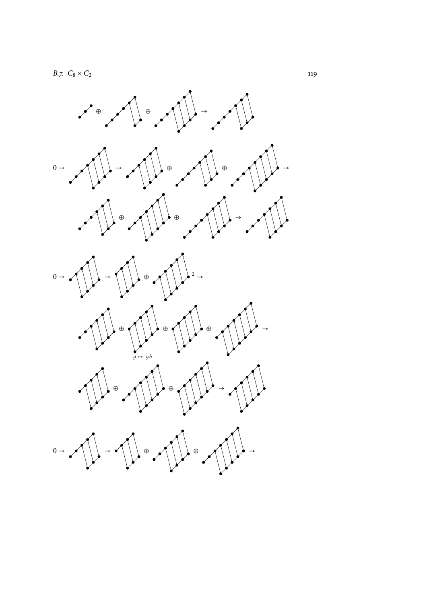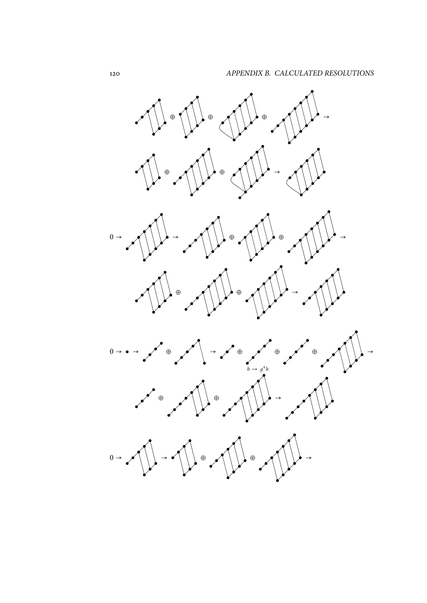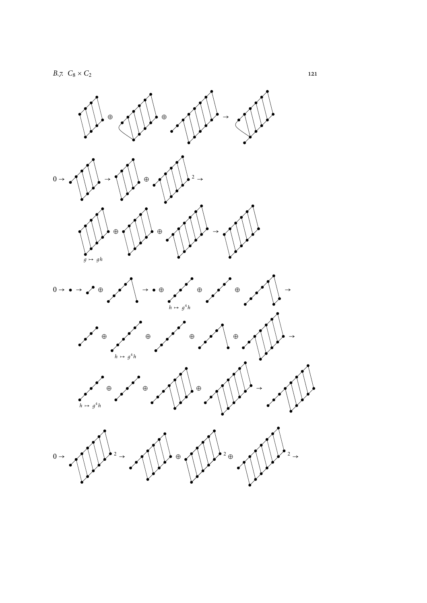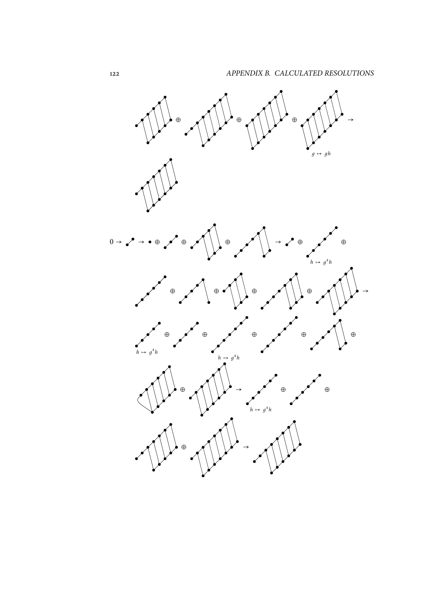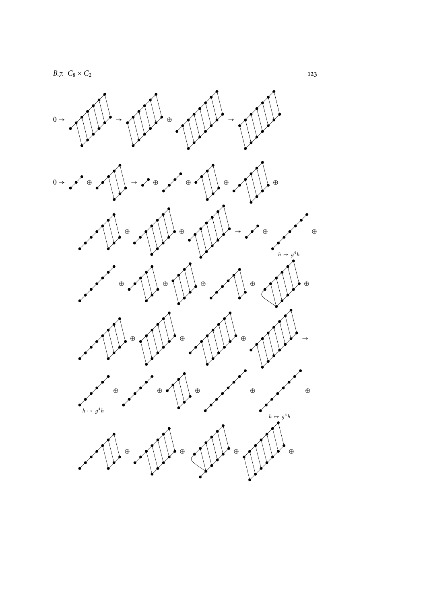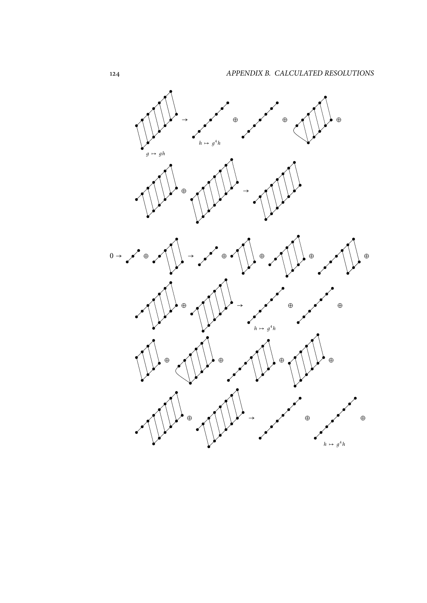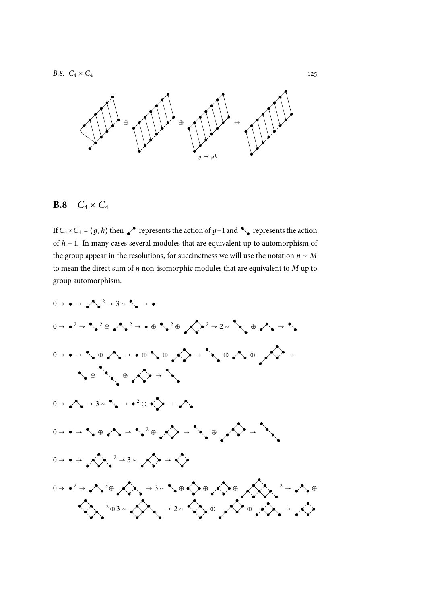*B.8.*  $C_4 \times C_4$  125



#### **B.8**  $C_4 \times C_4$

If  $C_4 \times C_4 = \langle g, h \rangle$  then represents the action of *g*−1 and  $\bullet$  represents the action of *h* − 1. In many cases several modules that are equivalent up to automorphism of the group appear in the resolutions, for succinctness we will use the notation  $n \sim M$ to mean the direct sum of *n* non-isomorphic modules that are equivalent to *M* up to group automorphism.

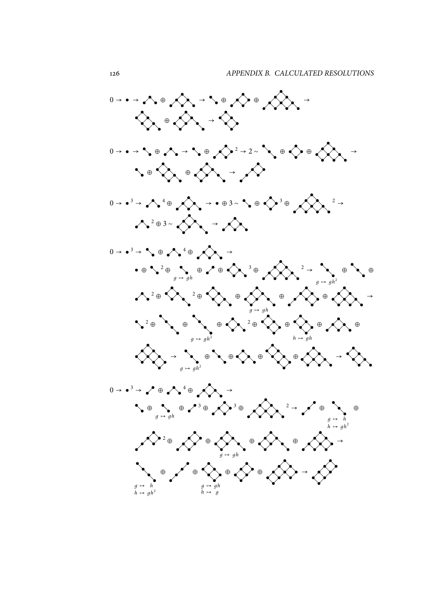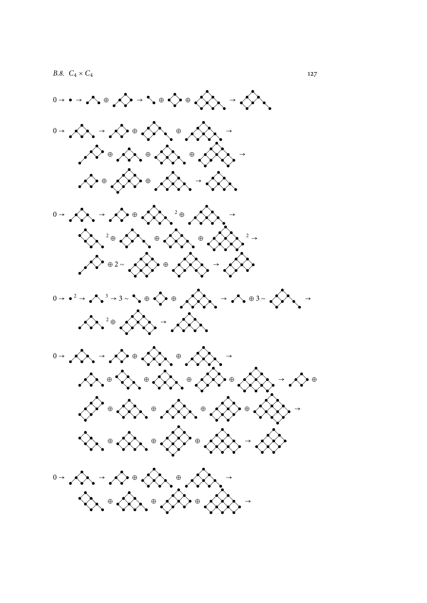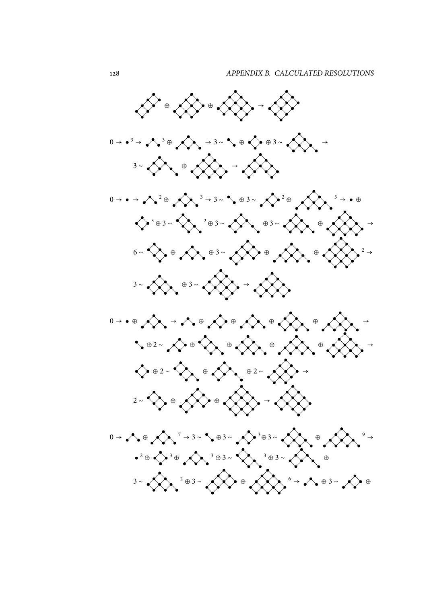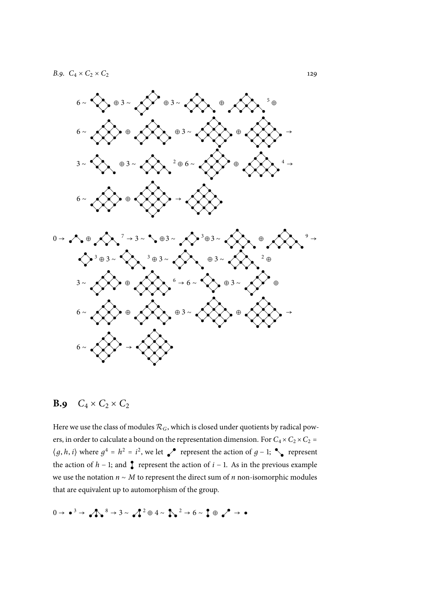

#### **B.9**  $C_4 \times C_2 \times C_2$

Here we use the class of modules  $\mathcal{R}_G$ , which is closed under quotients by radical powers, in order to calculate a bound on the representation dimension. For  $C_4 \times C_2 \times C_2 =$  $\langle g, h, i \rangle$  where  $g^4 = h^2 = i^2$ , we let represent the action of  $g - 1$ ; represent the action of  $h - 1$ ; and **f** represent the action of  $i - 1$ . As in the previous example we use the notation *<sup>n</sup>* <sup>∼</sup> *<sup>M</sup>* to represent the direct sum of *<sup>n</sup>* non-isomorphic modules that are equivalent up to automorphism of the group.

$$
0 \rightarrow \bullet^3 \rightarrow \bullet \bullet^8 \rightarrow 3 \sim \bullet^2^2 \oplus 4 \sim \bullet \bullet^2 \rightarrow 6 \sim \bullet \bullet \bullet^2 \rightarrow \bullet
$$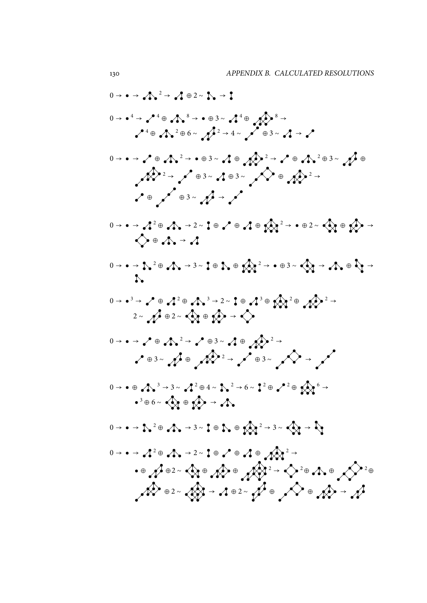$$
0 \rightarrow 0 \rightarrow A^{2} \rightarrow A \oplus 2 \times A \rightarrow 1
$$
\n
$$
0 \rightarrow 0 \rightarrow A^{2} \oplus A^{3} \rightarrow 0 \oplus A^{2} \rightarrow 4 \rightarrow A^{2} \oplus 3 \times A \rightarrow A^{2}
$$
\n
$$
0 \rightarrow 0 \rightarrow A^{2} \oplus A^{2} \rightarrow 0 \oplus A^{2} \rightarrow 4 \rightarrow A^{2} \oplus 3 \times A \rightarrow A^{2}
$$
\n
$$
0 \rightarrow 0 \rightarrow A^{2} \oplus A^{2} \rightarrow 0 \oplus 3 \times A \oplus 3 \times A^{2} \oplus 3 \times A^{2} \oplus 3 \times A^{2} \oplus 3 \times A^{2} \oplus 3 \times A^{2} \oplus 3 \times A^{2} \oplus 3 \times A^{2} \oplus 3 \times A^{2} \oplus 3 \times A^{2} \oplus 3 \times A^{2} \oplus 3 \times A^{2} \oplus 3 \times A^{2} \oplus 3 \times A^{2} \oplus 3 \times A^{2} \oplus 3 \times A^{2} \oplus 3 \times A^{2} \oplus 3 \times A^{2} \oplus 3 \times A^{2} \oplus 3 \times A^{2} \oplus 3 \times A^{2} \oplus 3 \times A^{2} \oplus 3 \times A^{2} \oplus 3 \times A^{2} \oplus 3 \times A^{2} \oplus 3 \times A^{2} \oplus 3 \times A^{2} \oplus 3 \times A^{2} \oplus 3 \times A^{2} \oplus 3 \times A^{2} \oplus 3 \times A^{2} \oplus 3 \times A^{2} \oplus 3 \times A^{2} \oplus 3 \times A^{2} \oplus 3 \times A^{2} \oplus 3 \times A^{2} \oplus 3 \times A^{2} \oplus 3 \times A^{2} \oplus 3 \times A^{2} \oplus 3 \times A^{2} \oplus 3 \times A^{2} \oplus 3 \times A^{2} \oplus 3 \times A^{2} \oplus 3 \times A^{2} \oplus 3 \times A^{2} \oplus 3 \times A^{2} \oplus 3 \times A^{2} \oplus 3 \times A^{2} \oplus 3 \times A^{2} \oplus 3 \times A^{2} \oplus 3 \times A^{2} \oplus 3 \times A^{2} \oplus 3 \times A
$$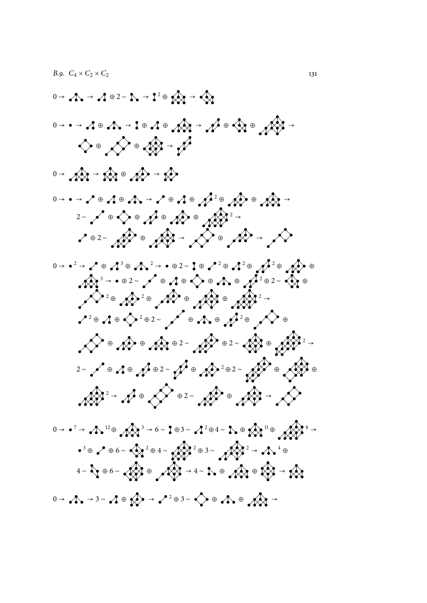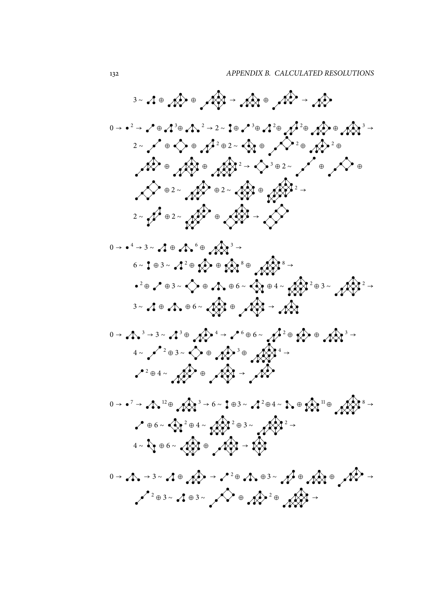3- 210 A) - A) - A) - A) -  
\n0-2-20 A'0 A<sup>2</sup>-2-20 A'0 A<sup>2</sup>0 A<sup>2</sup>0 A<sup>2</sup>0 A<sup>3</sup> -  
\n2-20 A'0 A<sup>2</sup>-02-30 A<sup>2</sup>0 A<sup>2</sup>0 A<sup>2</sup>0  
\n
$$
A
$$
) =  $A$ <sup>2</sup>0 2- $A$ <sup>2</sup>0 2- $A$ <sup>3</sup>0 2- $A$ <sup>4</sup>0 2- $A$ <sup>5</sup>0 2- $A$ <sup>6</sup>0 2- $A$ <sup>7</sup>0 2- $A$ <sup>8</sup>0 2- $A$ <sup>9</sup>0 2- $A$ <sup>9</sup>0 2- $A$ <sup>9</sup>0 2- $A$ <sup>9</sup>0 2- $A$ <sup>9</sup>0 2- $A$ <sup>9</sup>0 2- $A$ <sup>9</sup>0 2- $A$ <sup>9</sup>0 2- $A$ <sup>9</sup>0 2- $A$ <sup>9</sup>0 2- $A$ <sup>9</sup>0 2- $A$ <sup>9</sup>0 2- $A$ <sup>9</sup>0 2- $A$ <sup>9</sup>0 2- $A$ <sup>9</sup>0 2- $A$ <sup>9</sup>0 2- $A$ <sup>9</sup>0 2- $A$ <sup>9</sup>0 2- $A$ <sup>9</sup>0 2- $A$ <sup>9</sup>0 2- $A$ <sup>9</sup>0 2- $A$ <sup>9</sup>0 2- $A$ <sup>9</sup>0 2- $A$ <sup>9</sup>0 2- $A$ <sup>9</sup>0 2- $A$ <sup>9</sup>0 2- $A$ <sup>9</sup>0 2- $A$ <sup>9</sup>0 2- $A$ <sup>9</sup>0 2- $A$ <sup>9</sup>0 2- $A$ <sup>9</sup>0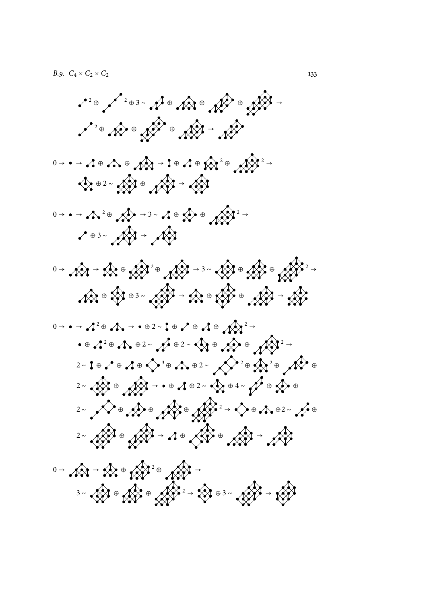<sup>2</sup> ⊕ 3 ∼ 4<sup>5</sup> ⊕ 45 ⊕ 45 ⊕ 45 ° € 45 ° ° 45 ° ° 45 ° ° 45 ° ° 45 ° ° 45 ° ° 45 ° ° 45 ° ° 45 ° ° 45 ° ° 45 ° ° + 6 ° 4 ° + 6 ° + 6 ° + 6 ° + 6 ° + 6 ° + 6 ° + 6 ° + 6 ° + 6 ° + 6 ° + 6 ° + 6 ° + 6 ° + 6 ° + 6 ° + 6 ° + 6  $2^{2}$ ⊕  $4^{2}$  ⊕  $4^{2}$  ⊕  $4^{2}$  →  $4^{2}$ 0 → → ⊕ ⊕ → ⊕ ⊕ 2 ⊕ 2 →  $\rightarrow$   $\rightarrow$   $\rightarrow$   $\rightarrow$   $\rightarrow$   $\rightarrow$ <sup>0</sup> <sup>→</sup> <sup>→</sup> <sup>2</sup> <sup>⊕</sup> <sup>→</sup> <sup>3</sup> <sup>∼</sup> <sup>⊕</sup> <sup>⊕</sup> 2 →  $\sqrt{}}$ ⊕ 3 ∼  $\sqrt{}}$  →  $\sqrt{}}$ 0 → → ⊕ <sup>2</sup> <sup>⊕</sup> <sup>→</sup> <sup>3</sup> <sup>∼</sup> <sup>⊕</sup> <sup>⊕</sup> 2 → <sup>⊕</sup> <sup>⊕</sup> <sup>3</sup> <sup>∼</sup> <sup>→</sup> <sup>⊕</sup> <sup>⊕</sup> <sup>→</sup> <sup>0</sup> <sup>→</sup> <sup>→</sup> <sup>2</sup> <sup>⊕</sup> <sup>→</sup> <sup>⊕</sup> <sup>2</sup> <sup>∼</sup> <sup>⊕</sup> <sup>⊕</sup> <sup>⊕</sup> 2 → ⊕ <sup>2</sup> <sup>⊕</sup> <sup>⊕</sup> <sup>2</sup> <sup>∼</sup> <sup>⊕</sup> <sup>2</sup> <sup>∼</sup> <sup>⊕</sup> <sup>⊕</sup> 2 → 2∼ ┇ ⊕ ╭ ҄ ⊕ ╭ 1 ⊕ ҁ े ° → ↑ ╮ ⊕ 2 ∼ ┌ ҁ ` <sup>2</sup> ⊕ ҁ ҈Ҳ <sup>2</sup> ⊕ ╭ Ҟ ` ° <sup>2</sup> <sup>∼</sup> <sup>⊕</sup> <sup>→</sup> <sup>⊕</sup> <sup>⊕</sup> <sup>2</sup> <sup>∼</sup> <sup>⊕</sup> <sup>4</sup> <sup>∼</sup> <sup>⊕</sup> <sup>⊕</sup> <sup>2</sup> <sup>∼</sup> <sup>⊕</sup> <sup>⊕</sup> <sup>⊕</sup> <sup>2</sup> <sup>→</sup> <sup>⊕</sup> <sup>⊕</sup><sup>2</sup> <sup>∼</sup> <sup>⊕</sup> <sup>2</sup> <sup>∼</sup> <sup>⊕</sup> <sup>→</sup> <sup>⊕</sup> <sup>⊕</sup> <sup>→</sup>  $0 \rightarrow$  An  $\rightarrow$  An  $\oplus$  An  $\rightarrow$ 3∼ ⊕ 2 2 ⊕ 2 3 ∞ 2 3 ∞ 2 3 ∞ 2 3 ∞ 2 3 ∞ 2 3 ∞ 2 3 ∞ 2 4 3 ∞ 2 4 5 ° + 6 ° + 6 ° + 6 ° + 6 ° + 6 ° + 6 ° + 6 ° + 6 ° + 6 ° + 6 ° + 6 ° + 6 ° + 6 ° + 6 ° + 6 ° + 6 ° + 6 ° + 6 ° + 6 ° + 6 ° + 6 ° + 6 ° + 6 ° + 6 ° + 6 ° +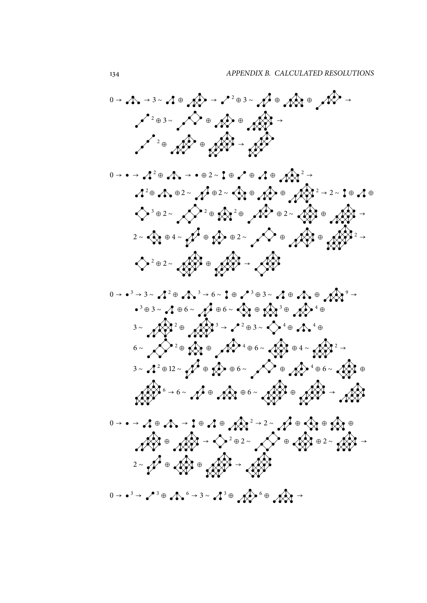<sup>→</sup> <sup>→</sup> <sup>3</sup> <sup>∼</sup> <sup>⊕</sup> <sup>→</sup> <sup>2</sup> <sup>⊕</sup> <sup>3</sup> <sup>∼</sup> <sup>⊕</sup> <sup>⊕</sup> <sup>→</sup> <sup>⊕</sup> <sup>3</sup> <sup>∼</sup> <sup>⊕</sup> <sup>⊕</sup> <sup>→</sup> <sup>⊕</sup> <sup>⊕</sup> <sup>→</sup> <sup>→</sup> <sup>→</sup> <sup>2</sup> <sup>⊕</sup> <sup>→</sup> <sup>⊕</sup> <sup>2</sup> <sup>∼</sup> <sup>⊕</sup> <sup>⊕</sup> <sup>⊕</sup> → <sup>⊕</sup> <sup>⊕</sup><sup>2</sup> <sup>∼</sup> <sup>⊕</sup><sup>2</sup> <sup>∼</sup> <sup>⊕</sup> <sup>⊕</sup> <sup>→</sup> <sup>2</sup> <sup>∼</sup> <sup>⊕</sup> <sup>⊕</sup> <sup>⊕</sup> <sup>2</sup> <sup>∼</sup> ⊕ <sup>⊕</sup> <sup>⊕</sup> <sup>2</sup> <sup>∼</sup> <sup>⊕</sup> <sup>→</sup> → <sup>∼</sup> <sup>⊕</sup> <sup>4</sup> <sup>∼</sup> <sup>⊕</sup> <sup>⊕</sup> <sup>2</sup> <sup>∼</sup> <sup>⊕</sup> <sup>⊕</sup> <sup>⊕</sup> <sup>2</sup> <sup>∼</sup> <sup>⊕</sup> <sup>→</sup> <sup>→</sup> <sup>3</sup> <sup>→</sup> <sup>3</sup> <sup>∼</sup> ⊕ <sup>→</sup> <sup>6</sup> <sup>∼</sup> <sup>⊕</sup> <sup>⊕</sup> <sup>3</sup> <sup>∼</sup> <sup>⊕</sup> <sup>⊕</sup> → <sup>⊕</sup> <sup>3</sup> <sup>∼</sup> <sup>⊕</sup> <sup>6</sup> <sup>∼</sup> <sup>⊕</sup> <sup>6</sup> <sup>∼</sup> <sup>⊕</sup> ⊕ ⊕ ⊕ <sup>→</sup> <sup>2</sup> <sup>⊕</sup> <sup>3</sup> <sup>∼</sup> ⊕ ⊕ ∼ <sup>⊕</sup> <sup>⊕</sup> <sup>⊕</sup> <sup>6</sup> <sup>∼</sup> <sup>⊕</sup> <sup>4</sup> <sup>∼</sup> → ∼ <sup>⊕</sup> <sup>12</sup> <sup>∼</sup> <sup>⊕</sup> <sup>⊕</sup> <sup>6</sup> <sup>∼</sup> <sup>⊕</sup> <sup>⊕</sup> <sup>6</sup> <sup>∼</sup> <sup>⊕</sup> ∼ <sup>→</sup> <sup>6</sup> <sup>∼</sup> <sup>⊕</sup> <sup>⊕</sup> <sup>6</sup> <sup>∼</sup> <sup>⊕</sup> <sup>→</sup> <sup>→</sup> <sup>2</sup> <sup>∼</sup> <sup>⊕</sup> <sup>⊕</sup> <sup>⊕</sup> → → ⊕ → ⊕ ⊕ <sup>⊕</sup> <sup>→</sup> <sup>2</sup> <sup>⊕</sup> <sup>2</sup> <sup>∼</sup> <sup>⊕</sup> <sup>⊕</sup> <sup>2</sup> <sup>∼</sup> <sup>→</sup> <sup>∼</sup> <sup>⊕</sup> <sup>⊕</sup> <sup>→</sup> <sup>→</sup> <sup>3</sup> <sup>→</sup> <sup>3</sup> <sup>⊕</sup> <sup>→</sup> <sup>3</sup> <sup>∼</sup> ⊕ <sup>⊕</sup> <sup>→</sup>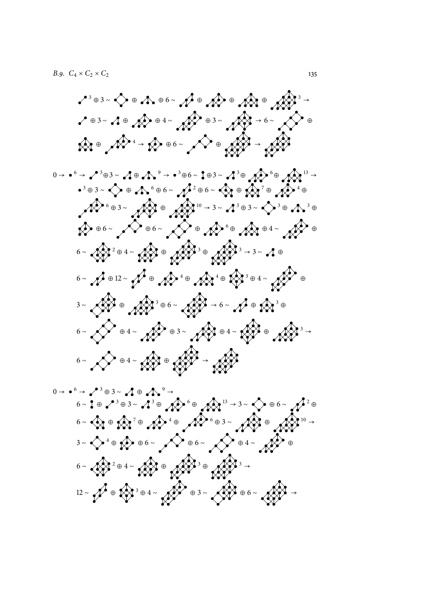$$
x^{3} = 3 \times 6 \times 10^{6} \times 10^{6} \times 10^{6} \times 10^{6} \times 10^{6} \times 10^{6} \times 10^{6} \times 10^{6} \times 10^{6} \times 10^{6} \times 10^{6} \times 10^{6} \times 10^{6} \times 10^{6} \times 10^{6} \times 10^{6} \times 10^{6} \times 10^{6} \times 10^{6} \times 10^{6} \times 10^{6} \times 10^{6} \times 10^{6} \times 10^{6} \times 10^{6} \times 10^{6} \times 10^{6} \times 10^{6} \times 10^{6} \times 10^{6} \times 10^{6} \times 10^{6} \times 10^{6} \times 10^{6} \times 10^{6} \times 10^{6} \times 10^{6} \times 10^{6} \times 10^{6} \times 10^{6} \times 10^{6} \times 10^{6} \times 10^{6} \times 10^{6} \times 10^{6} \times 10^{6} \times 10^{6} \times 10^{6} \times 10^{6} \times 10^{6} \times 10^{6} \times 10^{6} \times 10^{6} \times 10^{6} \times 10^{6} \times 10^{6} \times 10^{6} \times 10^{6} \times 10^{6} \times 10^{6} \times 10^{6} \times 10^{6} \times 10^{6} \times 10^{6} \times 10^{6} \times 10^{6} \times 10^{6} \times 10^{6} \times 10^{6} \times 10^{6} \times 10^{6} \times 10^{6} \times 10^{6} \times 10^{6} \times 10^{6} \times 10^{6} \times 10^{6} \times 10^{6} \times 10^{6} \times 10^{6} \times 10^{6} \times 10^{6} \times 10^{6} \times 10^{6} \times 10^{6} \times 10^{6} \times 10^{6} \times 10^{6} \times 10^{6} \times 10^{6} \times 10^{6} \times 10^{6} \times 10^{6} \times 1
$$

 <sup>→</sup> <sup>6</sup> <sup>→</sup> <sup>3</sup> <sup>⊕</sup> <sup>3</sup> <sup>∼</sup> <sup>⊕</sup> → <sup>∼</sup> <sup>⊕</sup> <sup>⊕</sup> <sup>3</sup> <sup>∼</sup> ⊕ ⊕ <sup>→</sup> <sup>3</sup> <sup>∼</sup> <sup>⊕</sup> <sup>6</sup> <sup>∼</sup> ⊕ <sup>∼</sup> <sup>⊕</sup> ⊕ ⊕ <sup>⊕</sup> <sup>3</sup> <sup>∼</sup> <sup>⊕</sup> <sup>→</sup> ∼ <sup>⊕</sup> <sup>⊕</sup> <sup>6</sup> <sup>∼</sup> <sup>⊕</sup> <sup>6</sup> <sup>∼</sup> <sup>⊕</sup> <sup>4</sup> <sup>∼</sup> <sup>⊕</sup> ∼ <sup>⊕</sup> <sup>4</sup> <sup>∼</sup> <sup>⊕</sup> ⊕ → <sup>∼</sup> <sup>⊕</sup> <sup>⊕</sup> <sup>4</sup> <sup>∼</sup> <sup>⊕</sup> <sup>3</sup> <sup>∼</sup> <sup>⊕</sup> <sup>6</sup> <sup>∼</sup> <sup>→</sup>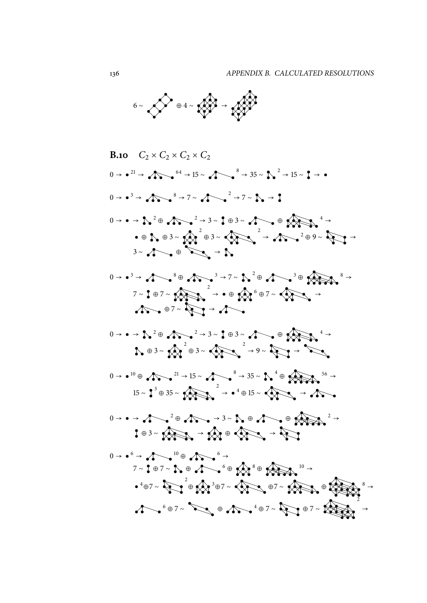

B.10 
$$
C_2 \times C_2 \times C_2 \times C_2
$$
  
\n0→<sup>21</sup> →  $A_0 = \frac{1}{2} + \frac{1}{2} + \frac{1}{2} + \frac{1}{2} + \frac{1}{2} + \frac{1}{2} + \frac{1}{2} + \frac{1}{2} + \frac{1}{2} + \frac{1}{2} + \frac{1}{2} + \frac{1}{2} + \frac{1}{2} + \frac{1}{2} + \frac{1}{2} + \frac{1}{2} + \frac{1}{2} + \frac{1}{2} + \frac{1}{2} + \frac{1}{2} + \frac{1}{2} + \frac{1}{2} + \frac{1}{2} + \frac{1}{2} + \frac{1}{2} + \frac{1}{2} + \frac{1}{2} + \frac{1}{2} + \frac{1}{2} + \frac{1}{2} + \frac{1}{2} + \frac{1}{2} + \frac{1}{2} + \frac{1}{2} + \frac{1}{2} + \frac{1}{2} + \frac{1}{2} + \frac{1}{2} + \frac{1}{2} + \frac{1}{2} + \frac{1}{2} + \frac{1}{2} + \frac{1}{2} + \frac{1}{2} + \frac{1}{2} + \frac{1}{2} + \frac{1}{2} + \frac{1}{2} + \frac{1}{2} + \frac{1}{2} + \frac{1}{2} + \frac{1}{2} + \frac{1}{2} + \frac{1}{2} + \frac{1}{2} + \frac{1}{2} + \frac{1}{2} + \frac{1}{2} + \frac{1}{2} + \frac{1}{2} + \frac{1}{2} + \frac{1}{2} + \frac{1}{2} + \frac{1}{2} + \frac{1}{2} + \frac{1}{2} + \frac{1}{2} + \frac{1}{2} + \frac{1}{2} + \frac{1}{2} + \frac{1}{2} + \frac{1}{2} + \frac{1}{2} + \frac{1}{2} + \frac{1}{2} + \frac{1}{2} + \frac{1}{2} + \frac{1}{2} + \frac{1}{2} + \frac{1}{2} + \frac{1}{2} + \frac{1}{2} + \frac{1}{2} + \frac{1}{2} + \frac{1}{2} + \frac{1}{2} + \frac{1}{2} + \frac{1}{2} + \frac{1}{2} + \frac{1$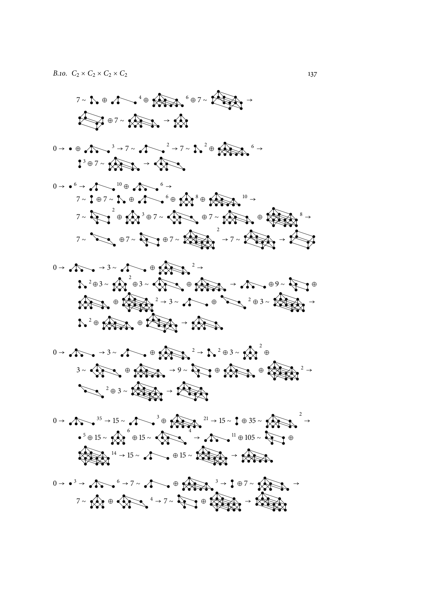$$
7-1. \oplus 1.4 \oplus 1.4 \oplus 1.4 \oplus 1.4 \oplus 1.4 \oplus 1.4 \oplus 1.4 \oplus 1.4 \oplus 1.4 \oplus 1.4 \oplus 1.4 \oplus 1.4 \oplus 1.4 \oplus 1.4 \oplus 1.4 \oplus 1.4 \oplus 1.4 \oplus 1.4 \oplus 1.4 \oplus 1.4 \oplus 1.4 \oplus 1.4 \oplus 1.4 \oplus 1.4 \oplus 1.4 \oplus 1.4 \oplus 1.4 \oplus 1.4 \oplus 1.4 \oplus 1.4 \oplus 1.4 \oplus 1.4 \oplus 1.4 \oplus 1.4 \oplus 1.4 \oplus 1.4 \oplus 1.4 \oplus 1.4 \oplus 1.4 \oplus 1.4 \oplus 1.4 \oplus 1.4 \oplus 1.4 \oplus 1.4 \oplus 1.4 \oplus 1.4 \oplus 1.4 \oplus 1.4 \oplus 1.4 \oplus 1.4 \oplus 1.4 \oplus 1.4 \oplus 1.4 \oplus 1.4 \oplus 1.4 \oplus 1.4 \oplus 1.4 \oplus 1.4 \oplus 1.4 \oplus 1.4 \oplus 1.4 \oplus 1.4 \oplus 1.4 \oplus 1.4 \oplus 1.4 \oplus 1.4 \oplus 1.4 \oplus 1.4 \oplus 1.4 \oplus 1.4 \oplus 1.4 \oplus 1.4 \oplus 1.4 \oplus 1.4 \oplus 1.4 \oplus 1.4 \oplus 1.4 \oplus 1.4 \oplus 1.4 \oplus 1.4 \oplus 1.4 \oplus 1.4 \oplus 1.4 \oplus 1.4 \oplus 1.4 \oplus 1.4 \oplus 1.4 \oplus 1.4 \oplus 1.4 \oplus 1.4 \oplus 1.4 \oplus 1.4 \oplus 1.4 \oplus 1.4 \oplus 1.4 \oplus 1.4 \oplus 1.4 \oplus 1.4 \oplus 1.4 \oplus 1.4 \oplus 1.4 \oplus 1.4 \oplus 1.4 \oplus 1.4 \oplus 1.4 \oplus 1.4 \oplus 1.4 \oplus 1.
$$

 → ⊕ <sup>→</sup> <sup>7</sup> <sup>∼</sup> <sup>→</sup> <sup>7</sup> <sup>∼</sup> ⊕ → <sup>⊕</sup> <sup>7</sup> <sup>∼</sup> <sup>→</sup>

$$
0 \rightarrow 0^6 \rightarrow 1^6 \rightarrow 1^6 \rightarrow 1^6 \rightarrow 1^6 \rightarrow 1^6 \rightarrow 1^6 \rightarrow 1^6 \rightarrow 1^6 \rightarrow 1^6 \rightarrow 1^6 \rightarrow 1^6 \rightarrow 1^6 \rightarrow 1^6 \rightarrow 1^6 \rightarrow 1^6 \rightarrow 1^6 \rightarrow 1^6 \rightarrow 1^6 \rightarrow 1^6 \rightarrow 1^6 \rightarrow 1^6 \rightarrow 1^6 \rightarrow 1^6 \rightarrow 1^6 \rightarrow 1^6 \rightarrow 1^6 \rightarrow 1^6 \rightarrow 1^6 \rightarrow 1^6 \rightarrow 1^6 \rightarrow 1^6 \rightarrow 1^6 \rightarrow 1^6 \rightarrow 1^6 \rightarrow 1^6 \rightarrow 1^6 \rightarrow 1^6 \rightarrow 1^6 \rightarrow 1^6 \rightarrow 1^6 \rightarrow 1^6 \rightarrow 1^6 \rightarrow 1^6 \rightarrow 1^6 \rightarrow 1^6 \rightarrow 1^6 \rightarrow 1^6 \rightarrow 1^6 \rightarrow 1^6 \rightarrow 1^6 \rightarrow 1^6 \rightarrow 1^6 \rightarrow 1^6 \rightarrow 1^6 \rightarrow 1^6 \rightarrow 1^6 \rightarrow 1^6 \rightarrow 1^6 \rightarrow 1^6 \rightarrow 1^6 \rightarrow 1^6 \rightarrow 1^6 \rightarrow 1^6 \rightarrow 1^6 \rightarrow 1^6 \rightarrow 1^6 \rightarrow 1^6 \rightarrow 1^6 \rightarrow 1^6 \rightarrow 1^6 \rightarrow 1^6 \rightarrow 1^6 \rightarrow 1^6 \rightarrow 1^6 \rightarrow 1^6 \rightarrow 1^6 \rightarrow 1^6 \rightarrow 1^6 \rightarrow 1^6 \rightarrow 1^6 \rightarrow 1^6 \rightarrow 1^6 \rightarrow 1^6 \rightarrow 1^6 \rightarrow 1^6 \rightarrow 1^6 \rightarrow 1^6 \rightarrow 1^6 \rightarrow 1^6 \rightarrow 1^6 \rightarrow 1^6 \rightarrow 1^6 \rightarrow 1^6 \rightarrow 1^6 \rightarrow 1^6 \rightarrow 1^6 \rightarrow 1^6 \rightarrow 1^6 \rightarrow 1^6 \rightarrow 1^6 \rightarrow 1^6 \rightarrow 1^6 \rightarrow 1^6 \rightarrow 1^6 \rightarrow 1^6 \rightarrow 1^6 \rightarrow 1^6 \rightarrow 1^6 \rightarrow 1^6 \rightarrow 1^6 \rightarrow 1^6 \rightarrow 1^6 \rightarrow 1^6 \rightarrow 1^6 \rightarrow 1^6 \rightarrow 1^6 \rightarrow 1^6 \rightarrow 1^6 \rightarrow 1^6 \rightarrow 1^6 \rightarrow 1^6 \rightarrow 1^6 \rightarrow 1^6 \rightarrow 1^6 \rightarrow 1^6 \rightarrow
$$

$$
0 \rightarrow 1.203 \times 1.400 \times 10^{-2}
$$
  
1.203 - 1.1203 - 1.1200  
1.1000 1.1000 1.1000 1.1000 1.1000 1.1000 1.1000 1.1000 1.1000 1.1000 1.1000 1.1000 1.1000 1.1000 1.1000 1.1000 1.1000 1.1000 1.1000 1.1000 1.1000 1.1000 1.1000 1.1000 1.1000 1.1000 1.1000 1.1000 1.1000 1.1000 1.1000 1.1000 1.1000 1.1000 1.1000 1.1000 1.1000 1.1000 1.1000 1.1000 1.1000 1.1000 1.1000 1.1000 1.1000 1.1000 1.1000 1.1000 1.1000 1.1000 1.1000 1.1000 1.1000 1.1000 1.1000 1.1000 1.1000 1.1000 1.1000 1.1000 1.1000 1.1000 1.1000 1.1000 1.1000 1.1000 1.1000 1.1000 1.1000 1.1000 1.1000 1.1000 1.1000 1.1000 1.1000 1.1000 1.1000 1.1000 1.1000 1.1000 1.1000 1.1000 1.1000 1.1000 1.1000 1.1000 1.1000 1.1000 1.1000 1.1000 1.1000 1.1000 1.1000 1.1000 1.1000 1.1000 1.1000 1.1000 1.1000 1.1000 1.1000

 <sup>→</sup> <sup>→</sup> <sup>3</sup> <sup>∼</sup> <sup>⊕</sup> <sup>→</sup> <sup>2</sup> <sup>⊕</sup> <sup>3</sup> <sup>∼</sup> ⊕ <sup>∼</sup> <sup>⊕</sup> <sup>→</sup> <sup>9</sup> <sup>∼</sup> <sup>⊕</sup> <sup>⊕</sup> → <sup>⊕</sup> <sup>3</sup> <sup>∼</sup> <sup>→</sup>

$$
0 \rightarrow \sqrt{100} \rightarrow 35 \rightarrow 15 \sim 100 \rightarrow 300
$$
\n
$$
\rightarrow 5 \oplus 15 \sim \sqrt{100} \oplus 15 \sim \sqrt{100} \oplus 15 \sim 1000
$$
\n
$$
\rightarrow \sqrt{100} \oplus 1000
$$
\n
$$
\rightarrow \sqrt{100} \oplus 1000
$$
\n
$$
\rightarrow \sqrt{100} \oplus 1000
$$
\n
$$
\rightarrow \sqrt{100} \oplus 1000
$$
\n
$$
\rightarrow \sqrt{100} \oplus 1000
$$

$$
0 \rightarrow 0.3 \rightarrow 0.5 \rightarrow 0.5 \rightarrow 0.7 \rightarrow 0.7 \rightarrow 0.7 \rightarrow 0.7 \rightarrow 0.7 \rightarrow 0.7 \rightarrow 0.7 \rightarrow 0.7 \rightarrow 0.7 \rightarrow 0.7 \rightarrow 0.7 \rightarrow 0.7 \rightarrow 0.7 \rightarrow 0.7 \rightarrow 0.7 \rightarrow 0.7 \rightarrow 0.7 \rightarrow 0.7 \rightarrow 0.7 \rightarrow 0.7 \rightarrow 0.7 \rightarrow 0.7 \rightarrow 0.7 \rightarrow 0.7 \rightarrow 0.7 \rightarrow 0.7 \rightarrow 0.7 \rightarrow 0.7 \rightarrow 0.7 \rightarrow 0.7 \rightarrow 0.7 \rightarrow 0.7 \rightarrow 0.7 \rightarrow 0.7 \rightarrow 0.7 \rightarrow 0.7 \rightarrow 0.7 \rightarrow 0.7 \rightarrow 0.7 \rightarrow 0.7 \rightarrow 0.7 \rightarrow 0.7 \rightarrow 0.7 \rightarrow 0.7 \rightarrow 0.7 \rightarrow 0.7 \rightarrow 0.7 \rightarrow 0.7 \rightarrow 0.7 \rightarrow 0.7 \rightarrow 0.7 \rightarrow 0.7 \rightarrow 0.7 \rightarrow 0.7 \rightarrow 0.7 \rightarrow 0.7 \rightarrow 0.7 \rightarrow 0.7 \rightarrow 0.7 \rightarrow 0.7 \rightarrow 0.7 \rightarrow 0.7 \rightarrow 0.7 \rightarrow 0.7 \rightarrow 0.7 \rightarrow 0.7 \rightarrow 0.7 \rightarrow 0.7 \rightarrow 0.7 \rightarrow 0.7 \rightarrow 0.7 \rightarrow 0.7 \rightarrow 0.7 \rightarrow 0.7 \rightarrow 0.7 \rightarrow 0.7 \rightarrow 0.7 \rightarrow 0.7 \rightarrow 0.7 \rightarrow 0.7 \rightarrow 0.7 \rightarrow 0.7 \rightarrow 0.7 \rightarrow 0.7 \rightarrow 0.7 \rightarrow 0.7 \rightarrow 0.7 \rightarrow 0.7 \rightarrow 0.7 \rightarrow 0.7 \rightarrow 0.7 \rightarrow 0.7 \rightarrow 0.7 \rightarrow 0.7 \rightarrow 0.7 \rightarrow 0.7 \rightarrow 0.7 \rightarrow 0.7 \rightarrow 0.7 \rightarrow 0.7 \rightarrow 0.7 \rightarrow 0.7 \rightarrow 0.7 \rightarrow 0.7 \rightarrow 0.7 \rightarrow 0.7 \rightarrow 0.7 \rightarrow 0.7 \rightarrow 0.7 \rightarrow 0.7 \rightarrow 0.7 \rightarrow 0.7 \rightarrow 0.7 \rightarrow 0.7 \rightarrow 0.7 \rightarrow 0.7 \rightarrow 0.7 \rightarrow 0.7 \rightarrow 0.7 \rightarrow 0.7 \rightarrow 0.7 \rightarrow 0.7 \rightarrow 0.7 \rightarrow
$$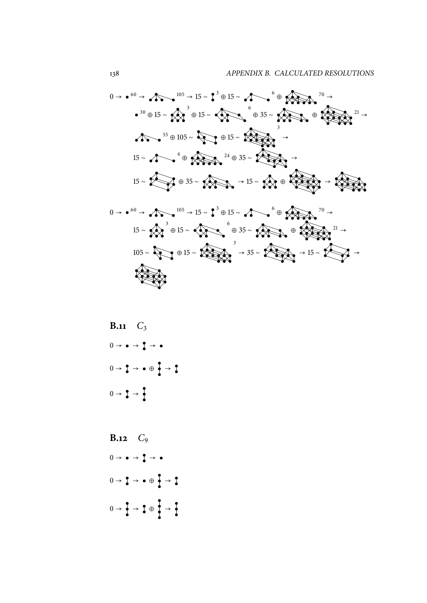<sup>→</sup> <sup>60</sup> <sup>→</sup> <sup>105</sup> <sup>→</sup> <sup>15</sup> <sup>∼</sup> <sup>→</sup> <sup>⊕</sup> <sup>15</sup> <sup>∼</sup> ⊕ <sup>⊕</sup> <sup>15</sup> <sup>∼</sup> <sup>→</sup> <sup>⊕</sup> <sup>15</sup> <sup>∼</sup> <sup>⊕</sup> <sup>35</sup> <sup>∼</sup> <sup>⊕</sup> <sup>⊕</sup> <sup>105</sup> <sup>∼</sup> <sup>⊕</sup> <sup>15</sup> <sup>∼</sup> → <sup>⊕</sup> <sup>35</sup> <sup>∼</sup> <sup>→</sup> <sup>∼</sup> ⊕ <sup>∼</sup> <sup>⊕</sup> <sup>35</sup> <sup>∼</sup> <sup>→</sup> <sup>15</sup> <sup>∼</sup> <sup>⊕</sup> <sup>→</sup> <sup>→</sup> <sup>60</sup> <sup>→</sup> <sup>105</sup> <sup>→</sup> <sup>15</sup> <sup>∼</sup> <sup>→</sup> <sup>⊕</sup> <sup>15</sup> <sup>∼</sup> ⊕ <sup>→</sup> <sup>∼</sup> <sup>⊕</sup> <sup>15</sup> <sup>∼</sup> <sup>⊕</sup> <sup>35</sup> <sup>∼</sup> <sup>⊕</sup> <sup>∼</sup> <sup>⊕</sup> <sup>15</sup> <sup>∼</sup> <sup>→</sup> <sup>35</sup> <sup>∼</sup> <sup>→</sup> <sup>15</sup> <sup>∼</sup> <sup>→</sup> 

**B.11** *C*<sup>3</sup> → → → → → ⊕ → → → **B.12** *C*<sup>9</sup>

 $0 \rightarrow \bullet \rightarrow \bullet \rightarrow \bullet$  $0 \rightarrow \begin{matrix} 1 \\ 1 \end{matrix} \rightarrow \begin{matrix} 0 \\ 0 \end{matrix} \rightarrow \begin{matrix} 0 \\ 1 \end{matrix}$  $0 \rightarrow \frac{1}{2} \rightarrow \frac{1}{2} \oplus \frac{1}{2} \rightarrow \frac{1}{2}$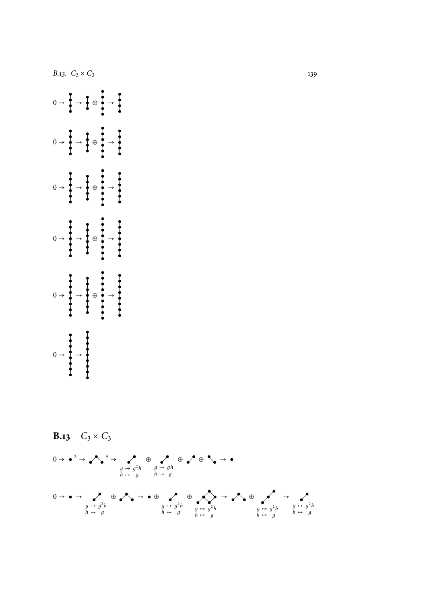

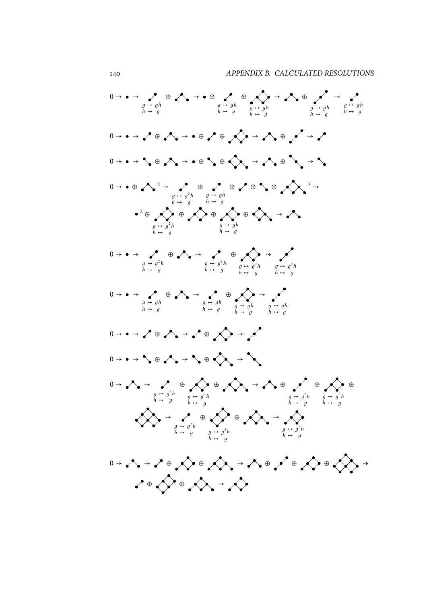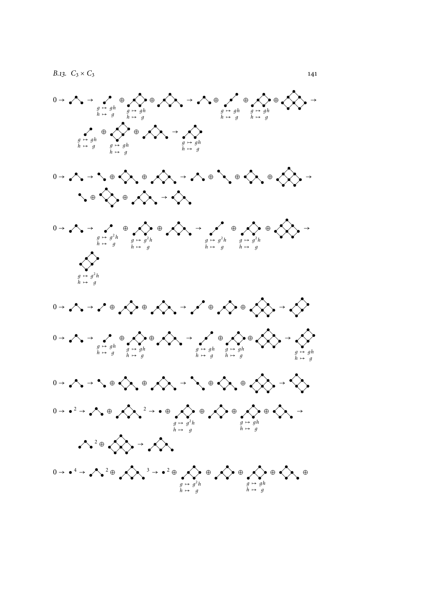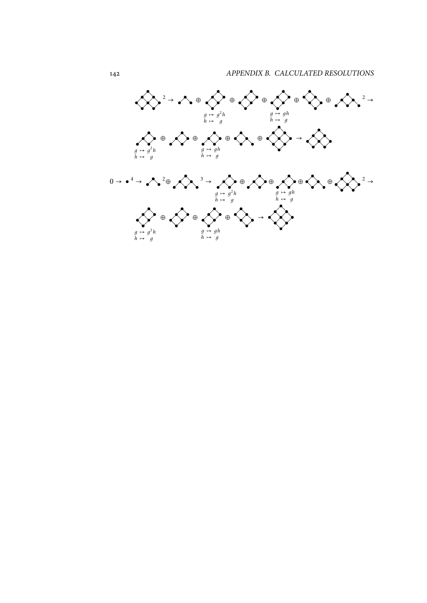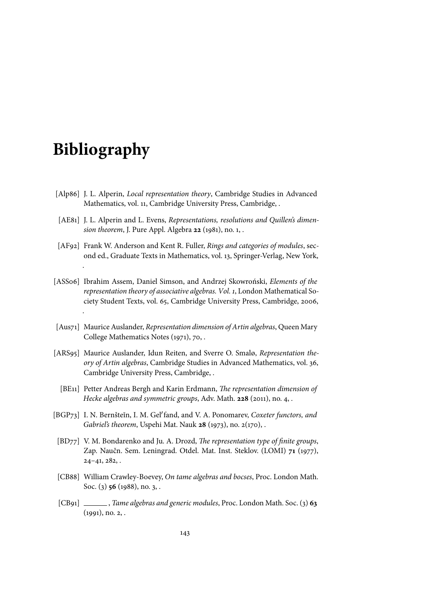## **Bibliography**

.

- [Alp86] J. L. Alperin, *Local representation theory*, Cambridge Studies in Advanced Mathematics, vol. 11, Cambridge University Press, Cambridge, .
- [AE81] J. L. Alperin and L. Evens, *Representations, resolutions and Quillen's dimension theorem*, J. Pure Appl. Algebra **22** (1981), no. 1, .
- [AF92] Frank W. Anderson and Kent R. Fuller, *Rings and categories of modules*, second ed., Graduate Texts in Mathematics, vol. 13, Springer-Verlag, New York, .
- [ASS06] Ibrahim Assem, Daniel Simson, and Andrzej Skowroński, *Elements of the representation theory of associative algebras. Vol. 1*, London Mathematical Society Student Texts, vol. 65, Cambridge University Press, Cambridge, 2006,
- [Aus71] Maurice Auslander, *Representation dimension of Artin algebras*, Queen Mary College Mathematics Notes (1971), 70, .
- [ARS95] Maurice Auslander, Idun Reiten, and Sverre O. Smalø, *Representation theory of Artin algebras*, Cambridge Studies in Advanced Mathematics, vol. 36, Cambridge University Press, Cambridge, .
	- [BE11] Petter Andreas Bergh and Karin Erdmann, *The representation dimension of Hecke algebras and symmetric groups*, Adv. Math. **228** (2011), no. 4, .
- [BGP73] I. N. Bernšteĭn, I. M. Gel'fand, and V. A. Ponomarev, *Coxeter functors, and Gabriel's theorem*, Uspehi Mat. Nauk **28** (1973), no. 2(170), .
- [BD77] V. M. Bondarenko and Ju. A. Drozd, *The representation type of finite groups*, Zap. Naučn. Sem. Leningrad. Otdel. Mat. Inst. Steklov. (LOMI) **71** (1977),  $24-41, 282,$ .
- [CB88] William Crawley-Boevey, *On tame algebras and bocses*, Proc. London Math. Soc. (3) **56** (1988), no. 3, .
- [CB91] , *Tame algebras and generic modules*, Proc. London Math. Soc. (3) **63**  $(1991)$ , no. 2, .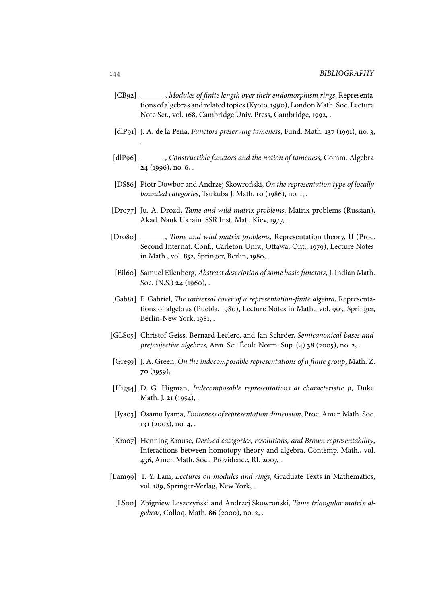- [CB92] , *Modules of finite length over their endomorphism rings*, Representations of algebras and related topics (Kyoto, 1990), London Math. Soc. Lecture Note Ser., vol. 168, Cambridge Univ. Press, Cambridge, 1992, .
- [dlP91] J. A. de la Peña, *Functors preserving tameness*, Fund. Math. **137** (1991), no. 3,
- [dlP96] , *Constructible functors and the notion of tameness*, Comm. Algebra **24** (1996), no. 6, .
- [DS86] Piotr Dowbor and Andrzej Skowroński, *On the representation type of locally bounded categories*, Tsukuba J. Math. **10** (1986), no. 1, .
- [Dro77] Ju. A. Drozd, *Tame and wild matrix problems*, Matrix problems (Russian), Akad. Nauk Ukrain. SSR Inst. Mat., Kiev, 1977, .
- [Dro8o] \_\_\_\_\_\_, *Tame and wild matrix problems*, Representation theory, II (Proc. Second Internat. Conf., Carleton Univ., Ottawa, Ont., 1979), Lecture Notes in Math., vol. 832, Springer, Berlin, 1980, .
- [Eil60] Samuel Eilenberg, *Abstract description of some basic functors*, J. Indian Math. Soc. (N.S.) **24** (1960), .
- [Gab81] P. Gabriel, *The universal cover of a representation-finite algebra*, Representations of algebras (Puebla, 1980), Lecture Notes in Math., vol. 903, Springer, Berlin-New York, 1981, .
- [GLS05] Christof Geiss, Bernard Leclerc, and Jan Schröer, *Semicanonical bases and preprojective algebras*, Ann. Sci. École Norm. Sup. (4) **38** (2005), no. 2, .
- [Gre59] J. A. Green, *On the indecomposable representations of a finite group*, Math. Z. **70** (1959), .
- [Hig54] D. G. Higman, *Indecomposable representations at characteristic p*, Duke Math. J. **21** (1954), .
- [Iya03] Osamu Iyama, *Finiteness of representation dimension*, Proc. Amer. Math. Soc. **131** (2003), no. 4, .
- [Kra07] Henning Krause, *Derived categories, resolutions, and Brown representability*, Interactions between homotopy theory and algebra, Contemp. Math., vol. 436, Amer. Math. Soc., Providence, RI, 2007, .
- [Lam99] T. Y. Lam, *Lectures on modules and rings*, Graduate Texts in Mathematics, vol. 189, Springer-Verlag, New York, .
	- [LS00] Zbigniew Leszczyński and Andrzej Skowroński, *Tame triangular matrix algebras*, Colloq. Math. **86** (2000), no. 2, .

.